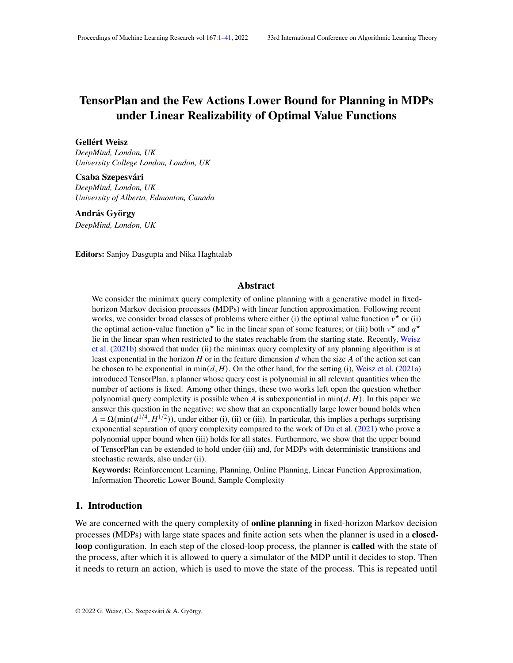# <span id="page-0-0"></span>TensorPlan and the Few Actions Lower Bound for Planning in MDPs under Linear Realizability of Optimal Value Functions

# Gellért Weisz

*DeepMind, London, UK University College London, London, UK*

Csaba Szepesvári *DeepMind, London, UK University of Alberta, Edmonton, Canada*

# András György

*DeepMind, London, UK*

Editors: Sanjoy Dasgupta and Nika Haghtalab

# Abstract

We consider the minimax query complexity of online planning with a generative model in fixedhorizon Markov decision processes (MDPs) with linear function approximation. Following recent works, we consider broad classes of problems where either (i) the optimal value function  $v^*$  or (ii) the optimal action-value function  $q^*$  lie in the linear span of some features; or (iii) both  $v^*$  and  $q^*$ lie in the linear span when restricted to the states reachable from the starting state. Recently, [Weisz](#page-36-0) [et al.](#page-36-0) [\(2021b\)](#page-36-0) showed that under (ii) the minimax query complexity of any planning algorithm is at least exponential in the horizon  $H$  or in the feature dimension  $d$  when the size  $A$  of the action set can be chosen to be exponential in  $\min(d, H)$ . On the other hand, for the setting (i), [Weisz et al.](#page-36-1) [\(2021a\)](#page-36-1) introduced TensorPlan, a planner whose query cost is polynomial in all relevant quantities when the number of actions is fixed. Among other things, these two works left open the question whether polynomial query complexity is possible when A is subexponential in  $\min(d, H)$ . In this paper we answer this question in the negative: we show that an exponentially large lower bound holds when  $A = \Omega(\min(d^{1/4}, H^{1/2}))$ , under either (i), (ii) or (iii). In particular, this implies a perhaps surprising exponential separation of query complexity compared to the work of [Du et al.](#page-36-2) [\(2021\)](#page-36-2) who prove a polynomial upper bound when (iii) holds for all states. Furthermore, we show that the upper bound of TensorPlan can be extended to hold under (iii) and, for MDPs with deterministic transitions and stochastic rewards, also under (ii).

Keywords: Reinforcement Learning, Planning, Online Planning, Linear Function Approximation, Information Theoretic Lower Bound, Sample Complexity

#### 1. Introduction

We are concerned with the query complexity of **online planning** in fixed-horizon Markov decision processes (MDPs) with large state spaces and finite action sets when the planner is used in a closedloop configuration. In each step of the closed-loop process, the planner is **called** with the state of the process, after which it is allowed to query a simulator of the MDP until it decides to stop. Then it needs to return an action, which is used to move the state of the process. This is repeated until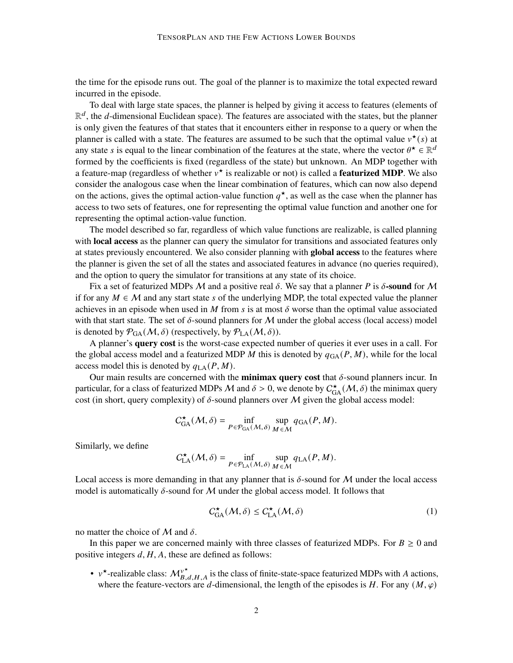the time for the episode runs out. The goal of the planner is to maximize the total expected reward incurred in the episode.

To deal with large state spaces, the planner is helped by giving it access to features (elements of  $\mathbb{R}^d$ , the d-dimensional Euclidean space). The features are associated with the states, but the planner is only given the features of that states that it encounters either in response to a query or when the planner is called with a state. The features are assumed to be such that the optimal value  $v^*(s)$  at any state *s* is equal to the linear combination of the features at the state, where the vector  $\theta^* \in \mathbb{R}^d$ formed by the coefficients is fixed (regardless of the state) but unknown. An MDP together with a feature-map (regardless of whether  $v^*$  is realizable or not) is called a **featurized MDP**. We also consider the analogous case when the linear combination of features, which can now also depend on the actions, gives the optimal action-value function  $q^*$ , as well as the case when the planner has access to two sets of features, one for representing the optimal value function and another one for representing the optimal action-value function.

The model described so far, regardless of which value functions are realizable, is called planning with **local access** as the planner can query the simulator for transitions and associated features only at states previously encountered. We also consider planning with **global access** to the features where the planner is given the set of all the states and associated features in advance (no queries required), and the option to query the simulator for transitions at any state of its choice.

Fix a set of featurized MDPs M and a positive real  $\delta$ . We say that a planner P is  $\delta$ -sound for M if for any  $M \in \mathcal{M}$  and any start state s of the underlying MDP, the total expected value the planner achieves in an episode when used in M from s is at most  $\delta$  worse than the optimal value associated with that start state. The set of  $\delta$ -sound planners for M under the global access (local access) model is denoted by  $\mathcal{P}_{GA}(\mathcal{M}, \delta)$  (respectively, by  $\mathcal{P}_{LA}(\mathcal{M}, \delta)$ ).

A planner's query cost is the worst-case expected number of queries it ever uses in a call. For the global access model and a featurized MDP  $M$  this is denoted by  $q_{GA}(P, M)$ , while for the local access model this is denoted by  $q_{LA}(P, M)$ .

Our main results are concerned with the **minimax query cost** that  $\delta$ -sound planners incur. In particular, for a class of featurized MDPs M and  $\delta > 0$ , we denote by  $C_{GA}^{\star}(M, \delta)$  the minimax query cost (in short, query complexity) of  $\delta$ -sound planners over M given the global access model:

$$
C_{\text{GA}}^{\star}(\mathcal{M}, \delta) = \inf_{P \in \mathcal{P}_{\text{GA}}(\mathcal{M}, \delta)} \sup_{M \in \mathcal{M}} q_{\text{GA}}(P, M).
$$

Similarly, we define

$$
C_{\text{LA}}^{\star}(\mathcal{M}, \delta) = \inf_{P \in \mathcal{P}_{\text{LA}}(\mathcal{M}, \delta)} \sup_{M \in \mathcal{M}} q_{\text{LA}}(P, M).
$$

Local access is more demanding in that any planner that is  $\delta$ -sound for M under the local access model is automatically  $\delta$ -sound for M under the global access model. It follows that

<span id="page-1-0"></span>
$$
C_{\text{GA}}^{\star}(\mathcal{M}, \delta) \le C_{\text{LA}}^{\star}(\mathcal{M}, \delta)
$$
 (1)

no matter the choice of  $M$  and  $\delta$ .

In this paper we are concerned mainly with three classes of featurized MDPs. For  $B \ge 0$  and positive integers  $d, H, A$ , these are defined as follows:

•  $v^*$ -realizable class:  $\mathcal{M}_{B,d,H,A}^{v^*}$  is the class of finite-state-space featurized MDPs with A actions, where the feature-vectors are d-dimensional, the length of the episodes is H. For any  $(M, \varphi)$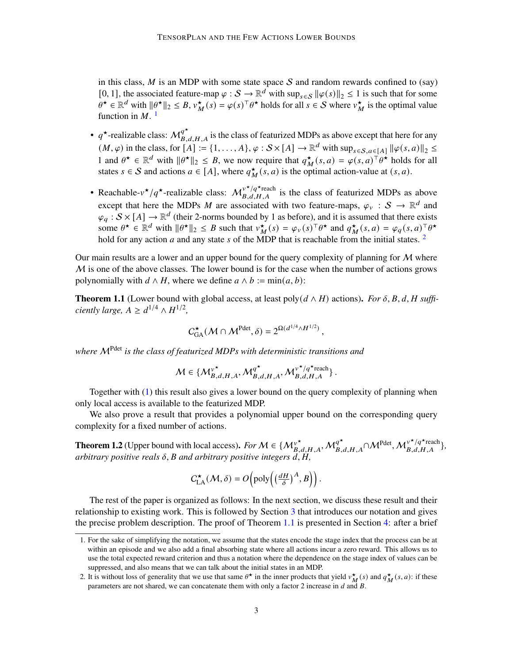in this class,  $M$  is an MDP with some state space  $S$  and random rewards confined to (say) [0, 1], the associated feature-map  $\varphi : \mathcal{S} \to \mathbb{R}^d$  with  $\sup_{s \in \mathcal{S}} ||\varphi(s)||_2 \leq 1$  is such that for some  $\theta^* \in \mathbb{R}^d$  with  $\|\theta^*\|_2 \leq B$ ,  $v_M^*(s) = \varphi(s)^\top \theta^*$  holds for all  $s \in S$  where  $v_M^*$  is the optimal value function in  $M$ .<sup>[1](#page-2-0)</sup>

- $q^*$ -realizable class:  $M_{B,d,H,A}^{q^*}$  is the class of featurized MDPs as above except that here for any  $(M, \varphi)$  in the class, for  $[A] := \{1, \ldots, A\}, \varphi : \mathcal{S} \times [A] \to \mathbb{R}^d$  with  $\sup_{s \in \mathcal{S}, a \in [A]} ||\varphi(s, a)||_2 \leq$ 1 and  $\theta^* \in \mathbb{R}^d$  with  $\|\theta^*\|_2 \leq B$ , we now require that  $q_M^*(s, a) = \varphi(s, a)^\top \theta^*$  holds for all states  $s \in S$  and actions  $a \in [A]$ , where  $q_M^{\star}(s, a)$  is the optimal action-value at  $(s, a)$ .
- Reachable- $v^*/q^*$ -realizable class:  $M_{B,d,H,A}^{v^*/q^*}$  is the class of featurized MDPs as above except that here the MDPs M are associated with two feature-maps,  $\varphi_v : S \to \mathbb{R}^d$  and  $\varphi_q : S \times [A] \to \mathbb{R}^d$  (their 2-norms bounded by 1 as before), and it is assumed that there exists some  $\theta^* \in \mathbb{R}^d$  with  $\|\theta^*\|_2 \leq B$  such that  $v_M^{\star}(s) = \varphi_{\nu}(s)^\top \theta^*$  and  $q_M^{\star}(s, a) = \varphi_q(s, a)^\top \theta^*$ hold for any action  $a$  and any state  $s$  of the MDP that is reachable from the initial states. <sup>[2](#page-2-1)</sup>

Our main results are a lower and an upper bound for the query complexity of planning for  $M$  where  $M$  is one of the above classes. The lower bound is for the case when the number of actions grows polynomially with  $d \wedge H$ , where we define  $a \wedge b := min(a, b)$ :

<span id="page-2-2"></span>**Theorem 1.1** (Lower bound with global access, at least poly( $d \wedge H$ ) actions). *For*  $\delta$ ,  $B$ ,  $d$ ,  $H$  suffi*ciently large,*  $A \ge d^{1/4} \wedge H^{1/2}$ ,

$$
C_{\text{GA}}^{\star}(\mathcal{M} \cap \mathcal{M}^{\text{Pdet}}, \delta) = 2^{\Omega(d^{1/4} \wedge H^{1/2})},
$$

*where* MPdet *is the class of featurized MDPs with deterministic transitions and*

$$
\mathcal{M} \in \big\{\mathcal{M}_{B,d,H,A}^{\nu^\star}, \mathcal{M}_{B,d,H,A}^{q^\star}, \mathcal{M}_{B,d,H,A}^{\nu^\star/q^\star \mathrm{reach}}\big\}\,.
$$

Together with [\(1\)](#page-1-0) this result also gives a lower bound on the query complexity of planning when only local access is available to the featurized MDP.

We also prove a result that provides a polynomial upper bound on the corresponding query complexity for a fixed number of actions.

<span id="page-2-3"></span>**Theorem 1.2** (Upper bound with local access). For  $M \in \{M_{B,d,H,A}^{\nu^*}, M_{B,d,H,A}^{q^*} \cap M^{\text{Pdet}}, M_{B,d,H,A}^{\nu^*/q^* \text{reach}}\},$ *arbitrary positive reals*  $\delta$ ,  $\beta$  *and arbitrary positive integers d, H,* 

$$
C_{\text{LA}}^{\star}(\mathcal{M}, \delta) = O\left(\text{poly}\left(\left(\frac{dH}{\delta}\right)^A, B\right)\right).
$$

The rest of the paper is organized as follows: In the next section, we discuss these result and their relationship to existing work. This is followed by Section [3](#page-6-0) that introduces our notation and gives the precise problem description. The proof of Theorem [1.1](#page-2-2) is presented in Section [4:](#page-10-0) after a brief

<span id="page-2-0"></span><sup>1.</sup> For the sake of simplifying the notation, we assume that the states encode the stage index that the process can be at within an episode and we also add a final absorbing state where all actions incur a zero reward. This allows us to use the total expected reward criterion and thus a notation where the dependence on the stage index of values can be suppressed, and also means that we can talk about the initial states in an MDP.

<span id="page-2-1"></span><sup>2.</sup> It is without loss of generality that we use that same  $\theta^*$  in the inner products that yield  $v_M^*(s)$  and  $q_M^*(s, a)$ : if these parameters are not shared, we can concatenate them with only a factor 2 increase in  $d$  and  $B$ .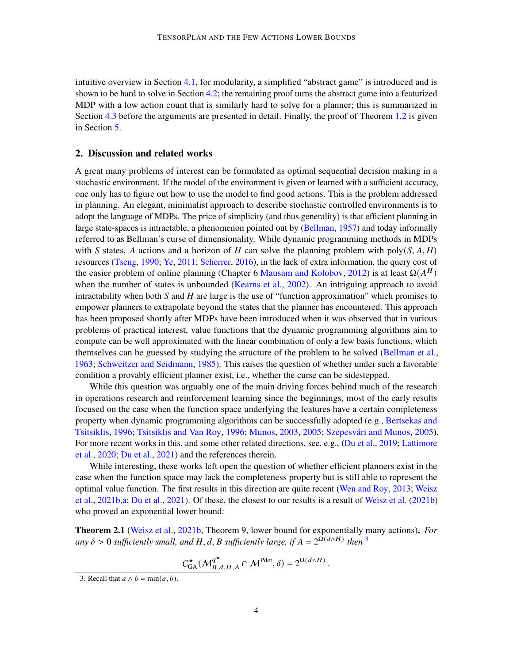intuitive overview in Section [4.1,](#page-10-1) for modularity, a simplified "abstract game" is introduced and is shown to be hard to solve in Section [4.2;](#page-11-0) the remaining proof turns the abstract game into a featurized MDP with a low action count that is similarly hard to solve for a planner; this is summarized in Section [4.3](#page-17-0) before the arguments are presented in detail. Finally, the proof of Theorem [1.2](#page-2-3) is given in Section [5.](#page-31-0)

# 2. Discussion and related works

A great many problems of interest can be formulated as optimal sequential decision making in a stochastic environment. If the model of the environment is given or learned with a sufficient accuracy, one only has to figure out how to use the model to find good actions. This is the problem addressed in planning. An elegant, minimalist approach to describe stochastic controlled environments is to adopt the language of MDPs. The price of simplicity (and thus generality) is that efficient planning in large state-spaces is intractable, a phenomenon pointed out by [\(Bellman,](#page-35-0) [1957\)](#page-35-0) and today informally referred to as Bellman's curse of dimensionality. While dynamic programming methods in MDPs with S states, A actions and a horizon of H can solve the planning problem with poly( $S, A, H$ ) resources [\(Tseng,](#page-36-3) [1990;](#page-36-3) [Ye,](#page-37-0) [2011;](#page-37-0) [Scherrer,](#page-36-4) [2016\)](#page-36-4), in the lack of extra information, the query cost of the easier problem of online planning (Chapter 6 [Mausam and Kolobov,](#page-36-5) [2012\)](#page-36-5) is at least  $\Omega(A^H)$ when the number of states is unbounded [\(Kearns et al.,](#page-36-6) [2002\)](#page-36-6). An intriguing approach to avoid intractability when both  $S$  and  $H$  are large is the use of "function approximation" which promises to empower planners to extrapolate beyond the states that the planner has encountered. This approach has been proposed shortly after MDPs have been introduced when it was observed that in various problems of practical interest, value functions that the dynamic programming algorithms aim to compute can be well approximated with the linear combination of only a few basis functions, which themselves can be guessed by studying the structure of the problem to be solved [\(Bellman et al.,](#page-35-1) [1963;](#page-35-1) [Schweitzer and Seidmann,](#page-36-7) [1985\)](#page-36-7). This raises the question of whether under such a favorable condition a provably efficient planner exist, i.e., whether the curse can be sidestepped.

While this question was arguably one of the main driving forces behind much of the research in operations research and reinforcement learning since the beginnings, most of the early results focused on the case when the function space underlying the features have a certain completeness property when dynamic programming algorithms can be successfully adopted (e.g., [Bertsekas and](#page-35-2) [Tsitsiklis,](#page-35-2) [1996;](#page-36-8) [Tsitsiklis and Van Roy,](#page-36-8) 1996; [Munos,](#page-36-9) [2003,](#page-36-9) [2005;](#page-36-10) Szepesvári and Munos, [2005\)](#page-36-11). For more recent works in this, and some other related directions, see, e.g., [\(Du et al.,](#page-35-3) [2019;](#page-35-3) [Lattimore](#page-36-12) [et al.,](#page-36-12) [2020;](#page-36-12) [Du et al.,](#page-36-2) [2021\)](#page-36-2) and the references therein.

While interesting, these works left open the question of whether efficient planners exist in the case when the function space may lack the completeness property but is still able to represent the optimal value function. The first results in this direction are quite recent [\(Wen and Roy,](#page-37-1) [2013;](#page-37-1) [Weisz](#page-36-0) [et al.,](#page-36-0) [2021b,](#page-36-0)[a;](#page-36-1) [Du et al.,](#page-36-2) [2021\)](#page-36-2). Of these, the closest to our results is a result of [Weisz et al.](#page-36-0) [\(2021b\)](#page-36-0) who proved an exponential lower bound:

<span id="page-3-1"></span>Theorem 2.1 [\(Weisz et al.,](#page-36-0) [2021b,](#page-36-0) Theorem 9, lower bound for exponentially many actions). *For* any  $\delta > 0$  sufficiently small, and H, d, B sufficiently large, if  $A = 2^{\tilde{\Omega}(d \wedge H)}$  then <sup>[3](#page-3-0)</sup>

$$
\underline{C_{\text{GA}}^{\star}(\mathcal{M}_{B,d,H,A}^{q^{\star}} \cap \mathcal{M}^{\text{Pdet}}, \delta)} = 2^{\Omega(d \wedge H)}
$$

.

<span id="page-3-0"></span><sup>3.</sup> Recall that  $a \wedge b = \min(a, b)$ .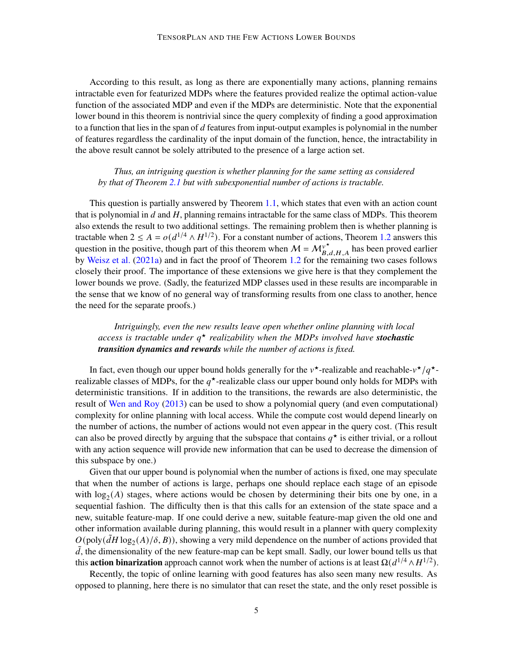According to this result, as long as there are exponentially many actions, planning remains intractable even for featurized MDPs where the features provided realize the optimal action-value function of the associated MDP and even if the MDPs are deterministic. Note that the exponential lower bound in this theorem is nontrivial since the query complexity of finding a good approximation to a function that lies in the span of  $d$  features from input-output examples is polynomial in the number of features regardless the cardinality of the input domain of the function, hence, the intractability in the above result cannot be solely attributed to the presence of a large action set.

# *Thus, an intriguing question is whether planning for the same setting as considered by that of Theorem [2.1](#page-3-1) but with subexponential number of actions is tractable.*

This question is partially answered by Theorem [1.1,](#page-2-2) which states that even with an action count that is polynomial in  $d$  and  $H$ , planning remains intractable for the same class of MDPs. This theorem also extends the result to two additional settings. The remaining problem then is whether planning is tractable when  $2 \le A = o(d^{1/4} \wedge H^{1/2})$ . For a constant number of actions, Theorem [1.2](#page-2-3) answers this question in the positive, though part of this theorem when  $M = M_{B,d,H,A}^{\nu^*}$  has been proved earlier by [Weisz et al.](#page-36-1) [\(2021a\)](#page-36-1) and in fact the proof of Theorem [1.2](#page-2-3) for the remaining two cases follows closely their proof. The importance of these extensions we give here is that they complement the lower bounds we prove. (Sadly, the featurized MDP classes used in these results are incomparable in the sense that we know of no general way of transforming results from one class to another, hence the need for the separate proofs.)

# *Intriguingly, even the new results leave open whether online planning with local access is tractable under* ★ *realizability when the MDPs involved have stochastic transition dynamics and rewards while the number of actions is fixed.*

In fact, even though our upper bound holds generally for the  $v^*$ -realizable and reachable- $v^*/q^*$ realizable classes of MDPs, for the  $q^*$ -realizable class our upper bound only holds for MDPs with deterministic transitions. If in addition to the transitions, the rewards are also deterministic, the result of [Wen and Roy](#page-37-1) [\(2013\)](#page-37-1) can be used to show a polynomial query (and even computational) complexity for online planning with local access. While the compute cost would depend linearly on the number of actions, the number of actions would not even appear in the query cost. (This result can also be proved directly by arguing that the subspace that contains  $q^*$  is either trivial, or a rollout with any action sequence will provide new information that can be used to decrease the dimension of this subspace by one.)

Given that our upper bound is polynomial when the number of actions is fixed, one may speculate that when the number of actions is large, perhaps one should replace each stage of an episode with  $log<sub>2</sub>(A)$  stages, where actions would be chosen by determining their bits one by one, in a sequential fashion. The difficulty then is that this calls for an extension of the state space and a new, suitable feature-map. If one could derive a new, suitable feature-map given the old one and other information available during planning, this would result in a planner with query complexity  $O(poly( $\tilde{d}H \log_2(A)/\delta, B$ )), showing a very mild dependence on the number of actions provided that$  $\overline{d}$ , the dimensionality of the new feature-map can be kept small. Sadly, our lower bound tells us that this **action binarization** approach cannot work when the number of actions is at least  $\Omega(d^{1/4} \wedge H^{1/2})$ .

Recently, the topic of online learning with good features has also seen many new results. As opposed to planning, here there is no simulator that can reset the state, and the only reset possible is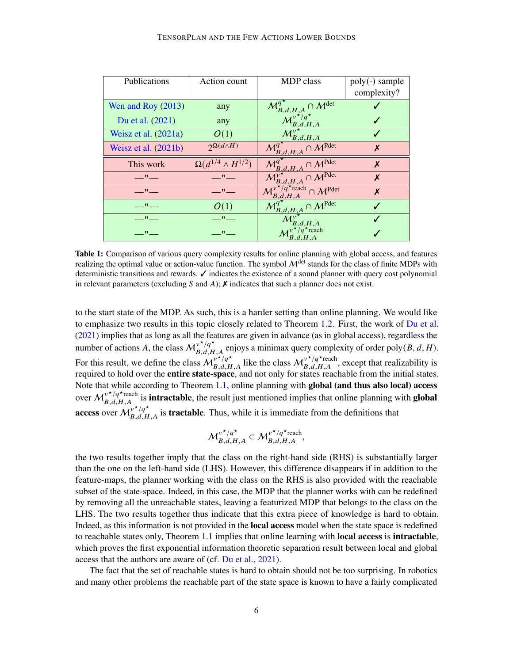<span id="page-5-0"></span>

| Publications                  | Action count                     | <b>MDP</b> class                                                            | $poly(\cdot)$ sample |
|-------------------------------|----------------------------------|-----------------------------------------------------------------------------|----------------------|
|                               |                                  |                                                                             | complexity?          |
| Wen and Roy $(2013)$          | any                              | $\cap M^{\mathrm{det}}$<br>$\mathcal{M}_{B,d,H,A}^q$                        |                      |
| Du et al. (2021)              | any                              | $\binom{v^{\star}/q^{\star}}{B,d,H,A}$                                      |                      |
| Weisz et al. $(2021a)$        | O(1)                             | $\mathcal{A}_{B,d,H,A}$                                                     |                      |
| Weisz et al. $(2021b)$        | $2^{\Omega(d\wedge H)}$          | $\overline{\mathcal{M}}^{q^\star}_{B,d,H,A} \cap \mathcal{M}^{\text{Pdet}}$ | X                    |
| This work                     | $\Omega(d^{1/4} \wedge H^{1/2})$ | $\mathbf{A}_{B,d,H,A}^{\prime} \cap \mathcal{M}^{\text{Pdet}}$              | X                    |
| $\mathbf{H}$ and $\mathbf{H}$ | $\mathbf{u}$                     | $\gamma M^{\overline{\text{Pdet}}}$<br>B,d,H,A                              | X                    |
| $\mathbf{u}$ and $\mathbf{u}$ | $\mathbf{u}$                     | $7q^{\star}$ reach $\cap M^{\text{Pdet}}$                                   | X                    |
| $\mathbf{u} = \mathbf{u}$     | O(1)                             | $\mathcal{A}_{\mathcal{B},d,H,A}\cap \mathcal{M}^{\text{Pdet}}$             |                      |
| $\mathbf{u} = \mathbf{u}$     | $\mathbf{H}$ and $\mathbf{H}$    | d.H.A                                                                       |                      |
| $\mathbf{H}$ and $\mathbf{H}$ | $\mathbf{u}$ and                 | B, d, H, A                                                                  |                      |

Table 1: Comparison of various query complexity results for online planning with global access, and features realizing the optimal value or action-value function. The symbol  $\mathcal{M}^{\text{det}}$  stands for the class of finite MDPs with deterministic transitions and rewards. ✓ indicates the existence of a sound planner with query cost polynomial in relevant parameters (excluding  $S$  and  $A$ );  $\chi$  indicates that such a planner does not exist.

to the start state of the MDP. As such, this is a harder setting than online planning. We would like to emphasize two results in this topic closely related to Theorem [1.2.](#page-2-3) First, the work of [Du et al.](#page-36-2) [\(2021\)](#page-36-2) implies that as long as all the features are given in advance (as in global access), regardless the number of actions A, the class  $M_{B,d,H,A}^{\nu^* / q^*}$  enjoys a minimax query complexity of order poly(B, d, H). For this result, we define the class  $M_{B,d,H,A}^{v^*/q^*}$  like the class  $M_{B,d,H,A}^{v^*/q^*}$ , except that realizability is required to hold over the **entire state-space**, and not only for states reachable from the initial states. Note that while according to Theorem [1.1,](#page-2-2) online planning with global (and thus also local) access over  $M_{B,d,H,A}^{\nu^*/q^*}$  is **intractable**, the result just mentioned implies that online planning with **global** access over  $M_{B,d,H,A}^{\nu^*/q^*}$  is **tractable**. Thus, while it is immediate from the definitions that

$$
{\mathcal M}_{B,d,H,A}^{\nu^\star/q^\star} \subset {\mathcal M}_{B,d,H,A}^{\nu^\star/q^\star \text{reach}},
$$

the two results together imply that the class on the right-hand side (RHS) is substantially larger than the one on the left-hand side (LHS). However, this difference disappears if in addition to the feature-maps, the planner working with the class on the RHS is also provided with the reachable subset of the state-space. Indeed, in this case, the MDP that the planner works with can be redefined by removing all the unreachable states, leaving a featurized MDP that belongs to the class on the LHS. The two results together thus indicate that this extra piece of knowledge is hard to obtain. Indeed, as this information is not provided in the local access model when the state space is redefined to reachable states only, Theorem [1.1](#page-2-2) implies that online learning with **local access** is **intractable**, which proves the first exponential information theoretic separation result between local and global access that the authors are aware of (cf. [Du et al.,](#page-36-2) [2021\)](#page-36-2).

The fact that the set of reachable states is hard to obtain should not be too surprising. In robotics and many other problems the reachable part of the state space is known to have a fairly complicated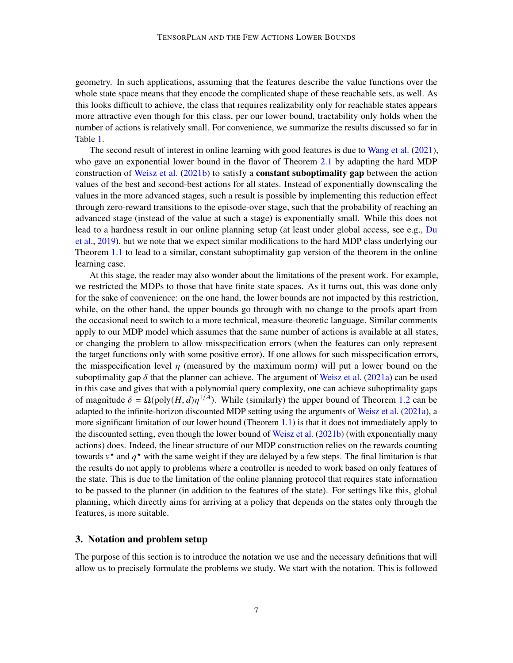geometry. In such applications, assuming that the features describe the value functions over the whole state space means that they encode the complicated shape of these reachable sets, as well. As this looks difficult to achieve, the class that requires realizability only for reachable states appears more attractive even though for this class, per our lower bound, tractability only holds when the number of actions is relatively small. For convenience, we summarize the results discussed so far in Table [1.](#page-5-0)

The second result of interest in online learning with good features is due to [Wang et al.](#page-36-13) [\(2021\)](#page-36-13), who gave an exponential lower bound in the flavor of Theorem [2.1](#page-3-1) by adapting the hard MDP construction of [Weisz et al.](#page-36-0) [\(2021b\)](#page-36-0) to satisfy a **constant suboptimality gap** between the action values of the best and second-best actions for all states. Instead of exponentially downscaling the values in the more advanced stages, such a result is possible by implementing this reduction effect through zero-reward transitions to the episode-over stage, such that the probability of reaching an advanced stage (instead of the value at such a stage) is exponentially small. While this does not lead to a hardness result in our online planning setup (at least under global access, see e.g., [Du](#page-35-3) [et al.,](#page-35-3) [2019\)](#page-35-3), but we note that we expect similar modifications to the hard MDP class underlying our Theorem [1.1](#page-2-2) to lead to a similar, constant suboptimality gap version of the theorem in the online learning case.

At this stage, the reader may also wonder about the limitations of the present work. For example, we restricted the MDPs to those that have finite state spaces. As it turns out, this was done only for the sake of convenience: on the one hand, the lower bounds are not impacted by this restriction, while, on the other hand, the upper bounds go through with no change to the proofs apart from the occasional need to switch to a more technical, measure-theoretic language. Similar comments apply to our MDP model which assumes that the same number of actions is available at all states, or changing the problem to allow misspecification errors (when the features can only represent the target functions only with some positive error). If one allows for such misspecification errors, the misspecification level  $\eta$  (measured by the maximum norm) will put a lower bound on the suboptimality gap  $\delta$  that the planner can achieve. The argument of [Weisz et al.](#page-36-1) [\(2021a\)](#page-36-1) can be used in this case and gives that with a polynomial query complexity, one can achieve suboptimality gaps of magnitude  $\delta = \Omega(\text{poly}(H, d))\eta^{1/A})$ . While (similarly) the upper bound of Theorem [1.2](#page-2-3) can be adapted to the infinite-horizon discounted MDP setting using the arguments of [Weisz et al.](#page-36-1) [\(2021a\)](#page-36-1), a more significant limitation of our lower bound (Theorem [1.1\)](#page-2-2) is that it does not immediately apply to the discounted setting, even though the lower bound of [Weisz et al.](#page-36-0) [\(2021b\)](#page-36-0) (with exponentially many actions) does. Indeed, the linear structure of our MDP construction relies on the rewards counting towards  $v^*$  and  $q^*$  with the same weight if they are delayed by a few steps. The final limitation is that the results do not apply to problems where a controller is needed to work based on only features of the state. This is due to the limitation of the online planning protocol that requires state information to be passed to the planner (in addition to the features of the state). For settings like this, global planning, which directly aims for arriving at a policy that depends on the states only through the features, is more suitable.

### <span id="page-6-0"></span>3. Notation and problem setup

The purpose of this section is to introduce the notation we use and the necessary definitions that will allow us to precisely formulate the problems we study. We start with the notation. This is followed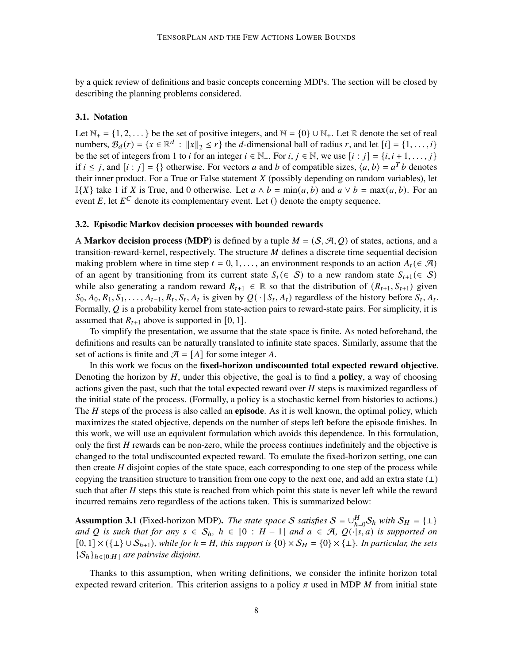by a quick review of definitions and basic concepts concerning MDPs. The section will be closed by describing the planning problems considered.

#### 3.1. Notation

Let  $\mathbb{N}_+ = \{1, 2, \dots\}$  be the set of positive integers, and  $\mathbb{N} = \{0\} \cup \mathbb{N}_+$ . Let R denote the set of real numbers,  $B_d(r) = \{x \in \mathbb{R}^d : ||x||_2 \le r\}$  the d-dimensional ball of radius r, and let  $[i] = \{1, ..., i\}$ be the set of integers from 1 to *i* for an integer  $i \in \mathbb{N}_+$ . For  $i, j \in \mathbb{N}$ , we use  $[i : j] = \{i, i+1, \ldots, j\}$ if  $i \le j$ , and  $[i : j] = \{\}$  otherwise. For vectors a and b of compatible sizes,  $\langle a, b \rangle = a^T b$  denotes their inner product. For a True or False statement  $X$  (possibly depending on random variables), let I{X} take 1 if X is True, and 0 otherwise. Let  $a \wedge b = \min(a, b)$  and  $a \vee b = \max(a, b)$ . For an event E, let  $E^C$  denote its complementary event. Let () denote the empty sequence.

#### 3.2. Episodic Markov decision processes with bounded rewards

A **Markov decision process (MDP)** is defined by a tuple  $M = (S, \mathcal{A}, Q)$  of states, actions, and a transition-reward-kernel, respectively. The structure  $M$  defines a discrete time sequential decision making problem where in time step  $t = 0, 1, \ldots$ , an environment responds to an action  $A_t \in \mathcal{A}$ ) of an agent by transitioning from its current state  $S_t$  ( $\in S$ ) to a new random state  $S_{t+1}$  ( $\in S$ ) while also generating a random reward  $R_{t+1} \in \mathbb{R}$  so that the distribution of  $(R_{t+1}, S_{t+1})$  given  $S_0, A_0, R_1, S_1, \ldots, A_{t-1}, R_t, S_t, A_t$  is given by  $Q(\cdot | S_t, A_t)$  regardless of the history before  $S_t, A_t$ . Formally,  $Q$  is a probability kernel from state-action pairs to reward-state pairs. For simplicity, it is assumed that  $R_{t+1}$  above is supported in [0, 1].

To simplify the presentation, we assume that the state space is finite. As noted beforehand, the definitions and results can be naturally translated to infinite state spaces. Similarly, assume that the set of actions is finite and  $\mathcal{A} = [A]$  for some integer A.

In this work we focus on the fixed-horizon undiscounted total expected reward objective. Denoting the horizon by  $H$ , under this objective, the goal is to find a **policy**, a way of choosing actions given the past, such that the total expected reward over  $H$  steps is maximized regardless of the initial state of the process. (Formally, a policy is a stochastic kernel from histories to actions.) The  $H$  steps of the process is also called an **episode**. As it is well known, the optimal policy, which maximizes the stated objective, depends on the number of steps left before the episode finishes. In this work, we will use an equivalent formulation which avoids this dependence. In this formulation, only the first H rewards can be non-zero, while the process continues indefinitely and the objective is changed to the total undiscounted expected reward. To emulate the fixed-horizon setting, one can then create  $H$  disjoint copies of the state space, each corresponding to one step of the process while copying the transition structure to transition from one copy to the next one, and add an extra state  $(\perp)$ such that after  $H$  steps this state is reached from which point this state is never left while the reward incurred remains zero regardless of the actions taken. This is summarized below:

<span id="page-7-0"></span>**Assumption 3.1** (Fixed-horizon MDP). *The state space* S *satisfies*  $S = \bigcup_{h=0}^{H} S_h$  *with*  $S_H = \{\perp\}$ *and* Q is such that for any  $s \in S_h$ ,  $h \in [0 : H - 1]$  and  $a \in \mathcal{A}$ ,  $Q(\cdot | s, a)$  is supported on  $[0, 1] \times (\{\perp\} \cup S_{h+1})$ *, while for*  $h = H$ *, this support is*  $\{0\} \times S_H = \{0\} \times \{\perp\}$ *. In particular, the sets*  ${S_h}_{h \in [0:H]}$  are pairwise disjoint.

Thanks to this assumption, when writing definitions, we consider the infinite horizon total expected reward criterion. This criterion assigns to a policy  $\pi$  used in MDP  $M$  from initial state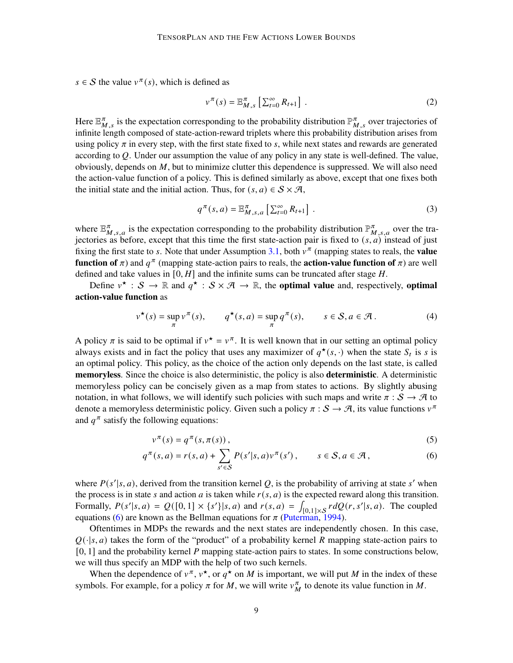$s \in S$  the value  $v^{\pi}(s)$ , which is defined as

$$
\nu^{\pi}(s) = \mathbb{E}_{M,s}^{\pi} \left[ \sum_{t=0}^{\infty} R_{t+1} \right]. \tag{2}
$$

Here  $\mathbb{E}_{M,s}^{\pi}$  is the expectation corresponding to the probability distribution  $\mathbb{P}_{M,s}^{\pi}$  over trajectories of infinite length composed of state-action-reward triplets where this probability distribution arises from using policy  $\pi$  in every step, with the first state fixed to s, while next states and rewards are generated according to  $Q$ . Under our assumption the value of any policy in any state is well-defined. The value, obviously, depends on  $M$ , but to minimize clutter this dependence is suppressed. We will also need the action-value function of a policy. This is defined similarly as above, except that one fixes both the initial state and the initial action. Thus, for  $(s, a) \in S \times \mathcal{A}$ ,

$$
q^{\pi}(s, a) = \mathbb{E}_{M, s, a}^{\pi} \left[ \sum_{t=0}^{\infty} R_{t+1} \right]. \tag{3}
$$

where  $\mathbb{E}_{M,s,a}^{\pi}$  is the expectation corresponding to the probability distribution  $\mathbb{P}_{M,s,a}^{\pi}$  over the trajectories as before, except that this time the first state-action pair is fixed to  $(s, a)$  instead of just fixing the first state to s. Note that under Assumption [3.1,](#page-7-0) both  $v^{\pi}$  (mapping states to reals, the **value** function of  $\pi$ ) and  $q^{\pi}$  (mapping state-action pairs to reals, the **action-value function of**  $\pi$ ) are well defined and take values in  $[0, H]$  and the infinite sums can be truncated after stage  $H$ .

Define  $v^* : S \to \mathbb{R}$  and  $q^* : S \times \mathcal{A} \to \mathbb{R}$ , the **optimal value** and, respectively, **optimal** action-value function as

$$
v^{\star}(s) = \sup_{\pi} v^{\pi}(s), \qquad q^{\star}(s, a) = \sup_{\pi} q^{\pi}(s), \qquad s \in S, a \in \mathcal{A}.
$$
 (4)

A policy  $\pi$  is said to be optimal if  $v^* = v^{\pi}$ . It is well known that in our setting an optimal policy always exists and in fact the policy that uses any maximizer of  $q^*(s, \cdot)$  when the state  $S_t$  is s is an optimal policy. This policy, as the choice of the action only depends on the last state, is called memoryless. Since the choice is also deterministic, the policy is also **deterministic**. A deterministic memoryless policy can be concisely given as a map from states to actions. By slightly abusing notation, in what follows, we will identify such policies with such maps and write  $\pi : S \to \mathcal{A}$  to denote a memoryless deterministic policy. Given such a policy  $\pi : S \to \mathcal{A}$ , its value functions  $v^{\pi}$ and  $q^{\pi}$  satisfy the following equations:

<span id="page-8-0"></span>
$$
v^{\pi}(s) = q^{\pi}(s, \pi(s)), \qquad (5)
$$

$$
q^{\pi}(s, a) = r(s, a) + \sum_{s' \in S} P(s'|s, a) v^{\pi}(s'), \qquad s \in S, a \in \mathcal{A}, \qquad (6)
$$

where  $P(s'|s, a)$ , derived from the transition kernel Q, is the probability of arriving at state s' when the process is in state s and action a is taken while  $r(s, a)$  is the expected reward along this transition. Formally,  $P(s'|s, a) = Q([0, 1] \times \{s'\}|s, a)$  and  $r(s, a) = \int_{[0, 1] \times S} r dQ(r, s'|s, a)$ . The coupled equations [\(6\)](#page-8-0) are known as the Bellman equations for  $\pi$  [\(Puterman,](#page-36-14) [1994\)](#page-36-14).

Oftentimes in MDPs the rewards and the next states are independently chosen. In this case,  $Q(\cdot|s, a)$  takes the form of the "product" of a probability kernel R mapping state-action pairs to  $[0, 1]$  and the probability kernel  $P$  mapping state-action pairs to states. In some constructions below, we will thus specify an MDP with the help of two such kernels.

When the dependence of  $v^{\pi}$ ,  $v^{\star}$ , or  $q^{\star}$  on M is important, we will put M in the index of these symbols. For example, for a policy  $\pi$  for M, we will write  $v_M^{\pi}$  to denote its value function in M.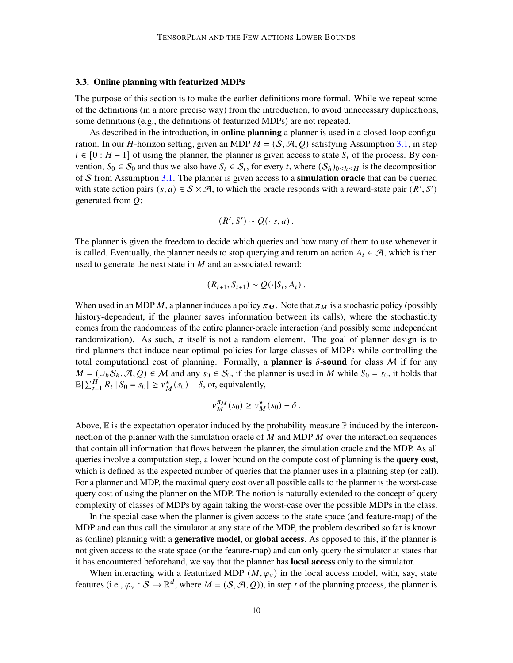#### <span id="page-9-0"></span>3.3. Online planning with featurized MDPs

The purpose of this section is to make the earlier definitions more formal. While we repeat some of the definitions (in a more precise way) from the introduction, to avoid unnecessary duplications, some definitions (e.g., the definitions of featurized MDPs) are not repeated.

As described in the introduction, in **online planning** a planner is used in a closed-loop configuration. In our *H*-horizon setting, given an MDP  $M = (S, \mathcal{A}, Q)$  satisfying Assumption [3.1,](#page-7-0) in step  $t \in [0 : H - 1]$  of using the planner, the planner is given access to state  $S_t$  of the process. By convention,  $S_0 \in S_0$  and thus we also have  $S_t \in S_t$ , for every t, where  $(S_h)_{0 \le h \le H}$  is the decomposition of S from Assumption [3.1.](#page-7-0) The planner is given access to a **simulation oracle** that can be queried with state action pairs  $(s, a) \in S \times \mathcal{A}$ , to which the oracle responds with a reward-state pair  $(R', S')$ generated from  $Q$ :

$$
(R',S')\sim Q(\cdot|s,a).
$$

The planner is given the freedom to decide which queries and how many of them to use whenever it is called. Eventually, the planner needs to stop querying and return an action  $A_t \in \mathcal{A}$ , which is then used to generate the next state in  $M$  and an associated reward:

$$
(R_{t+1},S_{t+1})\sim Q(\cdot|S_t,A_t).
$$

When used in an MDP M, a planner induces a policy  $\pi_M$ . Note that  $\pi_M$  is a stochastic policy (possibly history-dependent, if the planner saves information between its calls), where the stochasticity comes from the randomness of the entire planner-oracle interaction (and possibly some independent randomization). As such,  $\pi$  itself is not a random element. The goal of planner design is to find planners that induce near-optimal policies for large classes of MDPs while controlling the total computational cost of planning. Formally, a **planner is**  $\delta$ -**sound** for class M if for any  $M = (\cup_h \mathcal{S}_h, \mathcal{A}, Q) \in \mathcal{M}$  and any  $s_0 \in \mathcal{S}_0$ , if the planner is used in M while  $S_0 = s_0$ , it holds that  $\mathbb{E}[\sum_{t=1}^{H} R_t | S_0 = s_0] \geq v_M^{\star}(s_0) - \delta$ , or, equivalently,

$$
v_M^{\pi_M}(s_0) \ge v_M^{\star}(s_0) - \delta.
$$

Above,  $\mathbb E$  is the expectation operator induced by the probability measure  $\mathbb P$  induced by the interconnection of the planner with the simulation oracle of  $M$  and MDP  $M$  over the interaction sequences that contain all information that flows between the planner, the simulation oracle and the MDP. As all queries involve a computation step, a lower bound on the compute cost of planning is the **query cost**, which is defined as the expected number of queries that the planner uses in a planning step (or call). For a planner and MDP, the maximal query cost over all possible calls to the planner is the worst-case query cost of using the planner on the MDP. The notion is naturally extended to the concept of query complexity of classes of MDPs by again taking the worst-case over the possible MDPs in the class.

In the special case when the planner is given access to the state space (and feature-map) of the MDP and can thus call the simulator at any state of the MDP, the problem described so far is known as (online) planning with a **generative model**, or **global access**. As opposed to this, if the planner is not given access to the state space (or the feature-map) and can only query the simulator at states that it has encountered beforehand, we say that the planner has **local access** only to the simulator.

When interacting with a featurized MDP ( $M, \varphi$ <sub>v</sub>) in the local access model, with, say, state features (i.e.,  $\varphi_v : S \to \mathbb{R}^d$ , where  $M = (S, \mathcal{A}, Q)$ ), in step t of the planning process, the planner is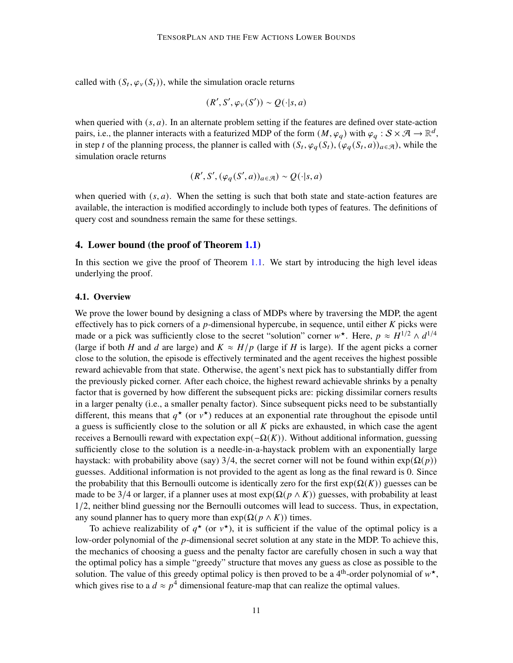called with  $(S_t, \varphi_v(S_t))$ , while the simulation oracle returns

$$
(R', S', \varphi_v(S')) \sim Q(\cdot | s, a)
$$

when queried with  $(s, a)$ . In an alternate problem setting if the features are defined over state-action pairs, i.e., the planner interacts with a featurized MDP of the form  $(M, \varphi_q)$  with  $\varphi_q : S \times \mathcal{A} \to \mathbb{R}^d$ , in step t of the planning process, the planner is called with  $(S_t, \varphi_q(S_t), (\varphi_q(S_t, a))_{a \in \mathcal{A}})$ , while the simulation oracle returns

$$
(R', S', (\varphi_q(S', a))_{a \in \mathcal{A}}) \sim Q(\cdot | s, a)
$$

when queried with  $(s, a)$ . When the setting is such that both state and state-action features are available, the interaction is modified accordingly to include both types of features. The definitions of query cost and soundness remain the same for these settings.

# <span id="page-10-0"></span>4. Lower bound (the proof of Theorem [1.1\)](#page-2-2)

In this section we give the proof of Theorem [1.1.](#page-2-2) We start by introducing the high level ideas underlying the proof.

### <span id="page-10-1"></span>4.1. Overview

We prove the lower bound by designing a class of MDPs where by traversing the MDP, the agent effectively has to pick corners of a  $p$ -dimensional hypercube, in sequence, until either  $K$  picks were made or a pick was sufficiently close to the secret "solution" corner  $w^*$ . Here,  $p \approx H^{1/2} \wedge d^{1/4}$ (large if both H and d are large) and  $K \approx H/p$  (large if H is large). If the agent picks a corner close to the solution, the episode is effectively terminated and the agent receives the highest possible reward achievable from that state. Otherwise, the agent's next pick has to substantially differ from the previously picked corner. After each choice, the highest reward achievable shrinks by a penalty factor that is governed by how different the subsequent picks are: picking dissimilar corners results in a larger penalty (i.e., a smaller penalty factor). Since subsequent picks need to be substantially different, this means that  $q^*$  (or  $v^*$ ) reduces at an exponential rate throughout the episode until a guess is sufficiently close to the solution or all  $K$  picks are exhausted, in which case the agent receives a Bernoulli reward with expectation  $exp(-\Omega(K))$ . Without additional information, guessing sufficiently close to the solution is a needle-in-a-haystack problem with an exponentially large haystack: with probability above (say) 3/4, the secret corner will not be found within  $exp(\Omega(p))$ guesses. Additional information is not provided to the agent as long as the final reward is 0. Since the probability that this Bernoulli outcome is identically zero for the first  $exp(\Omega(K))$  guesses can be made to be 3/4 or larger, if a planner uses at most  $exp(\Omega(p \wedge K))$  guesses, with probability at least 1/2, neither blind guessing nor the Bernoulli outcomes will lead to success. Thus, in expectation, any sound planner has to query more than  $exp(\Omega(p \wedge K))$  times.

To achieve realizability of  $q^*$  (or  $v^*$ ), it is sufficient if the value of the optimal policy is a low-order polynomial of the  $p$ -dimensional secret solution at any state in the MDP. To achieve this, the mechanics of choosing a guess and the penalty factor are carefully chosen in such a way that the optimal policy has a simple "greedy" structure that moves any guess as close as possible to the solution. The value of this greedy optimal policy is then proved to be a 4<sup>th</sup>-order polynomial of  $w^*$ , which gives rise to a  $d \approx p^4$  dimensional feature-map that can realize the optimal values.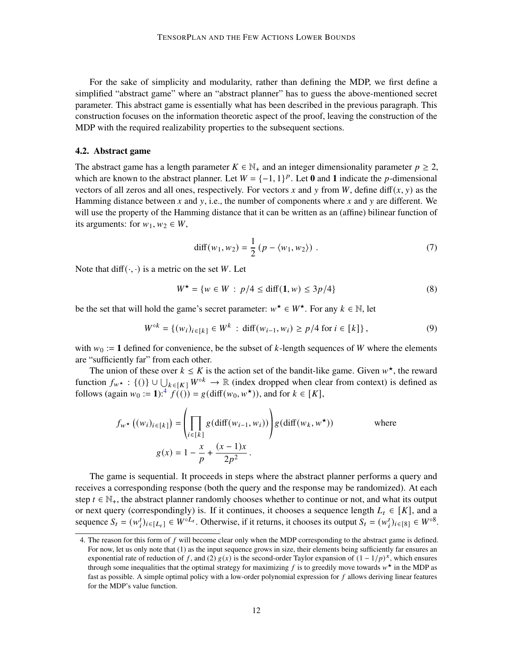For the sake of simplicity and modularity, rather than defining the MDP, we first define a simplified "abstract game" where an "abstract planner" has to guess the above-mentioned secret parameter. This abstract game is essentially what has been described in the previous paragraph. This construction focuses on the information theoretic aspect of the proof, leaving the construction of the MDP with the required realizability properties to the subsequent sections.

## <span id="page-11-0"></span>4.2. Abstract game

The abstract game has a length parameter  $K \in \mathbb{N}_+$  and an integer dimensionality parameter  $p \geq 2$ , which are known to the abstract planner. Let  $W = \{-1, 1\}^p$ . Let 0 and 1 indicate the p-dimensional vectors of all zeros and all ones, respectively. For vectors x and y from W, define diff(x, y) as the Hamming distance between x and y, i.e., the number of components where x and y are different. We will use the property of the Hamming distance that it can be written as an (affine) bilinear function of its arguments: for  $w_1, w_2 \in W$ ,

<span id="page-11-3"></span><span id="page-11-2"></span>
$$
diff(w_1, w_2) = \frac{1}{2} (p - \langle w_1, w_2 \rangle).
$$
 (7)

Note that diff( $\cdot$ , $\cdot$ ) is a metric on the set W. Let

$$
W^* = \{ w \in W : p/4 \le \text{diff}(\mathbf{1}, w) \le 3p/4 \}
$$
 (8)

be the set that will hold the game's secret parameter:  $w^* \in W^*$ . For any  $k \in \mathbb{N}$ , let

$$
W^{\circ k} = \{(w_i)_{i \in [k]} \in W^k \; : \; \text{diff}(w_{i-1}, w_i) \ge p/4 \text{ for } i \in [k] \},\tag{9}
$$

with  $w_0 := 1$  defined for convenience, be the subset of k-length sequences of W where the elements are "sufficiently far" from each other.

The union of these over  $k \leq K$  is the action set of the bandit-like game. Given  $w^*$ , the reward function  $f_{w^*}: \{()\} \cup \bigcup_{k \in [K]} W^{\circ k} \to \mathbb{R}$  (index dropped when clear from context) is defined as follows (again  $w_0 := 1$ ):<sup>[4](#page-11-1)</sup>  $f(() = g(\text{diff}(w_0, w^*))$ , and for  $k \in [K]$ ,

$$
f_{w^*}((w_i)_{i \in [k]}) = \left(\prod_{i \in [k]} g(\text{diff}(w_{i-1}, w_i))\right) g(\text{diff}(w_k, w^*)) \qquad \text{where}
$$

$$
g(x) = 1 - \frac{x}{p} + \frac{(x-1)x}{2p^2}.
$$

The game is sequential. It proceeds in steps where the abstract planner performs a query and receives a corresponding response (both the query and the response may be randomized). At each step  $t \in \mathbb{N}_+$ , the abstract planner randomly chooses whether to continue or not, and what its output or next query (correspondingly) is. If it continues, it chooses a sequence length  $L_t \in [K]$ , and a sequence  $S_t = (w_i^t)_{i \in [L_t]} \in W^{\circ L_t}$ . Otherwise, if it returns, it chooses its output  $S_t = (w_i^t)_{i \in [8]} \in W^{\circ 8}$ .

<span id="page-11-1"></span><sup>4.</sup> The reason for this form of  $f$  will become clear only when the MDP corresponding to the abstract game is defined. For now, let us only note that (1) as the input sequence grows in size, their elements being sufficiently far ensures an exponential rate of reduction of f, and (2)  $g(x)$  is the second-order Taylor expansion of  $(1 - 1/p)^x$ , which ensures through some inequalities that the optimal strategy for maximizing  $f$  is to greedily move towards  $w^*$  in the MDP as fast as possible. A simple optimal policy with a low-order polynomial expression for  $f$  allows deriving linear features for the MDP's value function.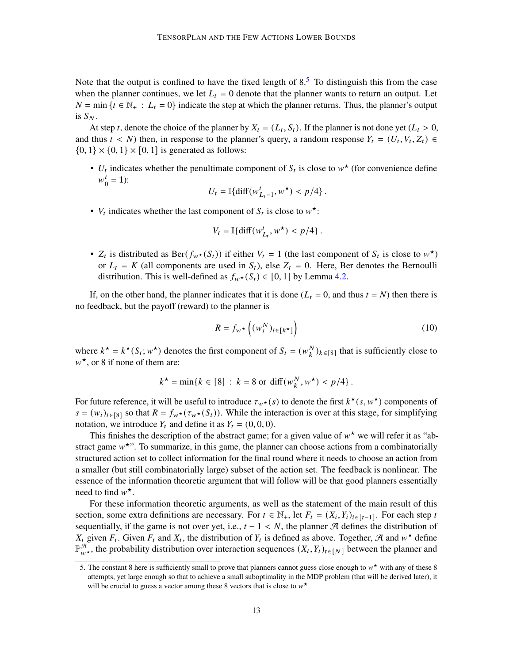Note that the output is confined to have the fixed length of  $8<sup>5</sup>$  $8<sup>5</sup>$  $8<sup>5</sup>$  To distinguish this from the case when the planner continues, we let  $L_t = 0$  denote that the planner wants to return an output. Let  $N = \min \{ t \in \mathbb{N}_+ : L_t = 0 \}$  indicate the step at which the planner returns. Thus, the planner's output is  $S_N$ .

At step t, denote the choice of the planner by  $X_t = (L_t, S_t)$ . If the planner is not done yet  $(L_t > 0, S_t)$ and thus  $t < N$ ) then, in response to the planner's query, a random response  $Y_t = (U_t, V_t, Z_t) \in$  $\{0, 1\} \times \{0, 1\} \times [0, 1]$  is generated as follows:

•  $U_t$  indicates whether the penultimate component of  $S_t$  is close to  $w^*$  (for convenience define  $w^t$  $i_0^t = 1$ :

$$
U_t = \mathbb{I}\{\text{diff}(w_{L_t-1}^t, w^\star) < p/4\}.
$$

•  $V_t$  indicates whether the last component of  $S_t$  is close to  $w^*$ :

$$
V_t = \mathbb{I}\{\text{diff}(w_{L_t}^t, w^\star) < p/4\}.
$$

•  $Z_t$  is distributed as  $\text{Ber}(f_w \star (S_t))$  if either  $V_t = 1$  (the last component of  $S_t$  is close to  $w^*$ ) or  $L_t = K$  (all components are used in  $S_t$ ), else  $Z_t = 0$ . Here, Ber denotes the Bernoulli distribution. This is well-defined as  $f_{w\star}(S_t) \in [0, 1]$  by Lemma [4.2.](#page-13-0)

If, on the other hand, the planner indicates that it is done ( $L_t = 0$ , and thus  $t = N$ ) then there is no feedback, but the payoff (reward) to the planner is

<span id="page-12-1"></span>
$$
R = f_{w^*}\left((w_i^N)_{i \in [k^*]}\right) \tag{10}
$$

where  $k^* = k^*(S_t; w^*)$  denotes the first component of  $S_t = (w_k^N)_{k \in [8]}$  that is sufficiently close to  $w^*$ , or 8 if none of them are:

$$
k^* = \min\{k \in [8] : k = 8 \text{ or } \text{diff}(w_k^N, w^*) < p/4\}.
$$

For future reference, it will be useful to introduce  $\tau_{w^*}(s)$  to denote the first  $k^*(s, w^*)$  components of  $s = (w_i)_{i \in [8]}$  so that  $R = f_{w*}(\tau_{w*}(S_t))$ . While the interaction is over at this stage, for simplifying notation, we introduce  $Y_t$  and define it as  $Y_t = (0, 0, 0)$ .

This finishes the description of the abstract game; for a given value of  $w^*$  we will refer it as "abstract game  $w^*$ ". To summarize, in this game, the planner can choose actions from a combinatorially structured action set to collect information for the final round where it needs to choose an action from a smaller (but still combinatorially large) subset of the action set. The feedback is nonlinear. The essence of the information theoretic argument that will follow will be that good planners essentially need to find  $w^*$ .

For these information theoretic arguments, as well as the statement of the main result of this section, some extra definitions are necessary. For  $t \in \mathbb{N}_+$ , let  $F_t = (X_i, Y_i)_{i \in [t-1]}$ . For each step t sequentially, if the game is not over yet, i.e.,  $t - 1 < N$ , the planner A defines the distribution of  $X_t$  given  $F_t$ . Given  $F_t$  and  $X_t$ , the distribution of  $Y_t$  is defined as above. Together, A and  $w^*$  define  $\mathbb{P}^{\mathcal{A}}_{w^*}$ , the probability distribution over interaction sequences  $(X_t, Y_t)_{t \in [N]}$  between the planner and

<span id="page-12-0"></span><sup>5.</sup> The constant 8 here is sufficiently small to prove that planners cannot guess close enough to  $w^*$  with any of these 8 attempts, yet large enough so that to achieve a small suboptimality in the MDP problem (that will be derived later), it will be crucial to guess a vector among these 8 vectors that is close to  $w^*$ .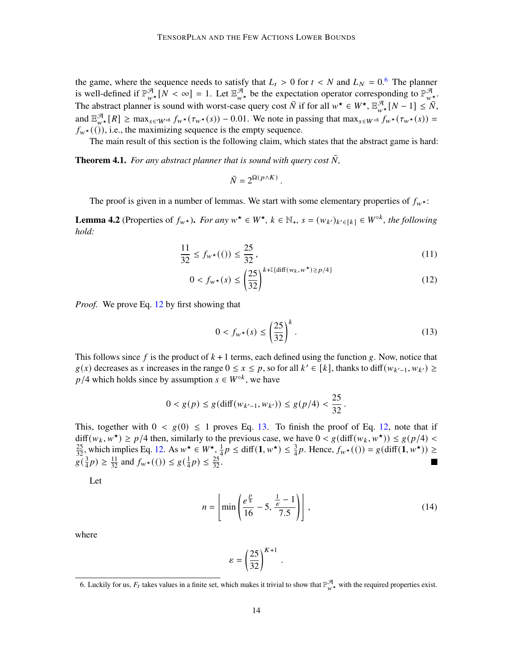the game, where the sequence needs to satisfy that  $L_t > 0$  for  $t < N$  and  $L_N = 0.6$  $L_N = 0.6$  The planner is well-defined if  $\mathbb{P}^{\mathcal{A}}_{w^*}[N] < \infty$  = 1. Let  $\mathbb{E}^{\mathcal{A}}_{w^*}$  be the expectation operator corresponding to  $\mathbb{P}^{\mathcal{A}}_{w^*}$ . The abstract planner is sound with worst-case query cost  $\bar{N}$  if for all  $w^* \in W^*$ ,  $\mathbb{E}^{\mathcal{A}}_{w^*}[N-1] \leq \bar{N}$ , and  $\mathbb{E}_{w^*}^{\mathcal{A}}[R] \ge \max_{s \in \mathcal{W}^{\circ}^8} f_{w^*}(\tau_{w^*}(s)) - 0.01$ . We note in passing that  $\max_{s \in \mathcal{W}^{\circ}^8} f_{w^*}(\tau_{w^*}(s)) =$  $f_{w\star}((\tilde{t}))$ , i.e., the maximizing sequence is the empty sequence.

The main result of this section is the following claim, which states that the abstract game is hard:

<span id="page-13-5"></span>**Theorem 4.1.** For any abstract planner that is sound with query cost  $\bar{N}$ ,

$$
\bar{N}=2^{\Omega(p\wedge K)}\;.
$$

The proof is given in a number of lemmas. We start with some elementary properties of  $f_{w^*}$ :

<span id="page-13-0"></span>**Lemma 4.2** (Properties of  $f_{w^*}$ ). *For any*  $w^* \in W^*$ ,  $k \in \mathbb{N}_+$ ,  $s = (w_{k'})_{k' \in [k]} \in W^{\circ k}$ , the following *hold:*

$$
\frac{11}{32} \le f_{w^*}((1)) \le \frac{25}{32},\tag{11}
$$

$$
0 < f_{w^\star}(s) \le \left(\frac{25}{32}\right)^{k + \mathbb{I}\{\text{diff}(w_k, w^\star) \ge p/4\}}\tag{12}
$$

*Proof.* We prove Eq. [12](#page-13-2) by first showing that

<span id="page-13-3"></span><span id="page-13-2"></span>
$$
0 < f_{w^\star}(s) \le \left(\frac{25}{32}\right)^k. \tag{13}
$$

This follows since f is the product of  $k + 1$  terms, each defined using the function g. Now, notice that  $g(x)$  decreases as x increases in the range  $0 \le x \le p$ , so for all  $k' \in [k]$ , thanks to diff $(w_{k'-1}, w_{k'}) \ge$  $p/4$  which holds since by assumption  $s \in W^{\circ k}$ , we have

$$
0 < g(p) \le g(\text{diff}(w_{k'-1}, w_{k'})) \le g(p/4) < \frac{25}{32}.
$$

This, together with  $0 < g(0) \le 1$  proves Eq. [13.](#page-13-3) To finish the proof of Eq. [12,](#page-13-2) note that if  $diff(w_k, w^*) \ge p/4$  then, similarly to the previous case, we have  $0 < g$ (diff( $w_k, w^*)$ )  $\le g(p/4)$  $\frac{25}{32}$ , which implies Eq. [12.](#page-13-2) As  $w^* \in W^*$ ,  $\frac{1}{4}$  $\frac{1}{4}p \le \text{diff}(\mathbf{1}, w^*) \le \frac{3}{4}p$ . Hence,  $f_{w^*}((\cdot)) = g(\text{diff}(\mathbf{1}, w^*)) \ge$  $g\left(\frac{3}{4}\right)$  $\frac{3}{4}p$ )  $\geq \frac{11}{32}$  and  $f_{w\star}((0) \leq g(\frac{1}{4}))$  $(\frac{1}{4}p) \leq \frac{25}{32}.$ 

Let

$$
n = \left[ \min \left( \frac{e^{\frac{p}{8}}}{16} - 5, \frac{\frac{1}{6} - 1}{7.5} \right) \right],
$$
 (14)

where

$$
\varepsilon = \left(\frac{25}{32}\right)^{K+1}
$$

<span id="page-13-4"></span>.

<span id="page-13-1"></span><sup>6.</sup> Luckily for us,  $F_t$  takes values in a finite set, which makes it trivial to show that  $\mathbb{P}^{\mathcal{F}}_{w^*}$  with the required properties exist.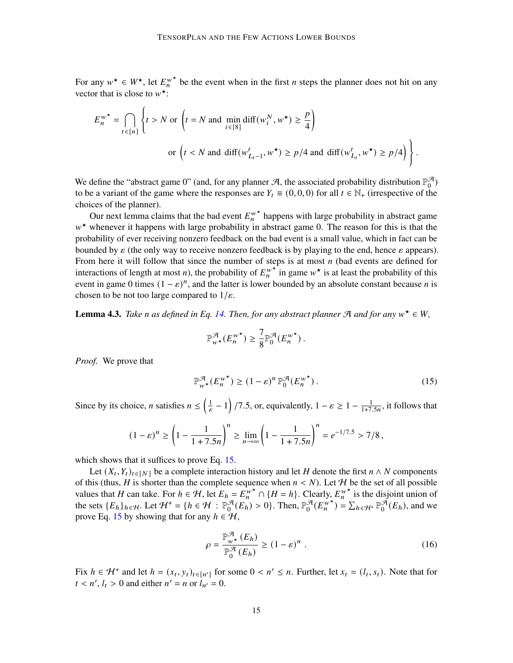For any  $w^* \in W^*$ , let  $E_n^{w^*}$  be the event when in the first *n* steps the planner does not hit on any vector that is close to  $w^*$ :

$$
E_n^{w^*} = \bigcap_{t \in [n]} \left\{ t > N \text{ or } \left( t = N \text{ and } \min_{i \in [8]} \text{diff}(w_i^N, w^*) \ge \frac{p}{4} \right) \right\}
$$
  
or 
$$
\left( t < N \text{ and } \text{diff}(w_{L_t-1}^t, w^*) \ge p/4 \text{ and } \text{diff}(w_{L_t}^t, w^*) \ge p/4 \right) \right\}.
$$

We define the "abstract game 0" (and, for any planner A, the associated probability distribution  $\mathbb{P}_0^{\mathcal{A}}$  $_0^{\mathcal{H}})$ to be a variant of the game where the responses are  $Y_t \equiv (0, 0, 0)$  for all  $t \in \mathbb{N}_+$  (irrespective of the choices of the planner).

Our next lemma claims that the bad event  $E_n^{\psi^*}$  happens with large probability in abstract game  $w^*$  whenever it happens with large probability in abstract game 0. The reason for this is that the probability of ever receiving nonzero feedback on the bad event is a small value, which in fact can be bounded by  $\varepsilon$  (the only way to receive nonzero feedback is by playing to the end, hence  $\varepsilon$  appears). From here it will follow that since the number of steps is at most  $n$  (bad events are defined for interactions of length at most *n*), the probability of  $E_n^{w^*}$  in game  $w^*$  is at least the probability of this event in game 0 times  $(1 - \varepsilon)^n$ , and the latter is lower bounded by an absolute constant because *n* is chosen to be not too large compared to  $1/\varepsilon$ .

<span id="page-14-1"></span>**Lemma 4.3.** *Take n as defined in Eq. [14.](#page-13-4) Then, for any abstract planner A and for any*  $w^* \in W$ ,

<span id="page-14-0"></span>
$$
\mathbb{P}^{\mathcal{A}}_{w^{\star}}(E_n^{w^{\star}}) \geq \frac{7}{8} \mathbb{P}^{\mathcal{A}}_0(E_n^{w^{\star}}).
$$

*Proof.* We prove that

$$
\mathbb{P}^{\mathcal{A}}_{w^{\star}}(E_n^{w^{\star}}) \ge (1 - \varepsilon)^n \mathbb{P}^{\mathcal{A}}_0(E_n^{w^{\star}}).
$$
 (15)

Since by its choice, *n* satisfies  $n \leq (\frac{1}{\varepsilon} - 1)$  /7.5, or, equivalently,  $1 - \varepsilon \geq 1 - \frac{1}{1 + 7.5n}$ , it follows that

$$
(1 - \varepsilon)^n \ge \left(1 - \frac{1}{1 + 7.5n}\right)^n \ge \lim_{n \to \infty} \left(1 - \frac{1}{1 + 7.5n}\right)^n = e^{-1/7.5} > 7/8,
$$

which shows that it suffices to prove Eq. [15.](#page-14-0)

Let  $(X_t, Y_t)_{t \in [N]}$  be a complete interaction history and let H denote the first  $n \wedge N$  components of this (thus, H is shorter than the complete sequence when  $n < N$ ). Let H be the set of all possible values that H can take. For  $h \in H$ , let  $E_h = E_h^{w^*} \cap \{H = h\}$ . Clearly,  $E_h^{w^*}$  is the disjoint union of the sets  ${E_h}_{h \in H}$ . Let  $H^+ = {h \in H : \mathbb{P}_0^H}$  $_{0}^{\mathcal{A}}(E_{h}) > 0$ . Then,  $\mathbb{P}_{0}^{\mathcal{A}}$  $\mathcal{A}(E_n^{w^*}) = \sum_{h \in \mathcal{H}^+} \mathbb{P}_0^{\mathcal{A}}$  $_{0}^{\mathcal{A}}(E_h)$ , and we prove Eq. [15](#page-14-0) by showing that for any  $h \in \mathcal{H}$ ,

$$
\rho = \frac{\mathbb{P}_{w^*}^{\mathcal{A}}(E_h)}{\mathbb{P}_0^{\mathcal{A}}(E_h)} \ge (1 - \varepsilon)^n . \tag{16}
$$

Fix  $h \in \mathcal{H}^+$  and let  $h = (x_t, y_t)_{t \in [n']}$  for some  $0 < n' \le n$ . Further, let  $x_t = (l_t, s_t)$ . Note that for  $t < n', l_t > 0$  and either  $n' = n$  or  $l_{n'} = 0$ .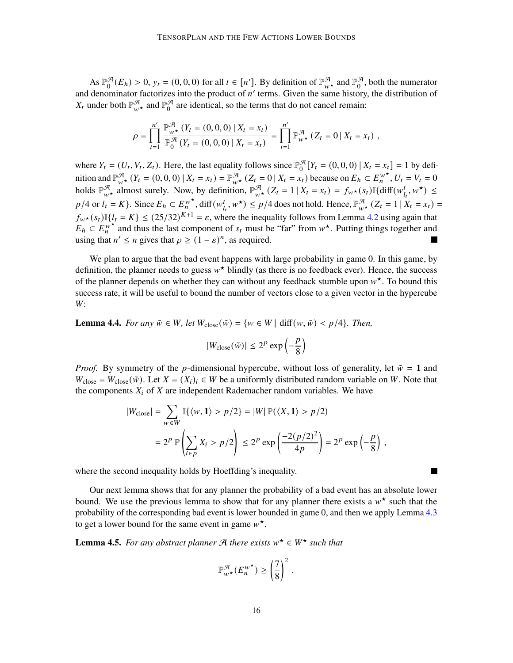As  $\mathbb{P}_{0}^{\mathcal{A}}$  $\mathcal{A}(E_h) > 0$ ,  $y_t = (0, 0, 0)$  for all  $t \in [n']$ . By definition of  $\mathbb{P}_{w^*}^{\mathcal{A}}$  and  $\mathbb{P}_0^{\mathcal{A}}$  $\frac{a}{0}$ , both the numerator and denominator factorizes into the product of  $n'$  terms. Given the same history, the distribution of  $X_t$  under both  $\mathbb{P}^{\mathcal{A}}_{w^{\star}}$  and  $\mathbb{P}^{\mathcal{A}}_0$  $\frac{a}{0}$  are identical, so the terms that do not cancel remain:

$$
\rho = \prod_{t=1}^{n'} \frac{\mathbb{P}_{w^*}^{\mathcal{A}}(Y_t = (0,0,0) | X_t = x_t)}{\mathbb{P}_0^{\mathcal{A}}(Y_t = (0,0,0) | X_t = x_t)} = \prod_{t=1}^{n'} \mathbb{P}_{w^*}^{\mathcal{A}}(Z_t = 0 | X_t = x_t),
$$

where  $Y_t = (U_t, V_t, Z_t)$ . Here, the last equality follows since  $\mathbb{P}_0^{\mathcal{A}}$  $\mathcal{F}_0$  [Y<sub>t</sub> = (0, 0, 0) | X<sub>t</sub> = x<sub>t</sub>] = 1 by definition and  $\mathbb{P}_{w^*}^{\mathcal{A}}(Y_t = (0,0,0) | X_t = x_t) = \mathbb{P}_{w^*}^{\mathcal{A}}(Z_t = 0 | X_t = x_t)$  because on  $E_h \subset E_n^{w^*}, U_t = V_t = 0$ holds  $\mathbb{P}_{w^*}^{\mathcal{A}}$  almost surely. Now, by definition,  $\mathbb{P}_{w^*}^{\mathcal{A}}(Z_t = 1 | X_t = x_t) = f_{w^*}(s_t) \mathbb{I}\{\text{diff}(w_{l_t}^t, w^*) \leq$  $p/4$  or  $l_t = K$ . Since  $E_h \subset E_n^{w^*}$ , diff $(w_t^t, w^*) \leq p/4$  does not hold. Hence,  $\mathbb{P}_{w^*}^{\mathcal{A}}(Z_t = 1 | X_t = x_t) =$  $f_{w\star}(s_t)\mathbb{I}\{l_t = K\} \leq (25/32)^{K+1} = \varepsilon$ , where the inequality follows from Lemma [4.2](#page-13-0) using again that  $E_h \subset E_h^{w^*}$  and thus the last component of  $s_t$  must be "far" from  $w^*$ . Putting things together and using that  $n' \le n$  gives that  $\rho \ge (1 - \varepsilon)^n$ , as required.

We plan to argue that the bad event happens with large probability in game 0. In this game, by definition, the planner needs to guess  $w^*$  blindly (as there is no feedback ever). Hence, the success of the planner depends on whether they can without any feedback stumble upon  $w^*$ . To bound this success rate, it will be useful to bound the number of vectors close to a given vector in the hypercube W:

<span id="page-15-0"></span>**Lemma 4.4.** *For any*  $\tilde{w} \in W$ , *let*  $W_{\text{close}}(\tilde{w}) = \{w \in W | \text{diff}(w, \tilde{w}) < p/4\}$ . *Then,* 

$$
|W_{\text{close}}(\tilde{w})| \le 2^p \exp\left(-\frac{p}{8}\right)
$$

*Proof.* By symmetry of the *p*-dimensional hypercube, without loss of generality, let  $\tilde{w} = 1$  and  $W_{\text{close}} = W_{\text{close}}(\tilde{w})$ . Let  $X = (X_i)_i \in W$  be a uniformly distributed random variable on W. Note that the components  $X_i$  of  $X$  are independent Rademacher random variables. We have

$$
|W_{\text{close}}| = \sum_{w \in W} \mathbb{I}\{\langle w, 1 \rangle > p/2\} = |W| \mathbb{P}(\langle X, 1 \rangle > p/2)
$$

$$
= 2^p \mathbb{P}\left(\sum_{i \in p} X_i > p/2\right) \le 2^p \exp\left(\frac{-2(p/2)^2}{4p}\right) = 2^p \exp\left(-\frac{p}{8}\right),
$$

where the second inequality holds by Hoeffding's inequality.

Our next lemma shows that for any planner the probability of a bad event has an absolute lower bound. We use the previous lemma to show that for any planner there exists a  $w^*$  such that the probability of the corresponding bad event is lower bounded in game 0, and then we apply Lemma [4.3](#page-14-1) to get a lower bound for the same event in game  $w^*$ .

<span id="page-15-1"></span>**Lemma 4.5.** For any abstract planner  $\mathcal{A}$  there exists  $w^* \in W^*$  such that

$$
\mathbb{P}^{\mathcal{A}}_{w^{\star}}(E_n^{w^{\star}}) \ge \left(\frac{7}{8}\right)^2.
$$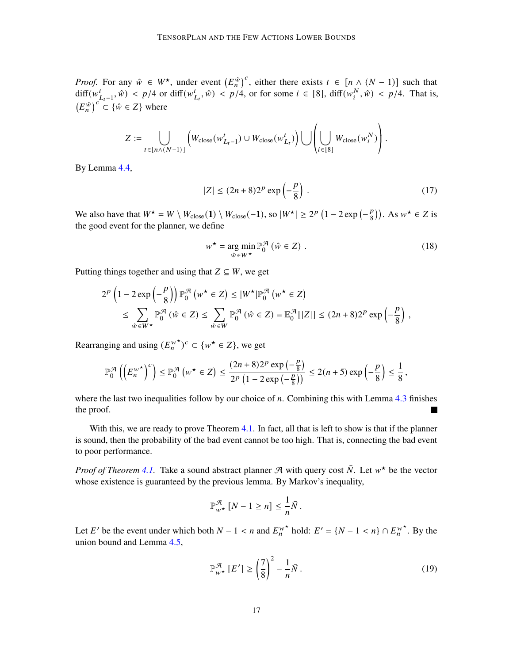*Proof.* For any  $\hat{w} \in W^*$ , under event  $(E_n^{\hat{w}})^c$ , either there exists  $t \in [n \wedge (N-1)]$  such that  $\text{diff}(w_{L_t-1}^t, \hat{w}) < p/4$  or  $\text{diff}(w_{L_t}^t, \hat{w}) < p/4$ , or for some  $i \in [8]$ ,  $\text{diff}(w_i^N, \hat{w}) < p/4$ . That is,  $(E_n^{\hat{w}})^c \subset {\hat{w} \in Z}$  where

$$
Z := \bigcup_{t \in [n \wedge (N-1)]} \left( W_{\text{close}}(w_{L_t-1}^t) \cup W_{\text{close}}(w_{L_t}^t) \right) \bigcup \left( \bigcup_{i \in [8]} W_{\text{close}}(w_i^N) \right).
$$

By Lemma [4.4,](#page-15-0)

$$
|Z| \le (2n+8)2^p \exp\left(-\frac{p}{8}\right). \tag{17}
$$

We also have that  $W^* = W \setminus W_{close}(1) \setminus W_{close}(-1)$ , so  $|W^*| \geq 2^p (1 - 2 \exp(-\frac{p}{8}))$  $\left(\frac{p}{8}\right)$ ). As  $w^* \in Z$  is the good event for the planner, we define

$$
w^{\star} = \underset{\hat{w} \in W^{\star}}{\arg \min} \mathbb{P}_{0}^{\mathcal{A}} \left( \hat{w} \in Z \right) . \tag{18}
$$

Putting things together and using that  $Z \subseteq W$ , we get

$$
2^{p} \left(1 - 2 \exp\left(-\frac{p}{8}\right)\right) \mathbb{P}_{0}^{\mathcal{A}}\left(w^{\star} \in Z\right) \leq |W^{\star}| \mathbb{P}_{0}^{\mathcal{A}}\left(w^{\star} \in Z\right)
$$
  
\$\leq \sum\_{\hat{w} \in W^{\star}} \mathbb{P}\_{0}^{\mathcal{A}}\left(\hat{w} \in Z\right) \leq \sum\_{\hat{w} \in W} \mathbb{P}\_{0}^{\mathcal{A}}\left(\hat{w} \in Z\right) = \mathbb{E}\_{0}^{\mathcal{A}}[|Z|] \leq (2n+8)2^{p} \exp\left(-\frac{p}{8}\right),

Rearranging and using  $(E_n^{\psi^*})^c \subset \{w^* \in Z\}$ , we get

$$
\mathbb{P}_0^{\mathcal{A}}\left(\left(E_n^{w^\star}\right)^c\right) \leq \mathbb{P}_0^{\mathcal{A}}\left(w^\star \in Z\right) \leq \frac{(2n+8)2^p \exp\left(-\frac{p}{8}\right)}{2^p \left(1-2 \exp\left(-\frac{p}{8}\right)\right)} \leq 2(n+5) \exp\left(-\frac{p}{8}\right) \leq \frac{1}{8},
$$

where the last two inequalities follow by our choice of  $n$ . Combining this with Lemma [4.3](#page-14-1) finishes the proof.  $\blacksquare$ 

With this, we are ready to prove Theorem [4.1.](#page-13-5) In fact, all that is left to show is that if the planner is sound, then the probability of the bad event cannot be too high. That is, connecting the bad event to poor performance.

*Proof of Theorem [4.1.](#page-13-5)* Take a sound abstract planner  $\mathcal{A}$  with query cost  $\overline{N}$ . Let  $w^*$  be the vector whose existence is guaranteed by the previous lemma. By Markov's inequality,

$$
\mathbb{P}^{\mathcal{A}}_{w^*}[N-1 \geq n] \leq \frac{1}{n}\bar{N}.
$$

Let E' be the event under which both  $N - 1 < n$  and  $E_n^{w^*}$  hold:  $E' = \{N - 1 < n\} \cap E_n^{w^*}$ . By the union bound and Lemma [4.5,](#page-15-1)

$$
\mathbb{P}_{w^*}^{\mathcal{A}}\left[E'\right] \ge \left(\frac{7}{8}\right)^2 - \frac{1}{n}\bar{N} \,. \tag{19}
$$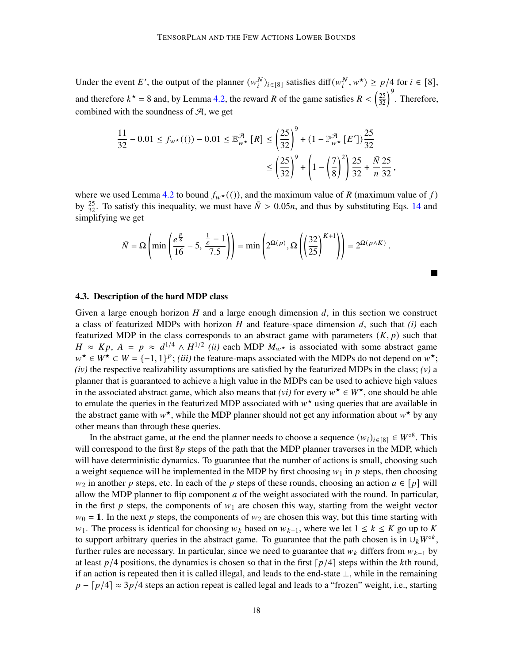Under the event E', the output of the planner  $(w_i^N)_{i \in [8]}$  satisfies diff $(w_i^N, w^*) \ge p/4$  for  $i \in [8]$ , and therefore  $k^* = 8$  and, by Lemma [4.2,](#page-13-0) the reward R of the game satisfies  $R < (\frac{25}{32})^9$ . Therefore, combined with the soundness of  $A$ , we get

$$
\frac{11}{32} - 0.01 \le f_{w^*}((1)) - 0.01 \le \mathbb{E}_{w^*}^{\mathcal{A}}[R] \le \left(\frac{25}{32}\right)^9 + (1 - \mathbb{P}_{w^*}^{\mathcal{A}}[E'])\frac{25}{32}
$$

$$
\le \left(\frac{25}{32}\right)^9 + \left(1 - \left(\frac{7}{8}\right)^2\right)\frac{25}{32} + \frac{\bar{N}}{n}\frac{25}{32},
$$

where we used Lemma [4.2](#page-13-0) to bound  $f_{w^*}((\cdot))$ , and the maximum value of R (maximum value of f) by  $\frac{25}{32}$ . To satisfy this inequality, we must have  $\bar{N} > 0.05n$ , and thus by substituting Eqs. [14](#page-13-4) and simplifying we get

$$
\bar{N} = \Omega \left( \min \left( \frac{e^{\frac{p}{8}}}{16} - 5, \frac{\frac{1}{\varepsilon} - 1}{7.5} \right) \right) = \min \left( 2^{\Omega(p)}, \Omega \left( \left( \frac{32}{25} \right)^{K+1} \right) \right) = 2^{\Omega(p \wedge K)}.
$$

M

#### <span id="page-17-0"></span>4.3. Description of the hard MDP class

Given a large enough horizon  $H$  and a large enough dimension  $d$ , in this section we construct a class of featurized MDPs with horizon  $H$  and feature-space dimension  $d$ , such that  $(i)$  each featurized MDP in the class corresponds to an abstract game with parameters  $(K, p)$  such that  $H \approx Kp$ ,  $A = p \approx d^{1/4} \wedge H^{1/2}$  *(ii)* each MDP  $M_{w^*}$  is associated with some abstract game  $w^* \in W^* \subset W = \{-1, 1\}^p$ ; *(iii)* the feature-maps associated with the MDPs do not depend on  $w^*$ ; *(iv)* the respective realizability assumptions are satisfied by the featurized MDPs in the class; *(v)* a planner that is guaranteed to achieve a high value in the MDPs can be used to achieve high values in the associated abstract game, which also means that *(vi)* for every  $w^* \in W^*$ , one should be able to emulate the queries in the featurized MDP associated with  $w^*$  using queries that are available in the abstract game with  $w^*$ , while the MDP planner should not get any information about  $w^*$  by any other means than through these queries.

In the abstract game, at the end the planner needs to choose a sequence  $(w_i)_{i \in [8]} \in W^{\circ 8}$ . This will correspond to the first  $8p$  steps of the path that the MDP planner traverses in the MDP, which will have deterministic dynamics. To guarantee that the number of actions is small, choosing such a weight sequence will be implemented in the MDP by first choosing  $w_1$  in  $p$  steps, then choosing  $w_2$  in another p steps, etc. In each of the p steps of these rounds, choosing an action  $a \in [p]$  will allow the MDP planner to flip component  $a$  of the weight associated with the round. In particular, in the first  $p$  steps, the components of  $w_1$  are chosen this way, starting from the weight vector  $w_0 = 1$ . In the next p steps, the components of  $w_2$  are chosen this way, but this time starting with  $w_1$ . The process is identical for choosing  $w_k$  based on  $w_{k-1}$ , where we let  $1 \le k \le K$  go up to K to support arbitrary queries in the abstract game. To guarantee that the path chosen is in  $\bigcup_k W^{\circ k}$ , further rules are necessary. In particular, since we need to guarantee that  $w_k$  differs from  $w_{k-1}$  by at least  $p/4$  positions, the dynamics is chosen so that in the first  $\lceil p/4 \rceil$  steps within the kth round, if an action is repeated then it is called illegal, and leads to the end-state ⊥, while in the remaining  $p - \lceil p/4 \rceil \approx 3p/4$  steps an action repeat is called legal and leads to a "frozen" weight, i.e., starting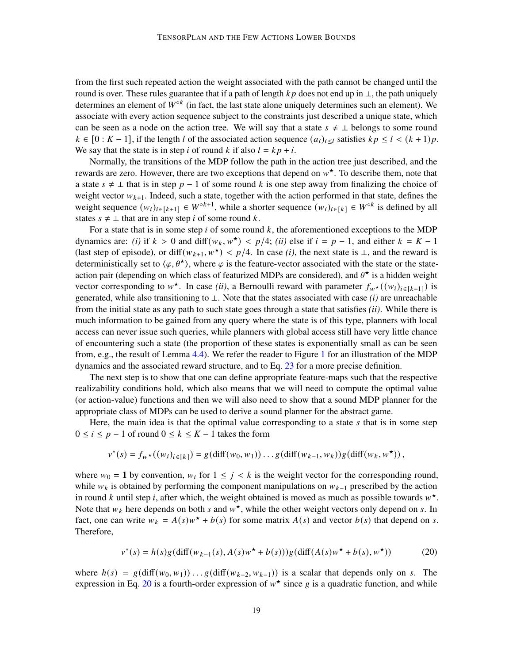from the first such repeated action the weight associated with the path cannot be changed until the round is over. These rules guarantee that if a path of length  $kp$  does not end up in  $\perp$ , the path uniquely determines an element of  $W^{\circ k}$  (in fact, the last state alone uniquely determines such an element). We associate with every action sequence subject to the constraints just described a unique state, which can be seen as a node on the action tree. We will say that a state  $s \neq \bot$  belongs to some round  $k \in [0: K-1]$ , if the length l of the associated action sequence  $(a_i)_{i \leq l}$  satisfies  $kp \leq l < (k+1)p$ . We say that the state is in step *i* of round *k* if also  $l = kp + i$ .

Normally, the transitions of the MDP follow the path in the action tree just described, and the rewards are zero. However, there are two exceptions that depend on  $w^*$ . To describe them, note that a state  $s \neq \perp$  that is in step  $p-1$  of some round k is one step away from finalizing the choice of weight vector  $w_{k+1}$ . Indeed, such a state, together with the action performed in that state, defines the weight sequence  $(w_i)_{i \in [k+1]} \in W^{\circ k+1}$ , while a shorter sequence  $(w_i)_{i \in [k]} \in W^{\circ k}$  is defined by all states  $s \neq \bot$  that are in any step *i* of some round *k*.

For a state that is in some step  $i$  of some round  $k$ , the aforementioned exceptions to the MDP dynamics are: *(i)* if  $k > 0$  and diff $(w_k, w^*) < p/4$ ; *(ii)* else if  $i = p - 1$ , and either  $k = K - 1$ (last step of episode), or diff $(w_{k+1}, w^*)$  <  $p/4$ . In case *(i)*, the next state is  $\perp$ , and the reward is deterministically set to  $\langle \varphi, \theta^* \rangle$ , where  $\varphi$  is the feature-vector associated with the state or the stateaction pair (depending on which class of featurized MDPs are considered), and  $\theta^{\star}$  is a hidden weight vector corresponding to  $w^*$ . In case *(ii)*, a Bernoulli reward with parameter  $f_w \star ((w_i)_{i \in [k+1]})$  is generated, while also transitioning to  $\perp$ . Note that the states associated with case *(i)* are unreachable from the initial state as any path to such state goes through a state that satisfies *(ii)*. While there is much information to be gained from any query where the state is of this type, planners with local access can never issue such queries, while planners with global access still have very little chance of encountering such a state (the proportion of these states is exponentially small as can be seen from, e.g., the result of Lemma [4.4\)](#page-15-0). We refer the reader to Figure [1](#page-19-0) for an illustration of the MDP dynamics and the associated reward structure, and to Eq. [23](#page-21-0) for a more precise definition.

The next step is to show that one can define appropriate feature-maps such that the respective realizability conditions hold, which also means that we will need to compute the optimal value (or action-value) functions and then we will also need to show that a sound MDP planner for the appropriate class of MDPs can be used to derive a sound planner for the abstract game.

Here, the main idea is that the optimal value corresponding to a state  $s$  that is in some step  $0 \le i \le p - 1$  of round  $0 \le k \le K - 1$  takes the form

$$
v^*(s) = f_{w^*}((w_i)_{i \in [k]}) = g(\text{diff}(w_0, w_1)) \dots g(\text{diff}(w_{k-1}, w_k)) g(\text{diff}(w_k, w^*)),
$$

where  $w_0 = 1$  by convention,  $w_i$  for  $1 \leq j \leq k$  is the weight vector for the corresponding round, while  $w_k$  is obtained by performing the component manipulations on  $w_{k-1}$  prescribed by the action in round k until step i, after which, the weight obtained is moved as much as possible towards  $w^*$ . Note that  $w_k$  here depends on both s and  $w^*$ , while the other weight vectors only depend on s. In fact, one can write  $w_k = A(s)w^* + b(s)$  for some matrix  $A(s)$  and vector  $b(s)$  that depend on s. Therefore,

<span id="page-18-0"></span>
$$
v^*(s) = h(s)g(\text{diff}(w_{k-1}(s), A(s)w^* + b(s)))g(\text{diff}(A(s)w^* + b(s), w^*))
$$
(20)

where  $h(s) = g(\text{diff}(w_0, w_1)) \dots g(\text{diff}(w_{k-2}, w_{k-1}))$  is a scalar that depends only on s. The expression in Eq. [20](#page-18-0) is a fourth-order expression of  $w^*$  since g is a quadratic function, and while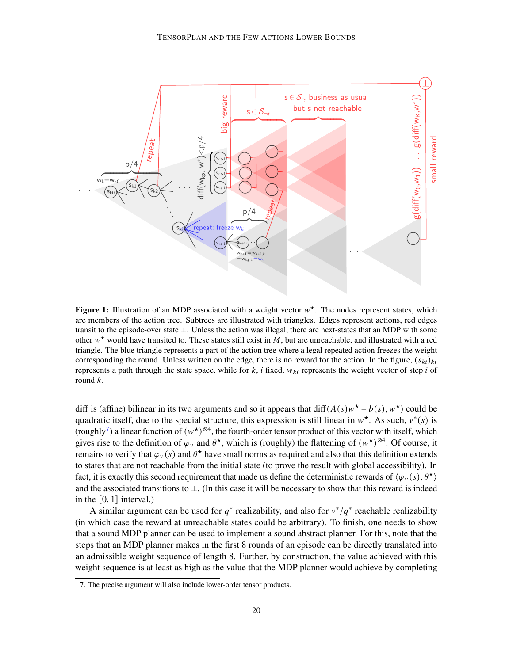<span id="page-19-0"></span>

Figure 1: Illustration of an MDP associated with a weight vector  $w^*$ . The nodes represent states, which are members of the action tree. Subtrees are illustrated with triangles. Edges represent actions, red edges transit to the episode-over state ⊥. Unless the action was illegal, there are next-states that an MDP with some other  $w^*$  would have transited to. These states still exist in M, but are unreachable, and illustrated with a red triangle. The blue triangle represents a part of the action tree where a legal repeated action freezes the weight corresponding the round. Unless written on the edge, there is no reward for the action. In the figure,  $(s_{ki})_{ki}$ represents a path through the state space, while for  $k$ , i fixed,  $w_{ki}$  represents the weight vector of step i of round  $k$ .

diff is (affine) bilinear in its two arguments and so it appears that  $diff(A(s)w^* + b(s), w^*)$  could be quadratic itself, due to the special structure, this expression is still linear in  $w^*$ . As such,  $v^*(s)$  is (roughly<sup>[7](#page-19-1)</sup>) a linear function of  $(w^*)^{\otimes 4}$ , the fourth-order tensor product of this vector with itself, which gives rise to the definition of  $\varphi_v$  and  $\theta^*$ , which is (roughly) the flattening of  $(w^*)^{\otimes 4}$ . Of course, it remains to verify that  $\varphi_v(s)$  and  $\theta^*$  have small norms as required and also that this definition extends to states that are not reachable from the initial state (to prove the result with global accessibility). In fact, it is exactly this second requirement that made us define the deterministic rewards of  $\langle \varphi_{v}(s), \theta^{\star} \rangle$ and the associated transitions to ⊥. (In this case it will be necessary to show that this reward is indeed in the [0, 1] interval.)

A similar argument can be used for  $q^*$  realizability, and also for  $v^*/q^*$  reachable realizability (in which case the reward at unreachable states could be arbitrary). To finish, one needs to show that a sound MDP planner can be used to implement a sound abstract planner. For this, note that the steps that an MDP planner makes in the first 8 rounds of an episode can be directly translated into an admissible weight sequence of length 8. Further, by construction, the value achieved with this weight sequence is at least as high as the value that the MDP planner would achieve by completing

<span id="page-19-1"></span><sup>7.</sup> The precise argument will also include lower-order tensor products.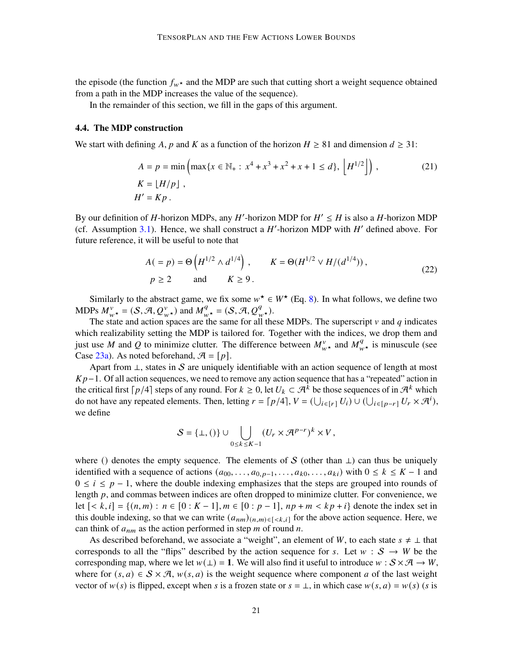the episode (the function  $f_{w^*}$  and the MDP are such that cutting short a weight sequence obtained from a path in the MDP increases the value of the sequence).

In the remainder of this section, we fill in the gaps of this argument.

### 4.4. The MDP construction

We start with defining A, p and K as a function of the horizon  $H \ge 81$  and dimension  $d \ge 31$ :

<span id="page-20-0"></span>
$$
A = p = \min\left(\max\{x \in \mathbb{N}_+ : x^4 + x^3 + x^2 + x + 1 \le d\}, \, \left\lfloor H^{1/2} \right\rfloor\right),\tag{21}
$$
\n
$$
K = \lfloor H/p \rfloor,
$$
\n
$$
H' = Kp.
$$

By our definition of H-horizon MDPs, any H'-horizon MDP for  $H' \leq H$  is also a H-horizon MDP (cf. Assumption [3.1\)](#page-7-0). Hence, we shall construct a  $H'$ -horizon MDP with  $H'$  defined above. For future reference, it will be useful to note that

<span id="page-20-1"></span>
$$
A(=p) = \Theta\left(H^{1/2} \wedge d^{1/4}\right), \qquad K = \Theta(H^{1/2} \vee H/(d^{1/4})),
$$
  
  $p \ge 2$  and  $K \ge 9$ . (22)

Similarly to the abstract game, we fix some  $w^* \in W^*$  (Eq. [8\)](#page-11-2). In what follows, we define two MDPs  $M_{w\star}^v = (\mathcal{S}, \mathcal{A}, Q_{w\star}^v)$  and  $M_{w\star}^q = (\mathcal{S}, \mathcal{A}, Q_{w\star}^q)$ .

The state and action spaces are the same for all these MDPs. The superscript  $\nu$  and  $q$  indicates which realizability setting the MDP is tailored for. Together with the indices, we drop them and just use M and Q to minimize clutter. The difference between  $M_{w\star}^v$  and  $M_{w\star}^q$  is minuscule (see Case [23a\)](#page-21-0). As noted beforehand,  $\mathcal{A} = [p]$ .

Apart from  $\perp$ , states in S are uniquely identifiable with an action sequence of length at most  $Kp-1$ . Of all action sequences, we need to remove any action sequence that has a "repeated" action in the critical first  $\lceil p/4 \rceil$  steps of any round. For  $k \ge 0$ , let  $U_k \subset \mathcal{A}^{\overline{k}}$  be those sequences of in  $\mathcal{A}^k$  which do not have any repeated elements. Then, letting  $r = \lceil p/4 \rceil$ ,  $V = (\bigcup_{i \in [r]} U_i) \cup (\bigcup_{i \in [p-r]} U_r \times \mathcal{A}^i)$ , we define

$$
S = \{\bot, ()\} \cup \bigcup_{0 \leq k \leq K-1} (U_r \times \mathcal{A}^{p-r})^k \times V,
$$

where () denotes the empty sequence. The elements of S (other than  $\perp$ ) can thus be uniquely identified with a sequence of actions  $(a_{00}, \ldots, a_{0,p-1}, \ldots, a_{k0}, \ldots, a_{ki})$  with  $0 \le k \le K - 1$  and  $0 \le i \le p - 1$ , where the double indexing emphasizes that the steps are grouped into rounds of length  $p$ , and commas between indices are often dropped to minimize clutter. For convenience, we let  $[< k, i] = \{(n, m) : n \in [0 : K - 1], m \in [0 : p - 1], np + m < kp + i\}$  denote the index set in this double indexing, so that we can write  $(a_{nm})_{(n,m)\in\{-k,i\}}$  for the above action sequence. Here, we can think of  $a_{nm}$  as the action performed in step  $m$  of round  $n$ .

As described beforehand, we associate a "weight", an element of W, to each state  $s \neq \perp$  that corresponds to all the "flips" described by the action sequence for s. Let  $w : S \to W$  be the corresponding map, where we let  $w(\perp) = 1$ . We will also find it useful to introduce  $w : S \times A \rightarrow W$ , where for  $(s, a) \in S \times \mathcal{A}$ ,  $w(s, a)$  is the weight sequence where component a of the last weight vector of  $w(s)$  is flipped, except when s is a frozen state or  $s = \perp$ , in which case  $w(s, a) = w(s)$  (s is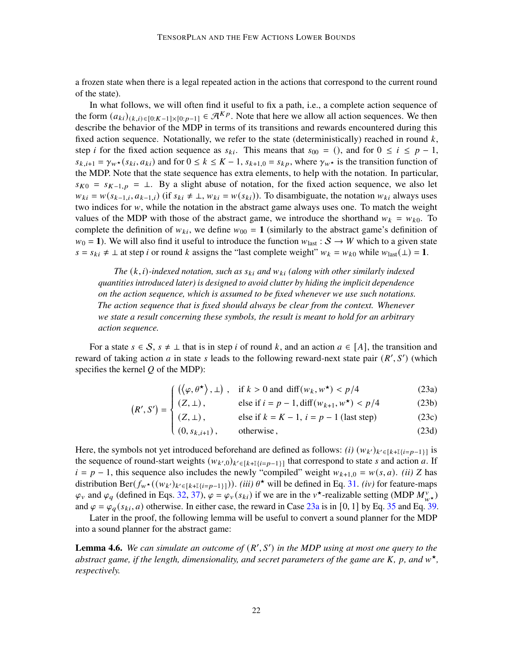a frozen state when there is a legal repeated action in the actions that correspond to the current round of the state).

In what follows, we will often find it useful to fix a path, i.e., a complete action sequence of the form  $(a_{ki})_{(k,i)\in[0:K-1]\times[0:W-1]}\in\mathcal{A}^{Kp}$ . Note that here we allow all action sequences. We then describe the behavior of the MDP in terms of its transitions and rewards encountered during this fixed action sequence. Notationally, we refer to the state (deterministically) reached in round  $k$ , step *i* for the fixed action sequence as  $s_{ki}$ . This means that  $s_{00} = ()$ , and for  $0 \le i \le p - 1$ ,  $s_{k,i+1} = \gamma_{w^*}(s_{ki}, a_{ki})$  and for  $0 \le k \le K-1$ ,  $s_{k+1,0} = s_{kp}$ , where  $\gamma_{w^*}$  is the transition function of the MDP. Note that the state sequence has extra elements, to help with the notation. In particular,  $s_{K0} = s_{K-1,p} = \perp$ . By a slight abuse of notation, for the fixed action sequence, we also let  $w_{ki} = w(s_{k-1,i}, a_{k-1,i})$  (if  $s_{ki} \neq \bot$ ,  $w_{ki} = w(s_{ki})$ ). To disambiguate, the notation  $w_{ki}$  always uses two indices for  $w$ , while the notation in the abstract game always uses one. To match the weight values of the MDP with those of the abstract game, we introduce the shorthand  $w_k = w_{k0}$ . To complete the definition of  $w_{ki}$ , we define  $w_{00} = 1$  (similarly to the abstract game's definition of  $w_0 = 1$ ). We will also find it useful to introduce the function  $w_{\text{last}} : S \to W$  which to a given state  $s = s_{ki} \neq \bot$  at step *i* or round *k* assigns the "last complete weight"  $w_k = w_{k0}$  while  $w_{last}(\bot) = 1$ .

*The*  $(k, i)$ -indexed notation, such as  $s_{ki}$  and  $w_{ki}$  (along with other similarly indexed *quantities introduced later) is designed to avoid clutter by hiding the implicit dependence on the action sequence, which is assumed to be fixed whenever we use such notations. The action sequence that is fixed should always be clear from the context. Whenever we state a result concerning these symbols, the result is meant to hold for an arbitrary action sequence.*

For a state  $s \in S$ ,  $s \neq \bot$  that is in step i of round k, and an action  $a \in [A]$ , the transition and reward of taking action  $a$  in state  $s$  leads to the following reward-next state pair  $(R', S')$  (which specifies the kernel  $Q$  of the MDP):

$$
\left( \left( \left\langle \varphi, \theta^{\star} \right\rangle, \bot \right), \quad \text{if } k > 0 \text{ and } \text{diff}(w_k, w^{\star}) < p/4 \right) \tag{23a}
$$

$$
(R', S') = \begin{cases} (\sqrt{\varphi}, 0^{\prime}/, \pm) , & \text{if } k > 0 \text{ and } \dim(w_k, w_{\ell}) < p/4 \\ (Z, \pm) , & \text{else if } i = p - 1, \dim(w_{k+1}, w^*) < p/4 \end{cases} \tag{23b}
$$

$$
I = \begin{cases} (Z, \perp), & \text{else if } k = K - 1, i = p - 1 \text{ (last step)}\\ (0, s_{k, i+1}), & \text{otherwise,} \end{cases} (23c)
$$

$$
(0, s_{k,i+1}), \qquad \text{otherwise}, \tag{23d}
$$

<span id="page-21-0"></span>Here, the symbols not yet introduced beforehand are defined as follows: *(i)*  $(w_{k'})_{k' \in [k+1] {i=p-1}]}$  is the sequence of round-start weights  $(w_{k',0})_{k' \in [k+1] \{i=p-1\}]}$  that correspond to state s and action a. If  $i = p - 1$ , this sequence also includes the newly "compiled" weight  $w_{k+1,0} = w(s, a)$ . *(ii)* Z has distribution Ber( $f_{w^*}((w_{k'})_{k' \in [k+1]\{i=p-1\}]})$ ). *(iii)*  $\theta^*$  will be defined in Eq. [31.](#page-27-0) *(iv)* for feature-maps  $\varphi_v$  and  $\varphi_q$  (defined in Eqs. [32,](#page-28-0) [37\)](#page-29-0),  $\varphi = \varphi_v(s_{ki})$  if we are in the  $v^*$ -realizable setting (MDP  $M_{w^*}^{\nu}$ ) and  $\varphi = \varphi_q(s_{ki}, a)$  otherwise. In either case, the reward in Case [23a](#page-21-0) is in [0, 1] by Eq. [35](#page-28-1) and Eq. [39.](#page-29-1)

J.

Later in the proof, the following lemma will be useful to convert a sound planner for the MDP into a sound planner for the abstract game:

<span id="page-21-1"></span>**Lemma 4.6.** We can simulate an outcome of  $(R', S')$  in the MDP using at most one query to the *abstract game, if the length, dimensionality, and secret parameters of the game are*  $K$ ,  $p$ *, and*  $w^*$ *, respectively.*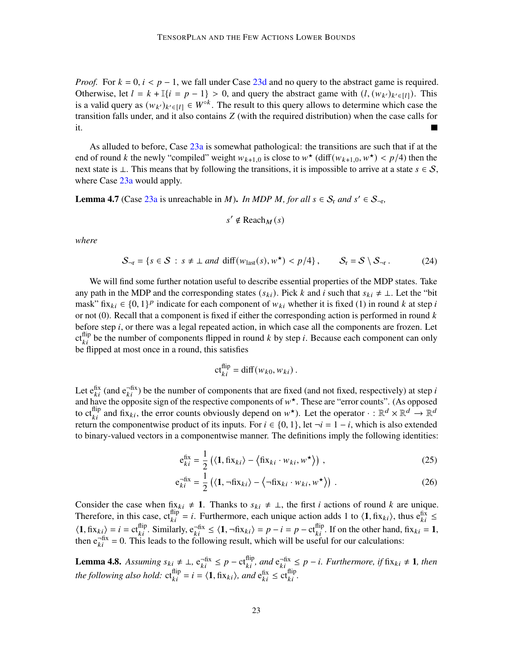*Proof.* For  $k = 0$ ,  $i < p - 1$ , we fall under Case [23d](#page-21-0) and no query to the abstract game is required. Otherwise, let  $l = k + \mathbb{I}\{i = p - 1\} > 0$ , and query the abstract game with  $(l, (w_{k'})_{k' \in [l]})$ . This is a valid query as  $(w_{k'})_{k' \in [1]} \in W^{\circ k}$ . The result to this query allows to determine which case the transition falls under, and it also contains  $Z$  (with the required distribution) when the case calls for it. ٦

As alluded to before, Case [23a](#page-21-0) is somewhat pathological: the transitions are such that if at the end of round k the newly "compiled" weight  $w_{k+1,0}$  is close to  $w^*$  (diff $(w_{k+1,0}, w^*) < p/4$ ) then the next state is ⊥. This means that by following the transitions, it is impossible to arrive at a state  $s \in S$ , where Case [23a](#page-21-0) would apply.

<span id="page-22-1"></span>**Lemma 4.7** (Case [23a](#page-21-0) is unreachable in *M*). *In MDP M, for all*  $s \in S_r$  *and*  $s' \in S_{\neg r}$ ,

$$
s' \notin \text{Reach}_M(s)
$$

*where*

$$
\mathcal{S}_{\neg r} = \{ s \in \mathcal{S} : s \neq \bot \text{ and } \text{diff}(w_{\text{last}}(s), w^{\star}) < p/4 \}, \qquad \mathcal{S}_{r} = \mathcal{S} \setminus \mathcal{S}_{\neg r} \,. \tag{24}
$$

We will find some further notation useful to describe essential properties of the MDP states. Take any path in the MDP and the corresponding states  $(s_{ki})$ . Pick k and i such that  $s_{ki} \neq \bot$ . Let the "bit mask" fix<sub>ki</sub>  $\in \{0, 1\}^p$  indicate for each component of  $w_{ki}$  whether it is fixed (1) in round k at step i or not  $(0)$ . Recall that a component is fixed if either the corresponding action is performed in round  $k$ before step  $i$ , or there was a legal repeated action, in which case all the components are frozen. Let ct<sup>flip</sup> be the number of components flipped in round k by step i. Because each component can only be flipped at most once in a round, this satisfies

<span id="page-22-3"></span><span id="page-22-2"></span>
$$
\mathrm{ct}_{ki}^{\mathrm{flip}} = \mathrm{diff}(w_{k0}, w_{ki}) .
$$

Let  $e_{ki}^{fix}$  (and  $e_{ki}^{-fix}$ ) be the number of components that are fixed (and not fixed, respectively) at step *i* and have the opposite sign of the respective components of  $w^*$ . These are "error counts". (As opposed to  $\text{ct}_{ki}^{\text{flip}}$  and fix<sub>ki</sub>, the error counts obviously depend on  $w^*$ ). Let the operator  $\cdot : \mathbb{R}^d \times \mathbb{R}^d \to \mathbb{R}^d$ return the componentwise product of its inputs. For  $i \in \{0, 1\}$ , let  $\neg i = 1 - i$ , which is also extended to binary-valued vectors in a componentwise manner. The definitions imply the following identities:

$$
e_{ki}^{fix} = \frac{1}{2} \left( \langle \mathbf{1}, \text{fix}_{ki} \rangle - \langle \text{fix}_{ki} \cdot w_{ki}, w^{\star} \rangle \right), \tag{25}
$$

$$
e_{ki}^{-fix} = \frac{1}{2} \left( \langle 1, \neg fix_{ki} \rangle - \langle \neg fix_{ki} \cdot w_{ki}, w^{\star} \rangle \right) . \tag{26}
$$

Consider the case when fix<sub>ki</sub>  $\neq$  1. Thanks to  $s_{ki} \neq \perp$ , the first *i* actions of round *k* are unique. Therefore, in this case,  $ct_{ki}^{flip} = i$ . Furthermore, each unique action adds 1 to  $\langle 1, fix_{ki} \rangle$ , thus  $e_{ki}^{fix} \leq$  $\langle 1, \text{fix}_{ki} \rangle = i = \text{ct}_{ki}^{\text{flip}}$ . Similarly,  $e_{ki}^{-fix} \leq \langle 1, \text{argmin}_{ki} \rangle = p - i = p - \text{ct}_{ki}^{\text{flip}}$ . If on the other hand,  $\text{fix}_{ki} = 1$ , then  $e^{-fix}_{ki} = 0$ . This leads to the following result, which will be useful for our calculations:

<span id="page-22-0"></span>**Lemma 4.8.** Assuming  $s_{ki} \neq \bot$ ,  $e_{ki}^{-fix} \leq p - ct_{ki}^{flip}$ , and  $e_{ki}^{-fix} \leq p - i$ . Furthermore, if fix $_{ki} \neq 1$ , then the following also hold:  $ct_{ki}^{flip} = i = \langle 1, fix_{ki} \rangle$ , and  $e_{ki}^{fix} \le ct_{ki}^{flip}$ .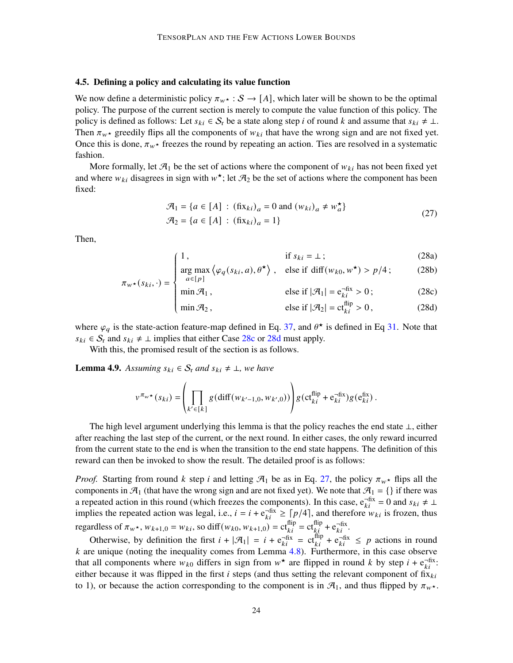#### 4.5. Defining a policy and calculating its value function

We now define a deterministic policy  $\pi_{w^*}: S \to [A]$ , which later will be shown to be the optimal policy. The purpose of the current section is merely to compute the value function of this policy. The policy is defined as follows: Let  $s_{ki} \in S_r$  be a state along step *i* of round *k* and assume that  $s_{ki} \neq \bot$ . Then  $\pi_{w^*}$  greedily flips all the components of  $w_{ki}$  that have the wrong sign and are not fixed yet. Once this is done,  $\pi_{w^*}$  freezes the round by repeating an action. Ties are resolved in a systematic fashion.

More formally, let  $\mathcal{A}_1$  be the set of actions where the component of  $w_{ki}$  has not been fixed yet and where  $w_{ki}$  disagrees in sign with  $w^*$ ; let  $\mathcal{A}_2$  be the set of actions where the component has been fixed:

$$
\mathcal{A}_1 = \{a \in [A] : (\text{fix}_{ki})_a = 0 \text{ and } (w_{ki})_a \neq w_a^{\star}\}\
$$
  

$$
\mathcal{A}_2 = \{a \in [A] : (\text{fix}_{ki})_a = 1\}\
$$
 (27)

<span id="page-23-0"></span>Then,

<span id="page-23-1"></span>
$$
1, \qquad \qquad \text{if } s_{ki} = \bot \, ; \tag{28a}
$$

$$
\mathbf{H} \cdot \mathbf{S}_{kl} = \mathbf{I} \cdot \mathbf{S}_{kl}
$$
\n
$$
\mathbf{H} \cdot \mathbf{S}_{kl} = \mathbf{I} \cdot \mathbf{S}_{kl}
$$
\n
$$
\mathbf{H} \cdot \mathbf{S}_{kl} = \mathbf{I} \cdot \mathbf{S}_{kl}
$$
\n
$$
\mathbf{H} \cdot \mathbf{S}_{kl} = \mathbf{I} \cdot \mathbf{S}_{kl}
$$
\n
$$
\mathbf{H} \cdot \mathbf{S}_{kl} = \mathbf{I} \cdot \mathbf{S}_{kl}
$$
\n
$$
\mathbf{H} \cdot \mathbf{S}_{kl} = \mathbf{I} \cdot \mathbf{S}_{kl}
$$
\n
$$
\mathbf{H} \cdot \mathbf{S}_{kl} = \mathbf{I} \cdot \mathbf{S}_{kl}
$$
\n
$$
\mathbf{H} \cdot \mathbf{S}_{kl} = \mathbf{I} \cdot \mathbf{S}_{kl}
$$
\n
$$
\mathbf{H} \cdot \mathbf{S}_{kl} = \mathbf{I} \cdot \mathbf{S}_{kl}
$$
\n
$$
\mathbf{H} \cdot \mathbf{S}_{kl} = \mathbf{I} \cdot \mathbf{S}_{kl}
$$
\n
$$
\mathbf{H} \cdot \mathbf{S}_{kl} = \mathbf{I} \cdot \mathbf{S}_{kl}
$$
\n
$$
\mathbf{H} \cdot \mathbf{S}_{kl} = \mathbf{I} \cdot \mathbf{S}_{kl}
$$
\n
$$
\mathbf{H} \cdot \mathbf{S}_{kl} = \mathbf{I} \cdot \mathbf{S}_{kl}
$$
\n
$$
\mathbf{H} \cdot \mathbf{S}_{kl} = \mathbf{I} \cdot \mathbf{S}_{kl}
$$
\n
$$
\mathbf{H} \cdot \mathbf{S}_{kl} = \mathbf{I} \cdot \mathbf{S}_{kl}
$$
\n
$$
\mathbf{H} \cdot \mathbf{S}_{kl} = \mathbf{I} \cdot \mathbf{S}_{kl}
$$
\n
$$
\mathbf{H} \cdot \mathbf{S}_{kl} = \mathbf{I} \cdot \mathbf{S}_{kl}
$$
\n
$$
\mathbf{H} \cdot \mathbf{S}_{kl} = \mathbf{I} \cdot \mathbf{S}_{kl}
$$
\n
$$
\mathbf{H} \cdot \mathbf{S}_{kl} = \mathbf{I
$$

$$
\pi_{w^*}(s_{ki}, \cdot) = \begin{cases}\n a \in [p] & \text{else if } |\mathcal{A}_1| = e_{ki}^{-fix} > 0; \\
\min \mathcal{A}_2, & \text{else if } |\mathcal{A}_2| = ct_{ki}^{\text{flip}} > 0,\n\end{cases}
$$
\n(28c)

 $\min \mathcal{A}_2$ ,  $\text{else if } |\mathcal{A}_2| = \text{ct}_{ki}^{\text{flip}} > 0$ , (28d)

where  $\varphi_q$  is the state-action feature-map defined in Eq. [37,](#page-29-0) and  $\theta^*$  is defined in Eq [31.](#page-27-0) Note that  $s_{ki} \in S_r$  and  $s_{ki} \neq \perp$  implies that either Case [28c](#page-23-0) or [28d](#page-23-0) must apply.

With this, the promised result of the section is as follows.

<span id="page-23-2"></span>**Lemma 4.9.** Assuming  $s_{ki} \in S_r$  and  $s_{ki} \neq \bot$ , we have

Ĩ,

$$
v^{\pi_w \star}(s_{ki}) = \left(\prod_{k' \in [k]} g(\text{diff}(w_{k'-1,0}, w_{k',0}))\right) g(\text{ct}_{ki}^{\text{flip}} + \text{e}_{ki}^{-\text{fix}}) g(\text{e}_{ki}^{\text{fix}}).
$$

The high level argument underlying this lemma is that the policy reaches the end state ⊥, either after reaching the last step of the current, or the next round. In either cases, the only reward incurred from the current state to the end is when the transition to the end state happens. The definition of this reward can then be invoked to show the result. The detailed proof is as follows:

*Proof.* Starting from round k step i and letting  $\mathcal{A}_1$  be as in Eq. [27,](#page-23-1) the policy  $\pi_{w^*}$  flips all the components in  $\mathcal{A}_1$  (that have the wrong sign and are not fixed yet). We note that  $\mathcal{A}_1 = \{\}$  if there was a repeated action in this round (which freezes the components). In this case,  $e^{-fix}_{ki} = 0$  and  $s_{ki} \neq \perp$ implies the repeated action was legal, i.e.,  $i = i + e^{-\text{fix}}_{ki} \geq \lceil p/4 \rceil$ , and therefore  $w_{ki}$  is frozen, thus regardless of  $\pi_{w^*}$ ,  $w_{k+1,0} = w_{ki}$ , so diff $(w_{k0}, w_{k+1,0}) = \text{ct}^{\text{flip}}_{ki} = \text{ct}^{\text{flip}}_{ki} + \text{e}^{-\text{fix}}_{ki}$ .

Otherwise, by definition the first  $i + |\mathcal{A}_1| = i + e^{-\text{fix}}_{ki} = ct^{\text{flip}}_{ki} + e^{-\text{fix}}_{ki} \leq p$  actions in round  $k$  are unique (noting the inequality comes from Lemma  $4.8$ ). Furthermore, in this case observe that all components where  $w_{k0}$  differs in sign from  $w^*$  are flipped in round k by step  $i + e^{-fix}_{ki}$ . either because it was flipped in the first  $i$  steps (and thus setting the relevant component of fix $_{ki}$ to 1), or because the action corresponding to the component is in  $\mathcal{A}_1$ , and thus flipped by  $\pi_{w^*}$ .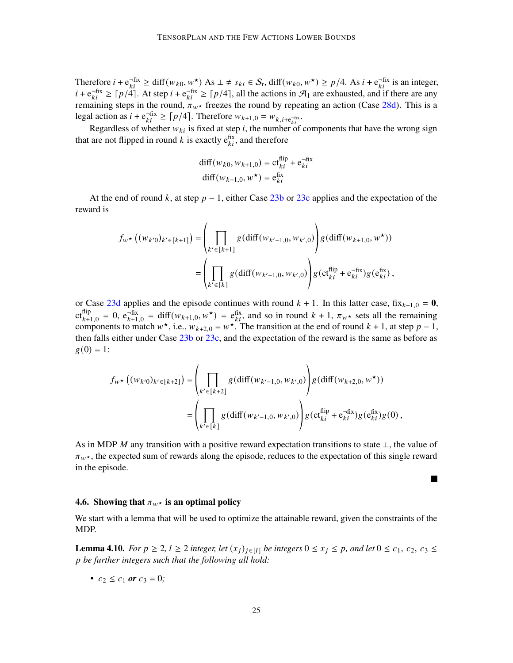Therefore  $i + e_{ki}^{fix} \ge \text{diff}(w_{k0}, w^{\star})$  As  $\perp \ne s_{ki} \in S_r$ ,  $\text{diff}(w_{k0}, w^{\star}) \ge p/4$ . As  $i + e_{ki}^{fix}$  is an integer,  $i + e^{-fix}_{ki} \ge \lceil p/4 \rceil$ . At step  $i + e^{-fix}_{ki} \ge \lceil p/4 \rceil$ , all the actions in  $\mathcal{A}_1$  are exhausted, and if there are any remaining steps in the round,  $\pi_{w^*}$  freezes the round by repeating an action (Case [28d\)](#page-23-0). This is a legal action as  $i + e_{ki}^{-fix} \ge \lceil p/4 \rceil$ . Therefore  $w_{k+1,0} = w_{k,i+e_{ki}^{-fix}}$ .

Regardless of whether  $w_{ki}$  is fixed at step i, the number of components that have the wrong sign that are not flipped in round k is exactly  $e_{ki}^{fix}$ , and therefore

$$
diff(w_{k0}, w_{k+1,0}) = ct_{ki}^{flip} + e_{ki}^{-fix}
$$
  

$$
diff(w_{k+1,0}, w^{\star}) = e_{ki}^{fix}
$$

At the end of round k, at step  $p - 1$ , either Case [23b](#page-21-0) or [23c](#page-21-0) applies and the expectation of the reward is

$$
f_{w^{\star}}((w_{k'0})_{k' \in [k+1]}) = \left(\prod_{k' \in [k+1]} g(\text{diff}(w_{k'-1,0}, w_{k',0})) g(\text{diff}(w_{k+1,0}, w^{\star}))\right)
$$

$$
= \left(\prod_{k' \in [k]} g(\text{diff}(w_{k'-1,0}, w_{k',0})) g(\text{ct}_{ki}^{\text{flip}} + \text{e}_{ki}^{-\text{fix}}) g(\text{e}_{ki}^{\text{fix}}),
$$

or Case [23d](#page-21-0) applies and the episode continues with round  $k + 1$ . In this latter case,  $fix_{k+1,0} = 0$ ,  $ct_{k+1,0}^{\text{flip}} = 0$ ,  $e_{k+1,0}^{\text{fix}} = \text{diff}(w_{k+1,0}, w^{\star}) = e_{ki}^{\text{fix}}$ , and so in round  $k+1$ ,  $\pi_{w^{\star}}$  sets all the remaining components to match  $w^*$ , i.e.,  $w_{k+2,0} = w^*$ . The transition at the end of round  $k + 1$ , at step  $p - 1$ , then falls either under Case [23b](#page-21-0) or [23c,](#page-21-0) and the expectation of the reward is the same as before as  $g(0) = 1$ :

$$
f_{w^{\star}}((w_{k'0})_{k' \in [k+2]}) = \left(\prod_{k' \in [k+2]} g(\text{diff}(w_{k'-1,0}, w_{k',0})) g(\text{diff}(w_{k+2,0}, w^{\star}))\right) = \left(\prod_{k' \in [k]} g(\text{diff}(w_{k'-1,0}, w_{k',0})) g(\text{cf}_{ki}^{\text{flip}} + \text{e}_{ki}^{-\text{fix}}) g(\text{e}_{ki}^{\text{fix}}) g(0),\right)
$$

As in MDP M any transition with a positive reward expectation transitions to state  $\perp$ , the value of  $\pi_{w^*}$ , the expected sum of rewards along the episode, reduces to the expectation of this single reward in the episode.

П

#### 4.6. Showing that  $\pi_{w^*}$  is an optimal policy

We start with a lemma that will be used to optimize the attainable reward, given the constraints of the MDP.

<span id="page-24-0"></span>**Lemma 4.10.** *For*  $p \ge 2$ ,  $l \ge 2$  *integer, let*  $(x_i)_{i \in [l]}$  *be integers*  $0 \le x_i \le p$ *, and let*  $0 \le c_1, c_2, c_3 \le$ *be further integers such that the following all hold:*

• 
$$
c_2 \le c_1
$$
 or  $c_3 = 0$ ;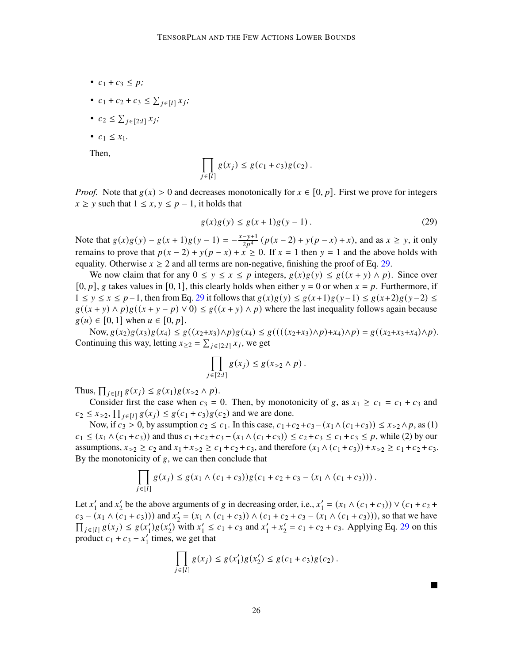- $c_1 + c_3 \leq p$ ;
- $c_1 + c_2 + c_3 \le \sum_{j \in [l]} x_j;$
- $c_2 \leq \sum_{j \in [2:l]} x_j;$
- $c_1 \le x_1$ .

Then,

$$
\prod_{j\in [l]} g(x_j) \leq g(c_1+c_3)g(c_2).
$$

*Proof.* Note that  $g(x) > 0$  and decreases monotonically for  $x \in [0, p]$ . First we prove for integers  $x \geq y$  such that  $1 \leq x, y \leq p-1$ , it holds that

<span id="page-25-0"></span>
$$
g(x)g(y) \le g(x+1)g(y-1). \tag{29}
$$

Note that  $g(x)g(y) - g(x+1)g(y-1) = -\frac{x-y+1}{2y^4}$  $\frac{-y+1}{2p^4} (p(x-2) + y(p-x) + x)$ , and as  $x \ge y$ , it only remains to prove that  $p(x - 2) + y(p - x) + x \ge 0$ . If  $x = 1$  then  $y = 1$  and the above holds with equality. Otherwise  $x \ge 2$  and all terms are non-negative, finishing the proof of Eq. [29.](#page-25-0)

We now claim that for any  $0 \le y \le x \le p$  integers,  $g(x)g(y) \le g((x + y) \wedge p)$ . Since over  $[0, p]$ , g takes values in [0, 1], this clearly holds when either  $y = 0$  or when  $x = p$ . Furthermore, if  $1 \le y \le x \le p-1$ , then from Eq. [29](#page-25-0) it follows that  $g(x)g(y) \le g(x+1)g(y-1) \le g(x+2)g(y-2) \le g(x)g(y-1)$  $g((x + y) \wedge p)g((x + y - p) \vee 0) \leq g((x + y) \wedge p)$  where the last inequality follows again because  $g(u) \in [0, 1]$  when  $u \in [0, p]$ .

Now,  $g(x_2)g(x_3)g(x_4) \leq g((x_2+x_3)\wedge p)g(x_4) \leq g(((x_2+x_3)\wedge p)+x_4)\wedge p) = g((x_2+x_3+x_4)\wedge p).$ Continuing this way, letting  $x_{\geq 2} = \sum_{j \in [2:l]} x_j$ , we get

$$
\prod_{j\in[2:l]} g(x_j) \leq g(x_{\geq 2} \wedge p).
$$

Thus,  $\prod_{j \in [l]} g(x_j) \leq g(x_1)g(x_{\geq 2} \wedge p)$ .

Consider first the case when  $c_3 = 0$ . Then, by monotonicity of g, as  $x_1 \ge c_1 = c_1 + c_3$  and  $c_2 \le x_{\ge 2}$ ,  $\prod_{j \in [l]} g(x_j) \le g(c_1 + c_3)g(c_2)$  and we are done.

Now, if  $c_3 > 0$ , by assumption  $c_2 \le c_1$ . In this case,  $c_1+c_2+c_3-(x_1\wedge(c_1+c_3)) \le x_{>2}\wedge p$ , as (1)  $c_1 \le (x_1 \wedge (c_1 + c_3))$  and thus  $c_1 + c_2 + c_3 - (x_1 \wedge (c_1 + c_3)) \le c_2 + c_3 \le c_1 + c_3 \le p$ , while (2) by our assumptions,  $x_{\geq 2} \geq c_2$  and  $x_1 + x_{\geq 2} \geq c_1 + c_2 + c_3$ , and therefore  $(x_1 \wedge (c_1 + c_3)) + x_{\geq 2} \geq c_1 + c_2 + c_3$ . By the monotonicity of  $g$ , we can then conclude that

$$
\prod_{j\in [l]} g(x_j) \leq g(x_1 \wedge (c_1+c_3))g(c_1+c_2+c_3-(x_1 \wedge (c_1+c_3)))\,.
$$

Let  $x_1'$  $\frac{1}{1}$  and  $x_2$  $\chi$  be the above arguments of g in decreasing order, i.e.,  $\chi'_{1}$  $y'_1 = (x_1 \wedge (c_1 + c_3)) \vee (c_1 + c_2 + c_3)$  $c_3 - (x_1 \wedge (c_1 + c_3)))$  and  $x'_2$  $y'_{2} = (x_{1} \wedge (c_{1} + c_{3})) \wedge (c_{1} + c_{2} + c_{3} - (x_{1} \wedge (c_{1} + c_{3}))),$  so that we have  $\prod_{j \in [l]} g(x_j) \leq g(x'_1)$  $y_1$ )g(x'<sub>2</sub>  $y_2$  with  $x_1$  $x'_1 \leq c_1 + c_3$  and  $x'_1$  $x'_1 + x'_2$  $y'_2 = c_1 + c_2 + c_3$ . Applying Eq. [29](#page-25-0) on this product  $c_1 + c_3 - x'_1$  $\frac{1}{1}$  times, we get that

$$
\prod_{j \in [l]} g(x_j) \le g(x'_1)g(x'_2) \le g(c_1 + c_3)g(c_2).
$$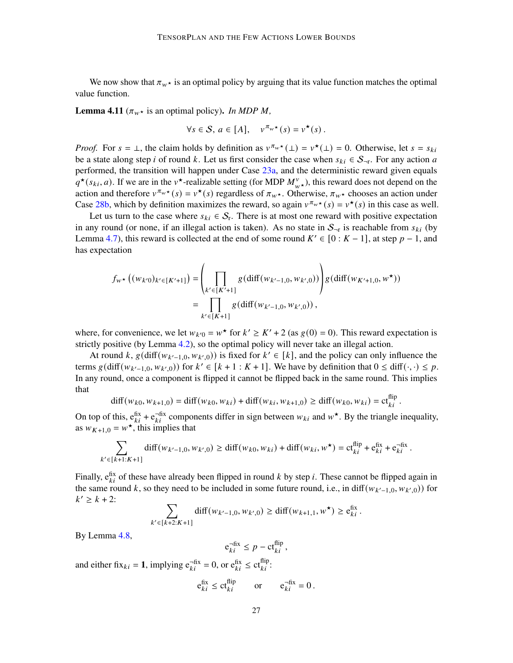We now show that  $\pi_{w^*}$  is an optimal policy by arguing that its value function matches the optimal value function.

<span id="page-26-0"></span>**Lemma 4.11** ( $\pi_w \star$  is an optimal policy). *In MDP M*,

$$
\forall s \in \mathcal{S}, a \in [A], \quad v^{\pi_w \star}(s) = v^{\star}(s).
$$

*Proof.* For  $s = \perp$ , the claim holds by definition as  $v^{\pi_w \star}(\perp) = v^{\star}(\perp) = 0$ . Otherwise, let  $s = s_{ki}$ be a state along step *i* of round k. Let us first consider the case when  $s_{ki} \in S_{\neg r}$ . For any action *a* performed, the transition will happen under Case [23a,](#page-21-0) and the deterministic reward given equals  $q^*(s_{ki}, a)$ . If we are in the v<sup>\*</sup>-realizable setting (for MDP  $M_{w^*}^v$ ), this reward does not depend on the action and therefore  $v^{\pi_w \star}(s) = v^{\star}(s)$  regardless of  $\pi_w \star$ . Otherwise,  $\pi_w \star$  chooses an action under Case [28b,](#page-23-0) which by definition maximizes the reward, so again  $v^{\pi_w \star}(s) = v^{\star}(s)$  in this case as well.

Let us turn to the case where  $s_{ki} \in S_r$ . There is at most one reward with positive expectation in any round (or none, if an illegal action is taken). As no state in  $S_{\neg r}$  is reachable from  $s_{ki}$  (by Lemma [4.7\)](#page-22-1), this reward is collected at the end of some round  $K' \in [0:K-1]$ , at step  $p-1$ , and has expectation

$$
f_{w^{\star}}((w_{k'0})_{k' \in [K'+1]}) = \left(\prod_{k' \in [K'+1]} g(\text{diff}(w_{k'-1,0}, w_{k',0}))\right)g(\text{diff}(w_{K'+1,0}, w^{\star}))
$$
  

$$
= \prod_{k' \in [K+1]} g(\text{diff}(w_{k'-1,0}, w_{k',0}))
$$

where, for convenience, we let  $w_{k'0} = w^*$  for  $k' \ge K' + 2$  (as  $g(0) = 0$ ). This reward expectation is strictly positive (by Lemma [4.2\)](#page-13-0), so the optimal policy will never take an illegal action.

At round k,  $g(\text{diff}(w_{k'-1,0}, w_{k',0}))$  is fixed for  $k' \in [k]$ , and the policy can only influence the terms  $g(\text{diff}(w_{k'-1,0}, w_{k',0}))$  for  $k' \in [k+1 : K+1]$ . We have by definition that  $0 \le \text{diff}(\cdot, \cdot) \le p$ . In any round, once a component is flipped it cannot be flipped back in the same round. This implies that

$$
\text{diff}(w_{k0}, w_{k+1,0}) = \text{diff}(w_{k0}, w_{ki}) + \text{diff}(w_{ki}, w_{k+1,0}) \ge \text{diff}(w_{k0}, w_{ki}) = \text{ct}^{\text{flip}}_{ki}.
$$

On top of this,  $e_{ki}$ <sup>fix</sup> +  $e_{ki}$ <sup>-fix</sup> components differ in sign between  $w_{ki}$  and  $w^*$ . By the triangle inequality, as  $w_{K+1,0} = w^*$ , this implies that

$$
\sum_{k' \in [k+1:K+1]} \text{diff}(w_{k'-1,0}, w_{k',0}) \ge \text{diff}(w_{k0}, w_{ki}) + \text{diff}(w_{ki}, w^{\star}) = \text{ct}_{ki}^{\text{flip}} + \text{e}_{ki}^{\text{fix}} + \text{e}_{ki}^{-\text{fix}}.
$$

Finally,  $e_{ki}$  of these have already been flipped in round k by step i. These cannot be flipped again in the same round k, so they need to be included in some future round, i.e., in diff $(w_{k'-1,0}, w_{k',0})$  for  $k' \ge k + 2$ :

$$
\sum_{k' \in [k+2:K+1]} \text{diff}(w_{k'-1,0}, w_{k',0}) \ge \text{diff}(w_{k+1,1}, w^{\star}) \ge e_{ki}^{\text{fix}}.
$$

By Lemma [4.8,](#page-22-0)

$$
\mathbf{e}_{ki}^{-\text{fix}} \leq p - \mathbf{ct}_{ki}^{\text{flip}},
$$

and either fix<sub>ki</sub> = 1, implying  $e_{ki}^{-fix} = 0$ , or  $e_{ki}^{fix} \le ct_{ki}^{flip}$ .

$$
e_{ki}^{\text{fix}} \leq ct_{ki}^{\text{flip}}
$$
 or  $e_{ki}^{-\text{fix}} = 0$ .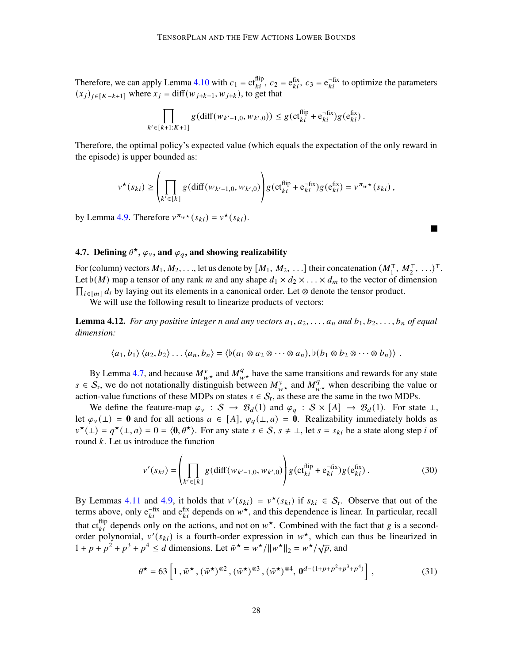Therefore, we can apply Lemma [4.10](#page-24-0) with  $c_1 = ct_{ki}^{flip}$ ,  $c_2 = e_{ki}^{fix}$ ,  $c_3 = e_{ki}^{-fix}$  to optimize the parameters  $(x_i)_{i \in [K-k+1]}$  where  $x_i = \text{diff}(w_{i+k-1}, w_{i+k})$ , to get that

$$
\prod_{k' \in [k+1:K+1]} g(\text{diff}(w_{k'-1,0}, w_{k',0})) \leq g(\text{ct}_{ki}^{\text{flip}} + \text{e}_{ki}^{-\text{fix}})g(\text{e}_{ki}^{\text{fix}}).
$$

Therefore, the optimal policy's expected value (which equals the expectation of the only reward in the episode) is upper bounded as:

$$
v^{\star}(s_{ki}) \geq \left(\prod_{k' \in [k]} g(\text{diff}(w_{k'-1,0}, w_{k',0}))\right)g(\text{ct}_{ki}^{\text{flip}} + \mathbf{e}_{ki}^{-\text{fix}})g(\mathbf{e}_{ki}^{\text{fix}}) = v^{\pi_w \star}(s_{ki}),
$$

П

by Lemma [4.9.](#page-23-2) Therefore  $v^{\pi_w \star} (s_{ki}) = v^{\star} (s_{ki}).$ 

# <span id="page-27-1"></span>4.7. Defining  $\theta^{\star}$ ,  $\varphi_{v}$ , and  $\varphi_{q}$ , and showing realizability

For (column) vectors  $M_1, M_2, \ldots$ , let us denote by  $[M_1, M_2, \ldots]$  their concatenation  $(M_1^{\top}, M_2^{\top}, \ldots)^{\top}$ . Let  $\flat(M)$  map a tensor of any rank m and any shape  $d_1 \times d_2 \times \ldots \times d_m$  to the vector of dimension  $\prod_{i \in [m]} d_i$  by laying out its elements in a canonical order. Let ⊗ denote the tensor product.

We will use the following result to linearize products of vectors:

<span id="page-27-2"></span>**Lemma 4.12.** *For any positive integer n and any vectors*  $a_1, a_2, \ldots, a_n$  *and*  $b_1, b_2, \ldots, b_n$  *of equal dimension:*

$$
\langle a_1, b_1 \rangle \langle a_2, b_2 \rangle \dots \langle a_n, b_n \rangle = \langle b(a_1 \otimes a_2 \otimes \dots \otimes a_n), b(b_1 \otimes b_2 \otimes \dots \otimes b_n) \rangle.
$$

By Lemma [4.7,](#page-22-1) and because  $M_{w\star}^v$  and  $M_{w\star}^q$  have the same transitions and rewards for any state  $s \in S_r$ , we do not notationally distinguish between  $M_{w\star}^v$  and  $M_{w\star}^q$  when describing the value or action-value functions of these MDPs on states  $s \in S_r$ , as these are the same in the two MDPs.

We define the feature-map  $\varphi_v : S \to \mathcal{B}_d(1)$  and  $\varphi_q : S \times [A] \to \mathcal{B}_d(1)$ . For state  $\perp$ , let  $\varphi_v(\perp) = 0$  and for all actions  $a \in [A]$ ,  $\varphi_q(\perp, a) = 0$ . Realizability immediately holds as  $v^*(\bot) = q^*(\bot, a) = 0 = \langle 0, \theta^* \rangle$ . For any state  $s \in S$ ,  $s \neq \bot$ , let  $s = s_{ki}$  be a state along step *i* of round  $k$ . Let us introduce the function

$$
v'(s_{ki}) = \left(\prod_{k' \in [k]} g(\text{diff}(w_{k'-1,0}, w_{k',0}))\right) g(\text{ct}_{ki}^{\text{flip}} + \text{e}_{ki}^{-\text{fix}}) g(\text{e}_{ki}^{\text{fix}}). \tag{30}
$$

By Lemmas [4.11](#page-26-0) and [4.9,](#page-23-2) it holds that  $v'(s_{ki}) = v^*(s_{ki})$  if  $s_{ki} \in S_r$ . Observe that out of the terms above, only  $e_{ki}^{-fix}$  and  $e_{ki}^{fix}$  depends on  $w^*$ , and this dependence is linear. In particular, recall that ct<sup>flip</sup> depends only on the actions, and not on  $w^*$ . Combined with the fact that g is a secondorder polynomial,  $v'(s_{ki})$  is a fourth-order expression in  $w^*$ , which can thus be linearized in  $1 + p + p^2 + p^3 + p^4 \le d$  dimensions. Let  $\overline{w}^* = w^* / ||w^*||_2 = w^* / \sqrt{p}$ , and

<span id="page-27-0"></span>
$$
\theta^{\star} = 63 \left[ 1, \bar{w}^{\star}, (\bar{w}^{\star})^{\otimes 2}, (\bar{w}^{\star})^{\otimes 3}, (\bar{w}^{\star})^{\otimes 4}, \mathbf{0}^{d-(1+p+p^{2}+p^{3}+p^{4})} \right],
$$
\n(31)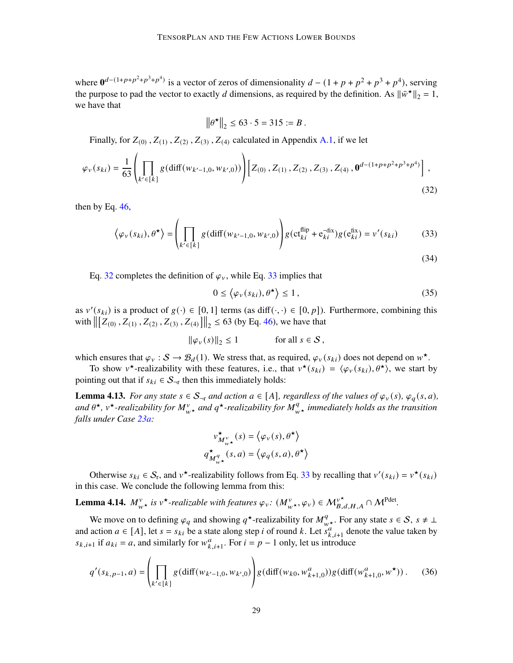where  $\mathbf{0}^{d-(1+p+p^2+p^3+p^4)}$  is a vector of zeros of dimensionality  $d-(1+p+p^2+p^3+p^4)$ , serving the purpose to pad the vector to exactly d dimensions, as required by the definition. As  $\|\bar{w}^{\star}\|_2 = 1$ , we have that

<span id="page-28-0"></span>
$$
\|\theta^{\star}\|_2 \le 63 \cdot 5 = 315 := B
$$
.

Finally, for  $Z_{(0)}$ ,  $Z_{(1)}$ ,  $Z_{(2)}$ ,  $Z_{(3)}$ ,  $Z_{(4)}$  calculated in Appendix [A.1,](#page-37-2) if we let

$$
\varphi_{v}(s_{ki}) = \frac{1}{63} \left( \prod_{k' \in [k]} g(\text{diff}(w_{k'-1,0}, w_{k',0})) \right) \left[ Z_{(0)}, Z_{(1)}, Z_{(2)}, Z_{(3)}, Z_{(4)}, \mathbf{0}^{d-(1+p+p^2+p^3+p^4)} \right],
$$
\n(32)

then by Eq.  $46$ ,

$$
\langle \varphi_v(s_{ki}), \theta^{\star} \rangle = \left( \prod_{k' \in [k]} g(\text{diff}(w_{k'-1,0}, w_{k',0})) \right) g(\text{ct}_{ki}^{\text{flip}} + \text{e}_{ki}^{-\text{fix}}) g(\text{e}_{ki}^{\text{fix}}) = v'(s_{ki}) \tag{33}
$$

Eq. [32](#page-28-0) completes the definition of  $\varphi$ <sup>v</sup>, while Eq. [33](#page-28-2) implies that

<span id="page-28-2"></span><span id="page-28-1"></span>
$$
0 \le \langle \varphi_v(s_{ki}), \theta^{\star} \rangle \le 1, \tag{35}
$$

as  $v'(s_{ki})$  is a product of  $g(\cdot) \in [0, 1]$  terms (as diff( $\cdot, \cdot$ )  $\in [0, p]$ ). Furthermore, combining this with  $\left\| \left[ Z_{(0)}, Z_{(1)}, Z_{(2)}, Z_{(3)}, Z_{(4)} \right] \right\|_2 \leq 63$  (by Eq. [46\)](#page-38-0), we have that

$$
\|\varphi_v(s)\|_2 \le 1 \quad \text{for all } s \in \mathcal{S},
$$

which ensures that  $\varphi_v : S \to \mathcal{B}_d(1)$ . We stress that, as required,  $\varphi_v(s_{ki})$  does not depend on  $w^*$ .

To show  $v^*$ -realizability with these features, i.e., that  $v^*(s_{ki}) = \langle \varphi_v(s_{ki}), \theta^* \rangle$ , we start by pointing out that if  $s_{ki} \in S_{\neg r}$  then this immediately holds:

<span id="page-28-4"></span>**Lemma 4.13.** *For any state*  $s \in S_{\neg r}$  *and action*  $a \in [A]$ *, regardless of the values of*  $\varphi_v(s)$ *,*  $\varphi_q(s, a)$ *,* and  $\theta^{\star}$ ,  $v^{\star}$ -realizability for  $M_{w^{\star}}^v$  and  $q^{\star}$ -realizability for  $M_{w^{\star}}^q$  immediately holds as the transition *falls under Case [23a:](#page-21-0)*

$$
v^{\star}_{M^{\nu}_{w^{\star}}}(s) = \langle \varphi_{v}(s), \theta^{\star} \rangle
$$

$$
q^{\star}_{M^q_{w^{\star}}}(s, a) = \langle \varphi_{q}(s, a), \theta^{\star} \rangle
$$

Otherwise  $s_{ki} \in S_r$ , and  $v^*$ -realizability follows from Eq. [33](#page-28-2) by recalling that  $v'(s_{ki}) = v^*(s_{ki})$ in this case. We conclude the following lemma from this:

<span id="page-28-3"></span>**Lemma 4.14.**  $M_{w\star}^v$  is  $v^{\star}$ -realizable with features  $\varphi_v$ :  $(M_{w\star}^v, \varphi_v) \in M_{B,d,H,A}^v \cap M^{\text{Pdet}}$ .

We move on to defining  $\varphi_q$  and showing  $q^*$ -realizability for  $M_{w^*}^q$ . For any state  $s \in \mathcal{S}$ ,  $s \neq \bot$ and action  $a \in [A]$ , let  $s = s_{ki}$  be a state along step *i* of round k. Let  $s_{k,i+1}^a$  denote the value taken by  $s_{k,i+1}$  if  $a_{ki} = a$ , and similarly for  $w_{k,i+1}^a$ . For  $i = p - 1$  only, let us introduce

$$
q'(s_{k,p-1},a) = \left(\prod_{k' \in [k]} g(\text{diff}(w_{k'-1,0}, w_{k',0}))\right)g(\text{diff}(w_{k0}, w_{k+1,0}^a))g(\text{diff}(w_{k+1,0}^a, w^\star))\,. \tag{36}
$$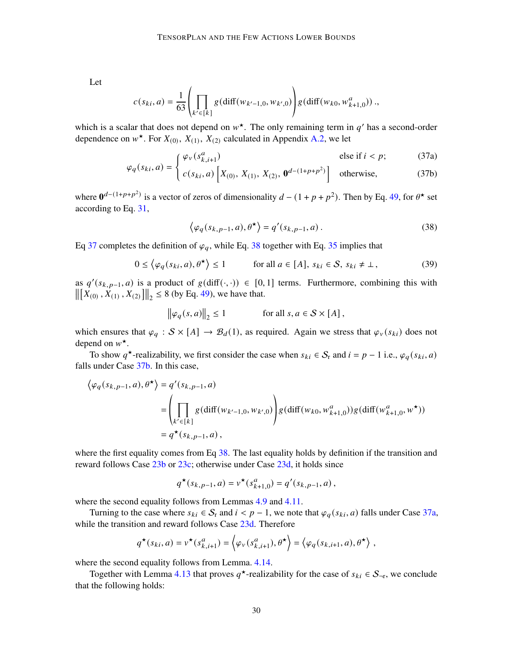Let

$$
c(s_{ki}, a) = \frac{1}{63} \left( \prod_{k' \in [k]} g(\text{diff}(w_{k'-1,0}, w_{k',0})) \right) g(\text{diff}(w_{k0}, w_{k+1,0}^a)) \dots
$$

which is a scalar that does not depend on  $w^*$ . The only remaining term in q' has a second-order dependence on  $w^*$ . For  $X_{(0)}, X_{(1)}, X_{(2)}$  calculated in Appendix [A.2,](#page-38-1) we let

$$
\int \varphi_v(s_{k,i+1}^a) \qquad \qquad \text{else if } i < p; \tag{37a}
$$

$$
\varphi_q(s_{ki}, a) = \begin{cases} c(s_{ki}, a) \left[ X_{(0)}, X_{(1)}, X_{(2)}, \mathbf{0}^{d-(1+p+p^2)} \right] & \text{otherwise,} \end{cases}
$$
 (37b)

<span id="page-29-0"></span>where  $\mathbf{0}^{d-(1+p+p^2)}$  is a vector of zeros of dimensionality  $d-(1+p+p^2)$ . Then by Eq. [49,](#page-39-0) for  $\theta^*$  set according to Eq. [31,](#page-27-0)

<span id="page-29-2"></span><span id="page-29-1"></span>
$$
\langle \varphi_q(s_{k,p-1}, a), \theta^{\star} \rangle = q'(s_{k,p-1}, a).
$$
 (38)

Eq [37](#page-29-0) completes the definition of  $\varphi_q$ , while Eq. [38](#page-29-2) together with Eq. [35](#page-28-1) implies that

$$
0 \le \langle \varphi_q(s_{ki}, a), \theta^{\star} \rangle \le 1 \quad \text{for all } a \in [A], s_{ki} \in S, s_{ki} \ne \bot,
$$
 (39)

as  $q'(s_{k,p-1}, a)$  is a product of  $g(\text{diff}(\cdot, \cdot)) \in [0, 1]$  terms. Furthermore, combining this with  $\left\| \left[ X_{(0)}, X_{(1)}, X_{(2)} \right] \right\|_2 \leq 8$  (by Eq. [49\)](#page-39-0), we have that.

$$
\|\varphi_q(s,a)\|_2 \le 1
$$
 for all  $s, a \in S \times [A]$ ,

which ensures that  $\varphi_q : S \times [A] \to \mathcal{B}_d(1)$ , as required. Again we stress that  $\varphi_v(s_{ki})$  does not depend on  $w^*$ .

To show q<sup>\*</sup>-realizability, we first consider the case when  $s_{ki} \in S_r$  and  $i = p - 1$  i.e.,  $\varphi_q(s_{ki}, a)$ falls under Case [37b.](#page-29-0) In this case,

$$
\langle \varphi_q(s_{k,p-1}, a), \theta^{\star} \rangle = q'(s_{k,p-1}, a)
$$
  
= 
$$
\left( \prod_{k' \in [k]} g(\text{diff}(w_{k'-1,0}, w_{k',0})) \right) g(\text{diff}(w_{k0}, w_{k+1,0}^a)) g(\text{diff}(w_{k+1,0}^a, w^{\star}))
$$
  
=  $q^{\star}(s_{k,p-1}, a),$ 

where the first equality comes from Eq [38.](#page-29-2) The last equality holds by definition if the transition and reward follows Case [23b](#page-21-0) or [23c;](#page-21-0) otherwise under Case [23d,](#page-21-0) it holds since

$$
q^{\star}(s_{k,p-1},a) = v^{\star}(s_{k+1,0}^a) = q'(s_{k,p-1},a),
$$

where the second equality follows from Lemmas [4.9](#page-23-2) and [4.11.](#page-26-0)

Turning to the case where  $s_{ki} \in S_r$  and  $i < p - 1$ , we note that  $\varphi_q(s_{ki}, a)$  falls under Case [37a,](#page-29-0) while the transition and reward follows Case [23d.](#page-21-0) Therefore

$$
q^{\star}(s_{ki}, a) = v^{\star}(s_{k,i+1}^a) = \left\langle \varphi_v(s_{k,i+1}^a), \theta^{\star} \right\rangle = \left\langle \varphi_q(s_{k,i+1}, a), \theta^{\star} \right\rangle,
$$

where the second equality follows from Lemma. [4.14.](#page-28-3)

Together with Lemma [4.13](#page-28-4) that proves  $q^*$ -realizability for the case of  $s_{ki} \in S_{\lnot r}$ , we conclude that the following holds: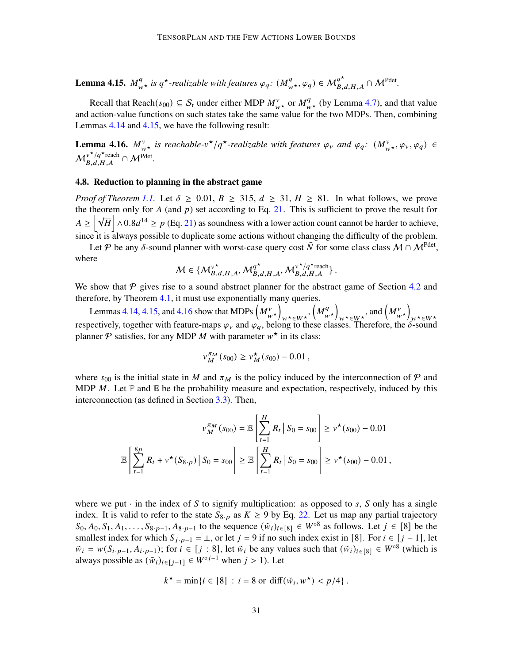<span id="page-30-0"></span>Lemma 4.15.  $M_{w\star}^q$  is  $q^{\star}$ -realizable with features  $\varphi_q$ :  $(M_{w\star}^q, \varphi_q) \in M_{B,d,H,A}^{q^{\star}} \cap M^{\text{Pdet}}$ .

Recall that Reach( $s_{00}$ )  $\subseteq$  S<sub>r</sub> under either MDP  $M_{w\star}^v$  or  $M_{w\star}^q$  (by Lemma [4.7\)](#page-22-1), and that value and action-value functions on such states take the same value for the two MDPs. Then, combining Lemmas [4.14](#page-28-3) and [4.15,](#page-30-0) we have the following result:

<span id="page-30-1"></span>**Lemma 4.16.**  $M_{w^*}^v$  is reachable-v<sup>\*</sup>/q<sup>\*</sup>-realizable with features  $\varphi_v$  and  $\varphi_q$ :  $(M_{w^*}^v, \varphi_v, \varphi_q) \in$  $\mathcal{M}_{B,d,H,A}^{\nu^{\star}/q^{\star}$ reach  $\cap \mathcal{M}^{\text{Pdet}}$ .

#### 4.8. Reduction to planning in the abstract game

*Proof of Theorem [1.1.](#page-2-2)* Let  $\delta \geq 0.01$ ,  $B \geq 315$ ,  $d \geq 31$ ,  $H \geq 81$ . In what follows, we prove the theorem only for A (and  $p$ ) set according to Eq. [21.](#page-20-0) This is sufficient to prove the result for  $A \ge |\sqrt{H}| \wedge 0.8d^{14} \ge p$  (Eq. [21\)](#page-20-0) as soundness with a lower action count cannot be harder to achieve, since it is always possible to duplicate some actions without changing the difficulty of the problem.

Let P be any  $\delta$ -sound planner with worst-case query cost  $\bar{N}$  for some class class  $M \cap M^{\text{Pdet}}$ , where

$$
\mathcal{M} \in \{\mathcal{M}_{B,d,H,A}^{\nu^\star}, \mathcal{M}_{B,d,H,A}^{q^\star}, \mathcal{M}_{B,d,H,A}^{\nu^\star/q^\star \mathrm{reach}}\}\,.
$$

We show that  $P$  gives rise to a sound abstract planner for the abstract game of Section [4.2](#page-11-0) and therefore, by Theorem [4.1,](#page-13-5) it must use exponentially many queries.

Lemmas [4.14,](#page-28-3) [4.15,](#page-30-0) and [4.16](#page-30-1) show that MDPs  $\left( M_{w\star}^v \right)$  $_{w\star\in W\star},\left( M_{w}^{q}\right)$  $\left(\begin{matrix} q \\ w \end{matrix}\right)$  $_{w\star\in W^{\star}}$ , and  $\left(M_{w\star}^{v}\right)$ Examples 12.1, they and the show that the  $\binom{n_{w*}}{w*}$   $\binom{n_{w*}}{w*}$  is  $\binom{n_{w*}}{w*}$  in  $\binom{n_{w*}}{w*}$   $\binom{n_{w*}}{w*}$  is expectively, together with feature-maps  $\varphi_{v}$  and  $\varphi_{q}$ , belong to these classes. Therefo planner  $P$  satisfies, for any MDP M with parameter  $w^*$  in its class:

$$
v_M^{\pi_M}(s_{00}) \ge v_M^{\star}(s_{00}) - 0.01,
$$

where  $s_{00}$  is the initial state in M and  $\pi_M$  is the policy induced by the interconnection of P and MDP M. Let  $\mathbb P$  and  $\mathbb E$  be the probability measure and expectation, respectively, induced by this interconnection (as defined in Section [3.3\)](#page-9-0). Then,

$$
v_M^{\pi_M}(s_{00}) = \mathbb{E}\left[\sum_{t=1}^H R_t \, \big| \, S_0 = s_{00}\right] \ge v^{\star}(s_{00}) - 0.01
$$

$$
\mathbb{E}\left[\sum_{t=1}^{8p} R_t + v^{\star}(S_{8\cdot p}) \, \big| \, S_0 = s_{00}\right] \ge \mathbb{E}\left[\sum_{t=1}^H R_t \, \big| \, S_0 = s_{00}\right] \ge v^{\star}(s_{00}) - 0.01 \,,
$$

where we put  $\cdot$  in the index of S to signify multiplication: as opposed to s, S only has a single index. It is valid to refer to the state  $S_{8\cdot p}$  as  $K \ge 9$  by Eq. [22.](#page-20-1) Let us map any partial trajectory  $S_0, A_0, S_1, A_1, \ldots, S_{8\cdot p-1}, A_{8\cdot p-1}$  to the sequence  $(\tilde{w}_i)_{i \in [8]} \in W^{\circ 8}$  as follows. Let  $j \in [8]$  be the smallest index for which  $S_{j \cdot p-1} = \bot$ , or let  $j = 9$  if no such index exist in [8]. For  $i \in [j-1]$ , let  $\tilde{w}_i = w(S_{i \cdot p-1}, A_{i \cdot p-1})$ ; for  $i \in [j : 8]$ , let  $\tilde{w}_i$  be any values such that  $(\tilde{w}_i)_{i \in [8]} \in W^{\circ 8}$  (which is always possible as  $(\tilde{w}_i)_{i \in [j-1]} \in W^{\circ j-1}$  when  $j > 1$ ). Let

$$
k^{\star} = \min\{i \in [8] : i = 8 \text{ or } \text{diff}(\tilde{w}_i, w^{\star}) < p/4\}.
$$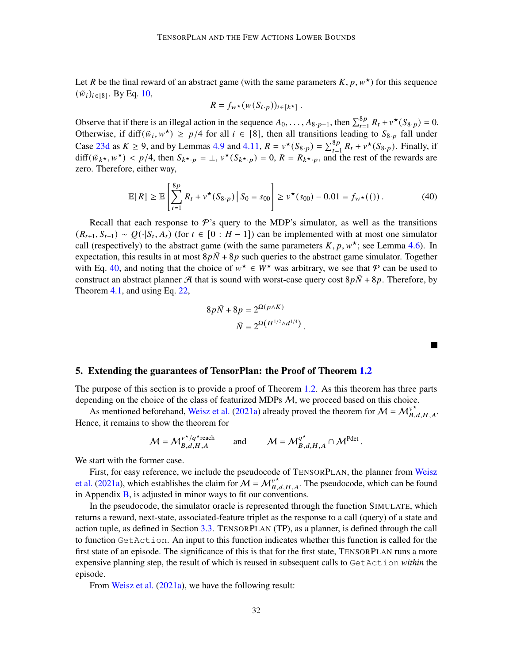Let R be the final reward of an abstract game (with the same parameters  $K, p, w^*$ ) for this sequence  $(\tilde{w}_i)_{i \in [8]}$ . By Eq. [10,](#page-12-1)

$$
R = f_{w^*}(w(S_{i\cdot p}))_{i \in [k^*]}.
$$

Observe that if there is an illegal action in the sequence  $A_0, \ldots, A_{8\cdot p-1}$ , then  $\sum_{t=1}^{8p} R_t + v^*(S_{8\cdot p}) = 0$ . Otherwise, if diff( $\tilde{w}_i, w^*$ )  $\geq p/4$  for all  $i \in [8]$ , then all transitions leading to  $S_{8,p}$  fall under Case [23d](#page-21-0) as  $K \ge 9$ , and by Lemmas [4.9](#page-23-2) and [4.11,](#page-26-0)  $R = v^*(S_{8,p}) = \sum_{t=1}^{8p} R_t + v^*(S_{8,p})$ . Finally, if diff $(\tilde{w}_{k*}, w^*)$  <  $p/4$ , then  $S_{k*p} = \perp v^*(S_{k*p}) = 0$ ,  $R = R_{k*p}$ , and the rest of the rewards are zero. Therefore, either way,

$$
\mathbb{E}[R] \ge \mathbb{E}\left[\sum_{t=1}^{8p} R_t + v^{\star}(S_{8\cdot p}) \, \middle| \, S_0 = s_{00}\right] \ge v^{\star}(s_{00}) - 0.01 = f_{w^{\star}}(0) \,. \tag{40}
$$

.

.

<span id="page-31-1"></span>a l

Recall that each response to  $\mathcal{P}$ 's query to the MDP's simulator, as well as the transitions  $(R_{t+1}, S_{t+1}) \sim Q(\cdot | S_t, A_t)$  (for  $t \in [0 : H - 1]$ ) can be implemented with at most one simulator call (respectively) to the abstract game (with the same parameters  $K, p, w^*$ ; see Lemma [4.6\)](#page-21-1). In expectation, this results in at most  $8p\overline{N} + 8p$  such queries to the abstract game simulator. Together with Eq. [40,](#page-31-1) and noting that the choice of  $w^* \in \overline{W}^*$  was arbitrary, we see that  $\mathcal P$  can be used to construct an abstract planner A that is sound with worst-case query cost  $8p\bar{N} + 8p$ . Therefore, by Theorem [4.1,](#page-13-5) and using Eq. [22,](#page-20-1)

$$
8p\bar{N}+8p=2^{\Omega(p\wedge K)}\\ \bar{N}=2^{\Omega\left(H^{1/2}\wedge d^{1/4}\right)}
$$

#### <span id="page-31-0"></span>5. Extending the guarantees of TensorPlan: the Proof of Theorem [1.2](#page-2-3)

The purpose of this section is to provide a proof of Theorem [1.2.](#page-2-3) As this theorem has three parts depending on the choice of the class of featurized MDPs M, we proceed based on this choice.

As mentioned beforehand, [Weisz et al.](#page-36-1) [\(2021a\)](#page-36-1) already proved the theorem for  $M = M_{B,d,H,A}^{v^*}$ . Hence, it remains to show the theorem for

$$
\mathcal{M} = \mathcal{M}_{B,d,H,A}^{\nu^{\star}/q^{\star}\text{reach}} \quad \text{and} \quad \mathcal{M} = \mathcal{M}_{B,d,H,A}^{q^{\star}} \cap \mathcal{M}^{\text{Pdet}}
$$

We start with the former case.

First, for easy reference, we include the pseudocode of TENSORPLAN, the planner from [Weisz](#page-36-1) [et al.](#page-36-1) [\(2021a\)](#page-36-1), which establishes the claim for  $M = M_{B,d,H,A}^{\nu^*}$ . The pseudocode, which can be found in Appendix  $\bf{B}$ , is adjusted in minor ways to fit our conventions.

In the pseudocode, the simulator oracle is represented through the function SIMULATE, which returns a reward, next-state, associated-feature triplet as the response to a call (query) of a state and action tuple, as defined in Section [3.3.](#page-9-0) TENSORPLAN (TP), as a planner, is defined through the call to function GetAction. An input to this function indicates whether this function is called for the first state of an episode. The significance of this is that for the first state, TENSORPLAN runs a more expensive planning step, the result of which is reused in subsequent calls to GetAction *within* the episode.

From [Weisz et al.](#page-36-1) [\(2021a\)](#page-36-1), we have the following result: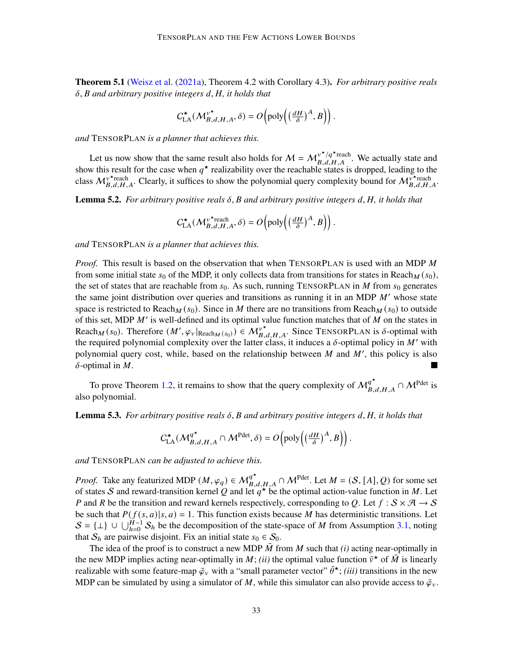<span id="page-32-0"></span>Theorem 5.1 [\(Weisz et al.](#page-36-1) [\(2021a\)](#page-36-1), Theorem 4.2 with Corollary 4.3). *For arbitrary positive reals*  $\delta$ , *B* and arbitrary positive integers d, *H*, it holds that

$$
C^{\star}_{\text{LA}}(\mathcal{M}_{B,d,H,A}^{\mathbf{v}^{\star}}, \delta) = O\left(\text{poly}\left(\left(\frac{dH}{\delta}\right)^{A}, B\right)\right).
$$

*and* TENSORPLAN *is a planner that achieves this.*

Let us now show that the same result also holds for  $M = M_{B,d,H,A}^{\nu^* / q^*$  we actually state and show this result for the case when  $q^*$  realizability over the reachable states is dropped, leading to the class  $M_{B,d,H,A}^{\nu^*$  Clearly, it suffices to show the polynomial query complexity bound for  $M_{B,d,H,A}^{\nu^*$  reach

<span id="page-32-1"></span>**Lemma 5.2.** *For arbitrary positive reals*  $\delta$ ,  $\hat{B}$  and arbitrary positive integers  $d$ ,  $H$ , it holds that

$$
C^{\star}_{\text{LA}}(\mathcal{M}_{B,d,H,A}^{\nu^{\star}{\text{reach}}}, \delta) = O\left(\text{poly}\left(\left(\frac{dH}{\delta}\right)^A, B\right)\right).
$$

*and* TENSORPLAN *is a planner that achieves this.*

*Proof.* This result is based on the observation that when TENSORPLAN is used with an MDP M from some initial state  $s_0$  of the MDP, it only collects data from transitions for states in Reach $<sub>M</sub>(s_0)$ ,</sub> the set of states that are reachable from  $s_0$ . As such, running TENSORPLAN in M from  $s_0$  generates the same joint distribution over queries and transitions as running it in an MDP  $M'$  whose state space is restricted to Reach  $\mathcal{M}(s_0)$ . Since in M there are no transitions from Reach  $\mathcal{M}(s_0)$  to outside of this set, MDP  $M'$  is well-defined and its optimal value function matches that of  $M$  on the states in Reach  $_M(s_0)$ . Therefore  $(M', \varphi_v|_{\text{Reach}_M(s_0)}) \in M_{B,d,H,A}^{\nu^*}$ . Since TENSORPLAN is  $\delta$ -optimal with the required polynomial complexity over the latter class, it induces a  $\delta$ -optimal policy in M' with polynomial query cost, while, based on the relationship between  $M$  and  $M'$ , this policy is also  $\delta$ -optimal in M.

To prove Theorem [1.2,](#page-2-3) it remains to show that the query complexity of  $\mathcal{M}_{B,d,H,A}^{q^*} \cap \mathcal{M}^{\text{Pdet}}$  is also polynomial.

<span id="page-32-2"></span>**Lemma 5.3.** *For arbitrary positive reals*  $\delta$ ,  $\beta$  and arbitrary positive integers  $d$ ,  $H$ , it holds that

$$
\mathrm{C}^{\star}_{\mathrm{LA}}(\mathcal{M}_{B,d,H,A}^{q^{\star}}\cap \mathcal{M}^{\mathrm{Pdet}},\delta)=O\!\left(\mathrm{poly}\!\left((\tfrac{dH}{\delta})^{A},B\right)\right).
$$

*and* TENSORPLAN *can be adjusted to achieve this.*

*Proof.* Take any featurized MDP  $(M, \varphi_q) \in M_{B,d,H,A}^{q^*} \cap M^{Pdet}$ . Let  $M = (S, [A], Q)$  for some set of states S and reward-transition kernel Q and let  $q^*$  be the optimal action-value function in M. Let P and R be the transition and reward kernels respectively, corresponding to Q. Let  $f : S \times \mathcal{A} \to S$ be such that  $P(f(s, a)|s, a) = 1$ . This function exists because M has deterministic transitions. Let  $S = \{\perp\} \cup \bigcup_{h=0}^{H-1} S_h$  be the decomposition of the state-space of M from Assumption [3.1,](#page-7-0) noting that  $S_h$  are pairwise disjoint. Fix an initial state  $s_0 \in S_0$ .

The idea of the proof is to construct a new MDP  $\overline{M}$  from  $M$  such that *(i)* acting near-optimally in the new MDP implies acting near-optimally in M; *(ii)* the optimal value function  $\bar{v}^*$  of  $\bar{M}$  is linearly realizable with some feature-map  $\bar{\varphi}_v$  with a "small parameter vector"  $\bar{\theta}^{\star}$ ; *(iii)* transitions in the new MDP can be simulated by using a simulator of M, while this simulator can also provide access to  $\bar{\varphi}_v$ .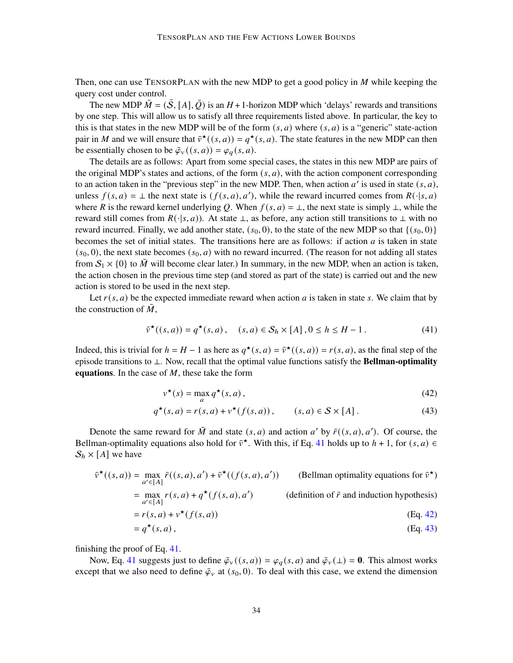Then, one can use TENSORPLAN with the new MDP to get a good policy in  $M$  while keeping the query cost under control.

The new MDP  $\overline{M} = (\overline{S}, [A], \overline{Q})$  is an  $H + 1$ -horizon MDP which 'delays' rewards and transitions by one step. This will allow us to satisfy all three requirements listed above. In particular, the key to this is that states in the new MDP will be of the form  $(s, a)$  where  $(s, a)$  is a "generic" state-action pair in M and we will ensure that  $\bar{v}^{\star}((s, a)) = q^{\star}(s, a)$ . The state features in the new MDP can then be essentially chosen to be  $\bar{\varphi}_v((s, a)) = \varphi_a(s, a)$ .

The details are as follows: Apart from some special cases, the states in this new MDP are pairs of the original MDP's states and actions, of the form  $(s, a)$ , with the action component corresponding to an action taken in the "previous step" in the new MDP. Then, when action  $a'$  is used in state  $(s, a)$ , unless  $f(s, a) = \bot$  the next state is  $(f(s, a), a')$ , while the reward incurred comes from  $R(\cdot | s, a)$ where R is the reward kernel underlying Q. When  $f(s, a) = \perp$ , the next state is simply  $\perp$ , while the reward still comes from  $R(\cdot|s, a)$ ). At state ⊥, as before, any action still transitions to ⊥ with no reward incurred. Finally, we add another state,  $(s_0, 0)$ , to the state of the new MDP so that  $\{(s_0, 0)\}$ becomes the set of initial states. The transitions here are as follows: if action  $a$  is taken in state  $(s_0, 0)$ , the next state becomes  $(s_0, a)$  with no reward incurred. (The reason for not adding all states from  $S_1 \times \{0\}$  to  $\overline{M}$  will become clear later.) In summary, in the new MDP, when an action is taken, the action chosen in the previous time step (and stored as part of the state) is carried out and the new action is stored to be used in the next step.

Let  $r(s, a)$  be the expected immediate reward when action a is taken in state s. We claim that by the construction of  $M$ ,

$$
\bar{v}^{\star}((s,a)) = q^{\star}(s,a), \quad (s,a) \in \mathcal{S}_h \times [A], 0 \le h \le H - 1. \tag{41}
$$

Indeed, this is trivial for  $h = H - 1$  as here as  $q^*(s, a) = \overline{v}^*((s, a)) = r(s, a)$ , as the final step of the episode transitions to ⊥. Now, recall that the optimal value functions satisfy the **Bellman-optimality** equations. In the case of  $M$ , these take the form

<span id="page-33-2"></span><span id="page-33-1"></span><span id="page-33-0"></span>
$$
v^{\star}(s) = \max_{a} q^{\star}(s, a), \qquad (42)
$$

$$
q^{\star}(s, a) = r(s, a) + v^{\star}(f(s, a)), \qquad (s, a) \in S \times [A]. \tag{43}
$$

Denote the same reward for  $\overline{M}$  and state  $(s, a)$  and action  $a'$  by  $\overline{r}((s, a), a')$ . Of course, the Bellman-optimality equations also hold for  $\bar{v}^*$ . With this, if Eq. [41](#page-33-0) holds up to  $h + 1$ , for  $(s, a) \in$  $S_h \times [A]$  we have

$$
\bar{v}^{\star}((s, a)) = \max_{a' \in [A]} \bar{r}((s, a), a') + \bar{v}^{\star}((f(s, a), a'))
$$
 (Bellman optimality equations for  $\bar{v}^{\star}$ )  
\n
$$
= \max_{a' \in [A]} r(s, a) + q^{\star}(f(s, a), a')
$$
 (definition of  $\bar{r}$  and induction hypothesis)  
\n
$$
= r(s, a) + v^{\star}(f(s, a))
$$
  
\n
$$
= q^{\star}(s, a),
$$
 (Eq. 43)

finishing the proof of Eq. [41.](#page-33-0)

Now, Eq. [41](#page-33-0) suggests just to define  $\bar{\varphi}_v((s, a)) = \varphi_a(s, a)$  and  $\bar{\varphi}_v(\perp) = 0$ . This almost works except that we also need to define  $\bar{\varphi}_v$  at  $(s_0, 0)$ . To deal with this case, we extend the dimension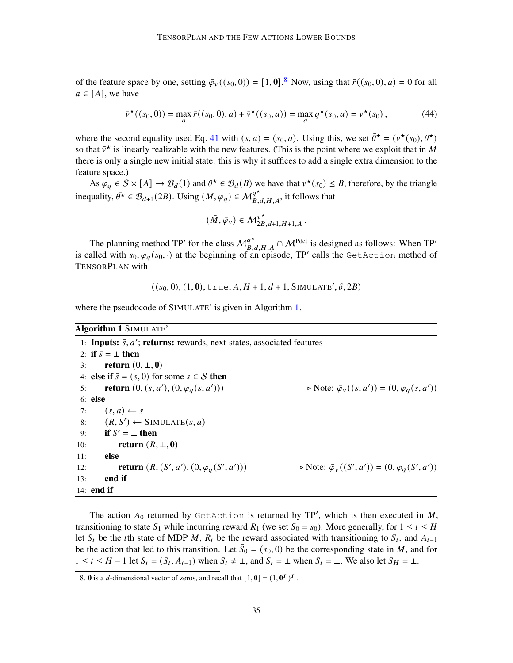of the feature space by one, setting  $\bar{\varphi}_v((s_0, 0)) = [1, 0]^8$  $\bar{\varphi}_v((s_0, 0)) = [1, 0]^8$ . Now, using that  $\bar{r}((s_0, 0), a) = 0$  for all  $a \in [A]$ , we have

$$
\bar{v}^{\star}((s_0, 0)) = \max_{a} \bar{r}((s_0, 0), a) + \bar{v}^{\star}((s_0, a)) = \max_{a} q^{\star}(s_0, a) = v^{\star}(s_0),
$$
\n(44)

where the second equality used Eq. [41](#page-33-0) with  $(s, a) = (s_0, a)$ . Using this, we set  $\bar{\theta}^* = (v^*(s_0), \theta^*)$ so that  $\bar{v}^{\star}$  is linearly realizable with the new features. (This is the point where we exploit that in  $\bar{M}$ there is only a single new initial state: this is why it suffices to add a single extra dimension to the feature space.)

As  $\rho_q \in S \times [A] \to \mathcal{B}_d(1)$  and  $\theta^* \in \mathcal{B}_d(B)$  we have that  $v^*(s_0) \leq B$ , therefore, by the triangle inequality,  $\bar{\theta^*} \in \mathcal{B}_{d+1}(2B)$ . Using  $(M, \varphi_q) \in \mathcal{M}_{B,d,H,A}^{q^*}$ , it follows that

<span id="page-34-2"></span>
$$
(\bar{M}, \bar{\varphi}_v) \in \mathcal{M}_{2B,d+1,H+1,A}^{v^\star}.
$$

The planning method TP' for the class  $M_{B,d,H,A}^{q^*} \cap M^{\text{Pdet}}$  is designed as follows: When TP' is called with  $s_0, \varphi_q(s_0, \cdot)$  at the beginning of an episode, TP' calls the GetAction method of TENSORPLAN with

$$
((s_0, 0), (1, 0), \text{true}, A, H + 1, d + 1, \text{SIMULATE}', \delta, 2B)
$$

where the pseudocode of SIMULATE' is given in Algorithm [1.](#page-34-1)

#### <span id="page-34-1"></span>Algorithm 1 SIMULATE'

|     | 1: <b>Inputs:</b> $\bar{s}$ , $a'$ ; <b>returns:</b> rewards, next-states, associated features |                                                                                      |  |  |  |
|-----|------------------------------------------------------------------------------------------------|--------------------------------------------------------------------------------------|--|--|--|
|     | 2: if $\bar{s} = \pm$ then                                                                     |                                                                                      |  |  |  |
| 3:  | return $(0, \perp, 0)$                                                                         |                                                                                      |  |  |  |
|     | 4: <b>else if</b> $\bar{s} = (s, 0)$ for some $s \in S$ then                                   |                                                                                      |  |  |  |
| 5:  | <b>return</b> $(0, (s, a'), (0, \varphi_a(s, a'))$                                             | $\triangleright$ Note: $\overline{\varphi}_v((s, a')) = (0, \varphi_a(s, a'))$       |  |  |  |
|     | 6: <b>else</b>                                                                                 |                                                                                      |  |  |  |
| 7:  | $(s, a) \leftarrow \overline{s}$                                                               |                                                                                      |  |  |  |
|     | 8: $(R, S') \leftarrow$ SIMULATE $(s, a)$                                                      |                                                                                      |  |  |  |
| 9:  | if $S' = \bot$ then                                                                            |                                                                                      |  |  |  |
| 10: | return $(R, \perp, 0)$                                                                         |                                                                                      |  |  |  |
| 11: | else                                                                                           |                                                                                      |  |  |  |
| 12: | <b>return</b> $(R, (S', a'), (0, \varphi_a(S', a'))$                                           | $\triangleright$ Note: $\overline{\varphi}_{v}((S', a')) = (0, \varphi_{q}(S', a'))$ |  |  |  |
| 13: | end if                                                                                         |                                                                                      |  |  |  |
|     | 14: <b>end</b> if                                                                              |                                                                                      |  |  |  |

The action  $A_0$  returned by GetAction is returned by TP', which is then executed in M, transitioning to state  $S_1$  while incurring reward  $R_1$  (we set  $S_0 = s_0$ ). More generally, for  $1 \le t \le H$ let  $S_t$  be the tth state of MDP M,  $R_t$  be the reward associated with transitioning to  $S_t$ , and  $A_{t-1}$ be the action that led to this transition. Let  $\bar{S}_0 = (s_0, 0)$  be the corresponding state in  $\bar{M}$ , and for  $1 \le t \le H - 1$  let  $\bar{S}_t = (S_t, A_{t-1})$  when  $S_t \ne \bot$ , and  $\bar{S}_t = \bot$  when  $S_t = \bot$ . We also let  $\bar{S}_t = \bot$ .

<span id="page-34-0"></span><sup>8.</sup> **0** is a *d*-dimensional vector of zeros, and recall that  $[1, 0] = (1, 0<sup>T</sup>)<sup>T</sup>$ .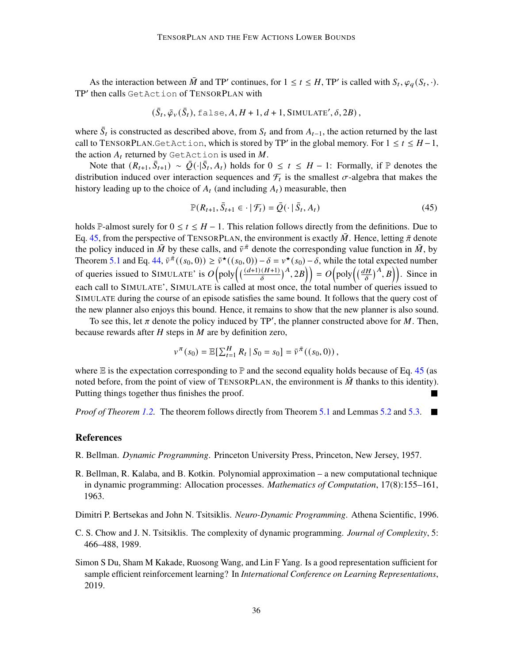As the interaction between  $\overline{M}$  and TP' continues, for  $1 \le t \le H$ , TP' is called with  $S_t$ ,  $\varphi_q(S_t, \cdot)$ . TP' then calls GetAction of TENSORPLAN with

$$
(\bar{S}_t, \bar{\varphi}_v(\bar{S}_t), \text{false}, A, H+1, d+1, \text{SIMULATE}', \delta, 2B),
$$

where  $\bar{S}_t$  is constructed as described above, from  $S_t$  and from  $A_{t-1}$ , the action returned by the last call to TENSORPLAN.GetAction, which is stored by TP' in the global memory. For  $1 \le t \le H - 1$ , the action  $A_t$  returned by GetAction is used in M.

Note that  $(R_{t+1}, \bar{S}_{t+1}) \sim \bar{Q}(\cdot | \bar{S}_t, A_t)$  holds for  $0 \le t \le H - 1$ : Formally, if  $\mathbb P$  denotes the distribution induced over interaction sequences and  $\mathcal{F}_t$  is the smallest  $\sigma$ -algebra that makes the history leading up to the choice of  $A_t$  (and including  $A_t$ ) measurable, then

<span id="page-35-4"></span>
$$
\mathbb{P}(R_{t+1}, \bar{S}_{t+1} \in \cdot | \mathcal{F}_t) = \bar{Q}(\cdot | \bar{S}_t, A_t)
$$
\n(45)

holds P-almost surely for  $0 \le t \le H - 1$ . This relation follows directly from the definitions. Due to Eq. [45,](#page-35-4) from the perspective of TENSORPLAN, the environment is exactly  $\bar{M}$ . Hence, letting  $\bar{\pi}$  denote the policy induced in  $\bar{M}$  by these calls, and  $\bar{v}^{\bar{\pi}}$  denote the corresponding value function in  $\bar{M}$ , by Theorem [5.1](#page-32-0) and Eq. [44,](#page-34-2)  $\bar{v}^{\pi}((s_0, 0)) \geq \bar{v}^{\star}((s_0, 0)) - \delta = v^{\star}(s_0) - \delta$ , while the total expected number of queries issued to SIMULATE' is  $O(poly((\frac{(d+1)(H+1)}{\delta})^A, 2B)) = O(poly((\frac{dH}{\delta}))$  $(\frac{H}{\delta})^A$ , B). Since in each call to SIMULATE', SIMULATE is called at most once, the total number of queries issued to SIMULATE during the course of an episode satisfies the same bound. It follows that the query cost of the new planner also enjoys this bound. Hence, it remains to show that the new planner is also sound.

To see this, let  $\pi$  denote the policy induced by TP', the planner constructed above for M. Then, because rewards after  $H$  steps in  $M$  are by definition zero,

$$
v^{\pi}(s_0) = \mathbb{E}[\sum_{t=1}^{H} R_t | S_0 = s_0] = \bar{v}^{\bar{\pi}}((s_0, 0)),
$$

where  $\mathbb E$  is the expectation corresponding to  $\mathbb P$  and the second equality holds because of Eq. [45](#page-35-4) (as noted before, from the point of view of TENSORPLAN, the environment is  $\overline{M}$  thanks to this identity). Putting things together thus finishes the proof. ٦

*Proof of Theorem [1.2.](#page-2-3)* The theorem follows directly from Theorem [5.1](#page-32-0) and Lemmas [5.2](#page-32-1) and [5.3.](#page-32-2) ■

#### References

- <span id="page-35-0"></span>R. Bellman. *Dynamic Programming*. Princeton University Press, Princeton, New Jersey, 1957.
- <span id="page-35-1"></span>R. Bellman, R. Kalaba, and B. Kotkin. Polynomial approximation – a new computational technique in dynamic programming: Allocation processes. *Mathematics of Computation*, 17(8):155–161, 1963.

<span id="page-35-2"></span>Dimitri P. Bertsekas and John N. Tsitsiklis. *Neuro-Dynamic Programming*. Athena Scientific, 1996.

- C. S. Chow and J. N. Tsitsiklis. The complexity of dynamic programming. *Journal of Complexity*, 5: 466–488, 1989.
- <span id="page-35-3"></span>Simon S Du, Sham M Kakade, Ruosong Wang, and Lin F Yang. Is a good representation sufficient for sample efficient reinforcement learning? In *International Conference on Learning Representations*, 2019.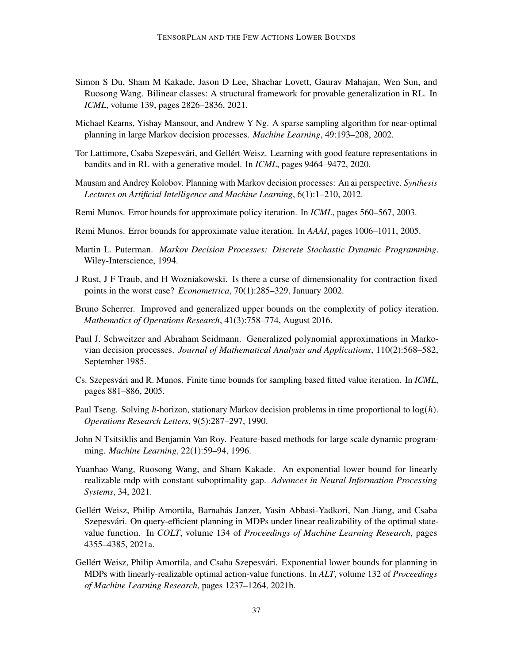- <span id="page-36-2"></span>Simon S Du, Sham M Kakade, Jason D Lee, Shachar Lovett, Gaurav Mahajan, Wen Sun, and Ruosong Wang. Bilinear classes: A structural framework for provable generalization in RL. In *ICML*, volume 139, pages 2826–2836, 2021.
- <span id="page-36-6"></span>Michael Kearns, Yishay Mansour, and Andrew Y Ng. A sparse sampling algorithm for near-optimal planning in large Markov decision processes. *Machine Learning*, 49:193–208, 2002.
- <span id="page-36-12"></span>Tor Lattimore, Csaba Szepesvári, and Gellért Weisz. Learning with good feature representations in bandits and in RL with a generative model. In *ICML*, pages 9464–9472, 2020.
- <span id="page-36-5"></span>Mausam and Andrey Kolobov. Planning with Markov decision processes: An ai perspective. *Synthesis Lectures on Artificial Intelligence and Machine Learning*, 6(1):1–210, 2012.
- <span id="page-36-9"></span>Remi Munos. Error bounds for approximate policy iteration. In *ICML*, pages 560–567, 2003.
- <span id="page-36-10"></span>Remi Munos. Error bounds for approximate value iteration. In *AAAI*, pages 1006–1011, 2005.
- <span id="page-36-14"></span>Martin L. Puterman. *Markov Decision Processes: Discrete Stochastic Dynamic Programming*. Wiley-Interscience, 1994.
- J Rust, J F Traub, and H Wozniakowski. Is there a curse of dimensionality for contraction fixed points in the worst case? *Econometrica*, 70(1):285–329, January 2002.
- <span id="page-36-4"></span>Bruno Scherrer. Improved and generalized upper bounds on the complexity of policy iteration. *Mathematics of Operations Research*, 41(3):758–774, August 2016.
- <span id="page-36-7"></span>Paul J. Schweitzer and Abraham Seidmann. Generalized polynomial approximations in Markovian decision processes. *Journal of Mathematical Analysis and Applications*, 110(2):568–582, September 1985.
- <span id="page-36-11"></span>Cs. Szepesvári and R. Munos. Finite time bounds for sampling based fitted value iteration. In *ICML*, pages 881–886, 2005.
- <span id="page-36-3"></span>Paul Tseng. Solving *h*-horizon, stationary Markov decision problems in time proportional to  $log(h)$ . *Operations Research Letters*, 9(5):287–297, 1990.
- <span id="page-36-8"></span>John N Tsitsiklis and Benjamin Van Roy. Feature-based methods for large scale dynamic programming. *Machine Learning*, 22(1):59–94, 1996.
- <span id="page-36-13"></span>Yuanhao Wang, Ruosong Wang, and Sham Kakade. An exponential lower bound for linearly realizable mdp with constant suboptimality gap. *Advances in Neural Information Processing Systems*, 34, 2021.
- <span id="page-36-1"></span>Gellért Weisz, Philip Amortila, Barnabás Janzer, Yasin Abbasi-Yadkori, Nan Jiang, and Csaba Szepesvári. On query-efficient planning in MDPs under linear realizability of the optimal statevalue function. In *COLT*, volume 134 of *Proceedings of Machine Learning Research*, pages 4355–4385, 2021a.
- <span id="page-36-0"></span>Gellért Weisz, Philip Amortila, and Csaba Szepesvári. Exponential lower bounds for planning in MDPs with linearly-realizable optimal action-value functions. In *ALT*, volume 132 of *Proceedings of Machine Learning Research*, pages 1237–1264, 2021b.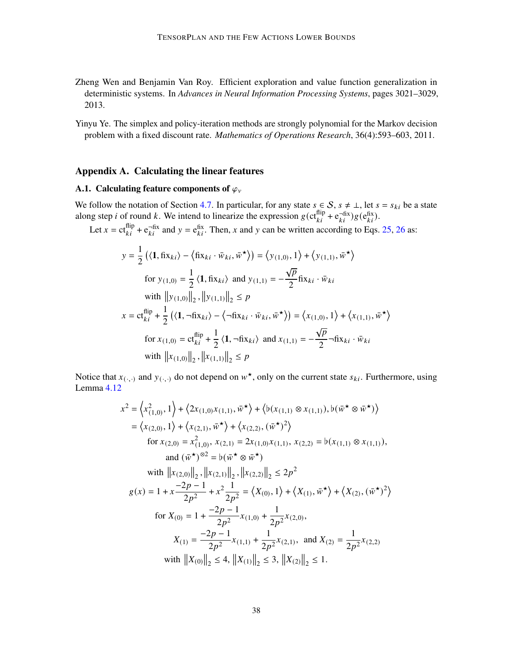<span id="page-37-1"></span>Zheng Wen and Benjamin Van Roy. Efficient exploration and value function generalization in deterministic systems. In *Advances in Neural Information Processing Systems*, pages 3021–3029, 2013.

<span id="page-37-0"></span>Yinyu Ye. The simplex and policy-iteration methods are strongly polynomial for the Markov decision problem with a fixed discount rate. *Mathematics of Operations Research*, 36(4):593–603, 2011.

# Appendix A. Calculating the linear features

# <span id="page-37-2"></span>A.1. Calculating feature components of  $\varphi$ <sub>v</sub>

We follow the notation of Section [4.7.](#page-27-1) In particular, for any state  $s \in S$ ,  $s \neq \bot$ , let  $s = s_{ki}$  be a state along step *i* of round *k*. We intend to linearize the expression  $g(ct_{ki}^{flip} + e_{ki}^{-fix})g(e_{ki}^{fix})$ .

Let  $x = ct_{ki}^{flip} + e_{ki}^{-fix}$  and  $y = e_{ki}^{fix}$ . Then, x and y can be written according to Eqs. [25,](#page-22-2) [26](#page-22-3) as:

$$
y = \frac{1}{2} \left( \langle \mathbf{1}, \hat{\mathbf{n}} \mathbf{x}_{ki} \rangle - \langle \hat{\mathbf{n}} \mathbf{x}_{ki} \cdot \bar{w}_{ki}, \bar{w}^{\star} \rangle \right) = \left\langle y_{(1,0)}, 1 \right\rangle + \left\langle y_{(1,1)}, \bar{w}^{\star} \right\rangle
$$
  
for  $y_{(1,0)} = \frac{1}{2} \langle \mathbf{1}, \hat{\mathbf{n}} \mathbf{x}_{ki} \rangle$  and  $y_{(1,1)} = -\frac{\sqrt{p}}{2} \hat{\mathbf{n}} \mathbf{x}_{ki} \cdot \bar{w}_{ki}$   
with  $||y_{(1,0)}||_2$ ,  $||y_{(1,1)}||_2 \le p$   

$$
x = \mathbf{c} t_{ki}^{\text{flip}} + \frac{1}{2} \left( \langle \mathbf{1}, -\hat{\mathbf{n}} \mathbf{x}_{ki} \rangle - \langle -\hat{\mathbf{n}} \mathbf{x}_{ki} \cdot \bar{w}_{ki}, \bar{w}^{\star} \rangle \right) = \left\langle x_{(1,0)}, 1 \right\rangle + \left\langle x_{(1,1)}, \bar{w}^{\star} \right\rangle
$$
  
for  $x_{(1,0)} = \mathbf{c} t_{ki}^{\text{flip}} + \frac{1}{2} \langle \mathbf{1}, -\hat{\mathbf{n}} \mathbf{x}_{ki} \rangle$  and  $x_{(1,1)} = -\frac{\sqrt{p}}{2} -\hat{\mathbf{n}} \mathbf{x}_{ki} \cdot \bar{w}_{ki}$   
with  $||x_{(1,0)}||_2$ ,  $||x_{(1,1)}||_2 \le p$ 

Notice that  $x_{(\cdot,\cdot)}$  and  $y_{(\cdot,\cdot)}$  do not depend on  $w^*$ , only on the current state  $s_{ki}$ . Furthermore, using Lemma [4.12](#page-27-2)

$$
x^{2} = \left\langle x_{(1,0)}^{2}, 1 \right\rangle + \left\langle 2x_{(1,0)}x_{(1,1)}, \overline{w}^{\star} \right\rangle + \left\langle b(x_{(1,1)} \otimes x_{(1,1)}), b(\overline{w}^{\star} \otimes \overline{w}^{\star}) \right\rangle
$$
  
\n
$$
= \left\langle x_{(2,0)}, 1 \right\rangle + \left\langle x_{(2,1)}, \overline{w}^{\star} \right\rangle + \left\langle x_{(2,2)}, (\overline{w}^{\star})^{2} \right\rangle
$$
  
\nfor  $x_{(2,0)} = x_{(1,0)}^{2}, x_{(2,1)} = 2x_{(1,0)}x_{(1,1)}, x_{(2,2)} = b(x_{(1,1)} \otimes x_{(1,1)}),$   
\nand  $(\overline{w}^{\star})^{\otimes 2} = b(\overline{w}^{\star} \otimes \overline{w}^{\star})$   
\nwith  $||x_{(2,0)}||_{2}, ||x_{(2,1)}||_{2}, ||x_{(2,2)}||_{2} \le 2p^{2}$   
\n
$$
g(x) = 1 + x \frac{-2p - 1}{2p^{2}} + x^{2} \frac{1}{2p^{2}} = \left\langle X_{(0)}, 1 \right\rangle + \left\langle X_{(1)}, \overline{w}^{\star} \right\rangle + \left\langle X_{(2)}, (\overline{w}^{\star})^{2} \right\rangle
$$
  
\nfor  $X_{(0)} = 1 + \frac{-2p - 1}{2p^{2}}x_{(1,0)} + \frac{1}{2p^{2}}x_{(2,0)},$   
\n
$$
X_{(1)} = \frac{-2p - 1}{2p^{2}}x_{(1,1)} + \frac{1}{2p^{2}}x_{(2,1)}, \text{ and } X_{(2)} = \frac{1}{2p^{2}}x_{(2,2)}
$$
  
\nwith  $||X_{(0)}||_{2} \le 4, ||X_{(1)}||_{2} \le 3, ||X_{(2)}||_{2} \le 1$ .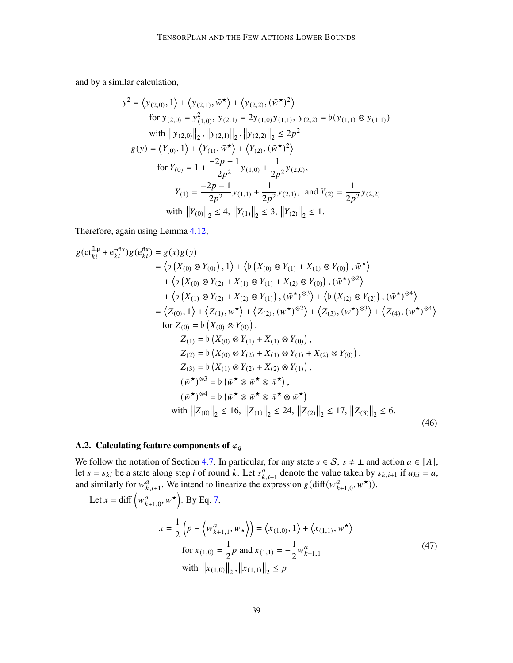and by a similar calculation,

$$
y^{2} = \langle y_{(2,0)}, 1 \rangle + \langle y_{(2,1)}, \overline{w}^{\star} \rangle + \langle y_{(2,2)}, (\overline{w}^{\star})^{2} \rangle
$$
  
for  $y_{(2,0)} = y_{(1,0)}^{2}$ ,  $y_{(2,1)} = 2y_{(1,0)}y_{(1,1)}$ ,  $y_{(2,2)} = b(y_{(1,1)} \otimes y_{(1,1)})$   
with  $||y_{(2,0)}||_{2}$ ,  $||y_{(2,1)}||_{2}$ ,  $||y_{(2,2)}||_{2} \le 2p^{2}$   
 $g(y) = \langle Y_{(0)}, 1 \rangle + \langle Y_{(1)}, \overline{w}^{\star} \rangle + \langle Y_{(2)}, (\overline{w}^{\star})^{2} \rangle$   
for  $Y_{(0)} = 1 + \frac{-2p - 1}{2p^{2}}y_{(1,0)} + \frac{1}{2p^{2}}y_{(2,0)}$ ,  

$$
Y_{(1)} = \frac{-2p - 1}{2p^{2}}y_{(1,1)} + \frac{1}{2p^{2}}y_{(2,1)}
$$
, and  $Y_{(2)} = \frac{1}{2p^{2}}y_{(2,2)}$   
with  $||Y_{(0)}||_{2} \le 4$ ,  $||Y_{(1)}||_{2} \le 3$ ,  $||Y_{(2)}||_{2} \le 1$ .

Therefore, again using Lemma [4.12,](#page-27-2)

$$
g(ct_{ki}^{flip} + e_{ki}^{-fix})g(e_{ki}^{fix}) = g(x)g(y)
$$
  
\n
$$
= \langle b(X_{(0)} \otimes Y_{(0)}), 1 \rangle + \langle b(X_{(0)} \otimes Y_{(1)} + X_{(1)} \otimes Y_{(0)}), \overline{w}^* \rangle
$$
  
\n
$$
+ \langle b(X_{(0)} \otimes Y_{(2)} + X_{(1)} \otimes Y_{(1)} + X_{(2)} \otimes Y_{(0)}), (\overline{w}^*)^{\otimes 2} \rangle
$$
  
\n
$$
+ \langle b(X_{(1)} \otimes Y_{(2)} + X_{(2)} \otimes Y_{(1)}), (\overline{w}^*)^{\otimes 3} \rangle + \langle b(X_{(2)} \otimes Y_{(2)}), (\overline{w}^*)^{\otimes 4} \rangle
$$
  
\n
$$
= \langle Z_{(0)}, 1 \rangle + \langle Z_{(1)}, \overline{w}^* \rangle + \langle Z_{(2)}, (\overline{w}^*)^{\otimes 2} \rangle + \langle Z_{(3)}, (\overline{w}^*)^{\otimes 3} \rangle + \langle Z_{(4)}, (\overline{w}^*)^{\otimes 4} \rangle
$$
  
\nfor  $Z_{(0)} = b(X_{(0)} \otimes Y_{(0)}),$   
\n
$$
Z_{(1)} = b(X_{(0)} \otimes Y_{(1)} + X_{(1)} \otimes Y_{(0)}),
$$
  
\n
$$
Z_{(2)} = b(X_{(0)} \otimes Y_{(2)} + X_{(1)} \otimes Y_{(1)} + X_{(2)} \otimes Y_{(0)}),
$$
  
\n
$$
Z_{(3)} = b(X_{(1)} \otimes Y_{(2)} + X_{(2)} \otimes Y_{(1)}),
$$
  
\n
$$
(\overline{w}^*)^{\otimes 3} = b(\overline{w}^* \otimes \overline{w}^* \otimes \overline{w}^*),
$$
  
\n
$$
(\overline{w}^*)^{\otimes 4} = b(\overline{w}^* \otimes \overline{w}^* \otimes \overline{w}^* \otimes \overline{w}^*)
$$
  
\nwith  $||Z_{(0)}||_2 \le 16, ||Z_{(1)}||_2 \le 24, ||Z_{(2)}||_2 \$ 

# <span id="page-38-1"></span>A.2. Calculating feature components of  $\varphi_q$

We follow the notation of Section [4.7.](#page-27-1) In particular, for any state  $s \in S$ ,  $s \neq \bot$  and action  $a \in [A]$ , let  $s = s_{ki}$  be a state along step *i* of round k. Let  $s_{k,i+1}^a$  denote the value taken by  $s_{k,i+1}$  if  $a_{ki} = a$ , and similarly for  $w_{k,i+1}^a$ . We intend to linearize the expression  $g(\text{diff}(w_{k+1,0}^a, w^{\star}))$ .

<span id="page-38-0"></span>Let 
$$
x = \text{diff}\left(w_{k+1,0}^a, w^*\right)
$$
. By Eq. 7,  
\n
$$
x = \frac{1}{2}\left(p - \left\langle w_{k+1,1}^a, w_* \right\rangle\right) = \left\langle x_{(1,0)}, 1 \right\rangle + \left\langle x_{(1,1)}, w^*\right\rangle
$$
\nfor  $x_{(1,0)} = \frac{1}{2}p$  and  $x_{(1,1)} = -\frac{1}{2}w_{k+1,1}^a$   
\nwith  $||x_{(1,0)}||_2$ ,  $||x_{(1,1)}||_2 \le p$  (47)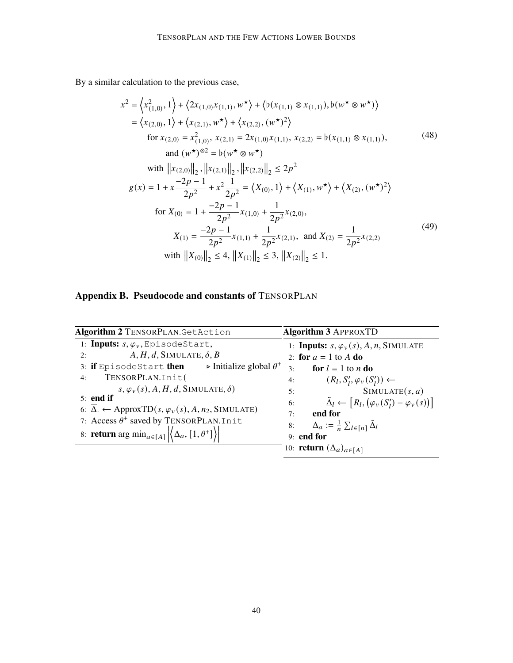By a similar calculation to the previous case,

<span id="page-39-0"></span>
$$
x^{2} = \langle x_{(1,0)}^{2}, 1 \rangle + \langle 2x_{(1,0)}x_{(1,1)}, w^{\star} \rangle + \langle b(x_{(1,1)} \otimes x_{(1,1)}), b(w^{\star} \otimes w^{\star}) \rangle
$$
  
\n
$$
= \langle x_{(2,0)}, 1 \rangle + \langle x_{(2,1)}, w^{\star} \rangle + \langle x_{(2,2)}, (w^{\star})^{2} \rangle
$$
  
\nfor  $x_{(2,0)} = x_{(1,0)}^{2}, x_{(2,1)} = 2x_{(1,0)}x_{(1,1)}, x_{(2,2)} = b(x_{(1,1)} \otimes x_{(1,1)}),$   
\nand  $(w^{\star})^{\otimes 2} = b(w^{\star} \otimes w^{\star})$   
\nwith  $||x_{(2,0)}||_{2}, ||x_{(2,1)}||_{2}, ||x_{(2,2)}||_{2} \le 2p^{2}$   
\n $g(x) = 1 + x \frac{-2p - 1}{2p^{2}} + x^{2} \frac{1}{2p^{2}} = \langle X_{(0)}, 1 \rangle + \langle X_{(1)}, w^{\star} \rangle + \langle X_{(2)}, (w^{\star})^{2} \rangle$   
\nfor  $X_{(0)} = 1 + \frac{-2p - 1}{2p^{2}}x_{(1,0)} + \frac{1}{2p^{2}}x_{(2,0)},$   
\n
$$
X_{(1)} = \frac{-2p - 1}{2p^{2}}x_{(1,1)} + \frac{1}{2p^{2}}x_{(2,1)}, \text{ and } X_{(2)} = \frac{1}{2p^{2}}x_{(2,2)}
$$
  
\nwith  $||X_{(0)}||_{2} \le 4, ||X_{(1)}||_{2} \le 3, ||X_{(2)}||_{2} \le 1.$  (49)

# <span id="page-39-1"></span>Appendix B. Pseudocode and constants of TENSORPLAN

| Algorithm 2 TENSORPLAN.GetAction                                                                                                                                                            |  |                    | <b>Algorithm 3 APPROXTD</b>                                                             |  |
|---------------------------------------------------------------------------------------------------------------------------------------------------------------------------------------------|--|--------------------|-----------------------------------------------------------------------------------------|--|
| 1: Inputs: $s, \varphi_v$ , EpisodeStart,<br>$A, H, d$ , SIMULATE, $\delta, B$                                                                                                              |  |                    | 1: <b>Inputs:</b> $s, \varphi_v(s)$ , A, n, SIMULATE                                    |  |
| 2:<br>3: if EpisodeStart then $\rightarrow$ Initialize global $\theta^+$                                                                                                                    |  | 3:                 | 2: for $a = 1$ to A do<br>for $l = 1$ to n do                                           |  |
| TENSORPLAN.Init(<br>4:                                                                                                                                                                      |  | 4:                 | $(R_l, S'_l, \varphi_v(S'_l)) \leftarrow$                                               |  |
| $s, \varphi_{v}(s), A, H, d, SIMULATE, \delta)$<br>$5:$ end if                                                                                                                              |  | 5:<br>6:           | SIMULATE(s, a)<br>$\tilde{\Delta}_l \leftarrow [R_l, (\varphi_v(S'_l) - \varphi_v(s))]$ |  |
| 6: $\Delta$ . $\leftarrow$ ApproxTD(s, $\varphi_v(s)$ , A, n <sub>2</sub> , SIMULATE)                                                                                                       |  | 7:                 | end for                                                                                 |  |
| 7: Access $\theta^+$ saved by TENSORPLAN. Init<br>8: <b>return</b> arg min <sub><math>a \in [A]</math></sub> $\left  \left\langle \overline{\Delta}_a, [1, \theta^+] \right\rangle \right $ |  | 8:<br>$9:$ end for | $\Delta_a := \frac{1}{n} \sum_{l \in [n]} \tilde{\Delta}_l$                             |  |
|                                                                                                                                                                                             |  |                    | 10: <b>return</b> $(\Delta_a)_{a \in [A]}$                                              |  |